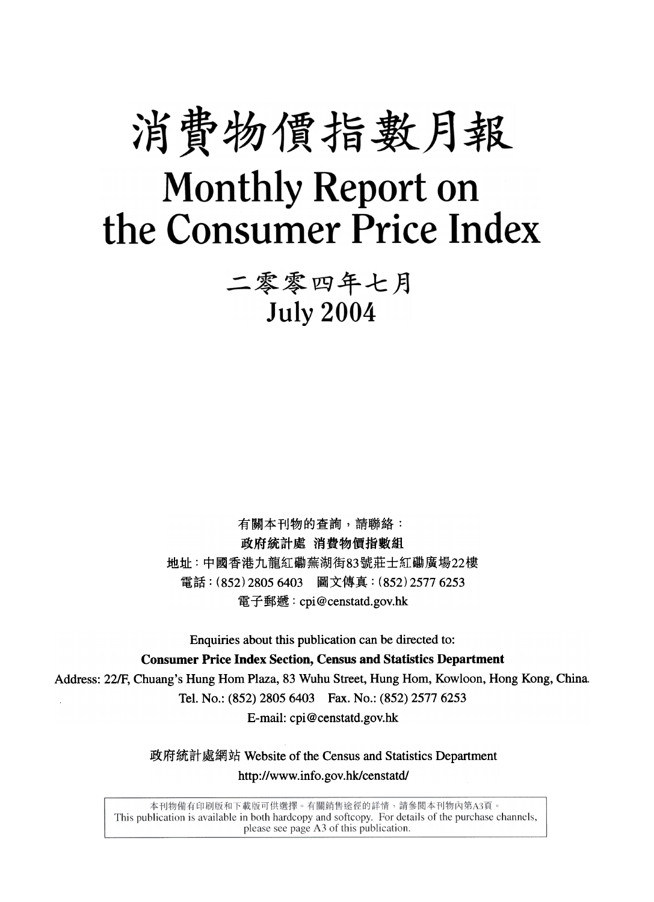# 消費物價指數月報 **Monthly Report on** the Consumer Price Index

二零零四年七月 **July 2004** 

有關本刊物的查詢,請聯絡: 政府統計處 消費物價指數組 地址:中國香港九龍紅磡蕪湖街83號莊士紅磡廣場22樓 電話: (852) 2805 6403 圖文傳真: (852) 2577 6253 電子郵遞: cpi@censtatd.gov.hk

Enquiries about this publication can be directed to:

**Consumer Price Index Section, Census and Statistics Department** 

Address: 22/F, Chuang's Hung Hom Plaza, 83 Wuhu Street, Hung Hom, Kowloon, Hong Kong, China. Tel. No.: (852) 2805 6403 Fax. No.: (852) 2577 6253 E-mail: cpi@censtatd.gov.hk

> 政府統計處網站 Website of the Census and Statistics Department http://www.info.gov.hk/censtatd/

本刊物備有印刷版和下載版可供選擇。有關銷售途徑的詳情,請參閱本刊物內第A3頁。 This publication is available in both hardcopy and softcopy. For details of the purchase channels, please see page A3 of this publication.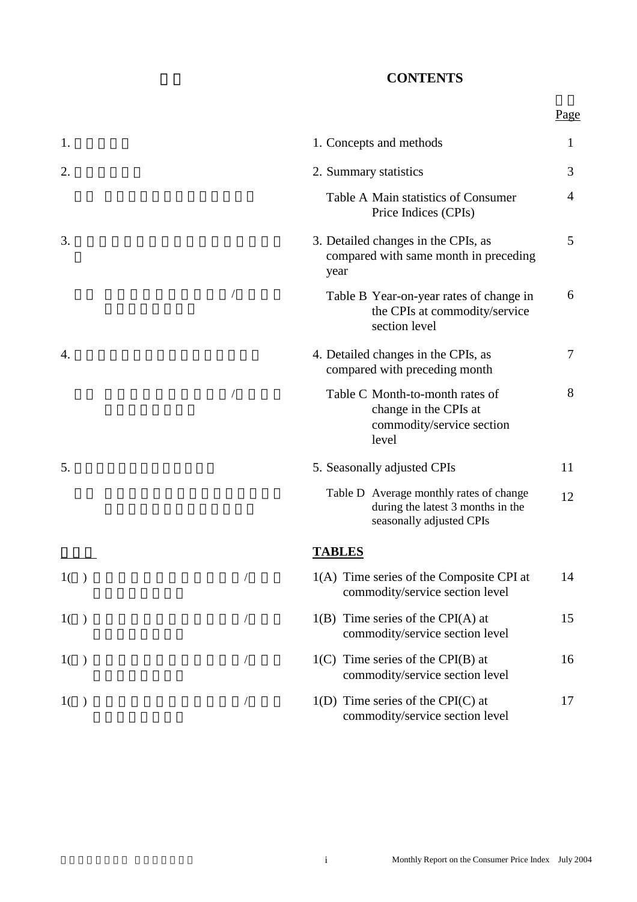#### **CONTENTS**

|                |                                                                                                          | Page           |
|----------------|----------------------------------------------------------------------------------------------------------|----------------|
| 1.             | 1. Concepts and methods                                                                                  | 1              |
| 2.             | 2. Summary statistics                                                                                    | 3              |
|                | Table A Main statistics of Consumer<br>Price Indices (CPIs)                                              | $\overline{4}$ |
| 3.             | 3. Detailed changes in the CPIs, as<br>compared with same month in preceding<br>year                     | 5              |
|                | Table B Year-on-year rates of change in<br>the CPIs at commodity/service<br>section level                | 6              |
| 4.             | 4. Detailed changes in the CPIs, as<br>compared with preceding month                                     | $\overline{7}$ |
|                | Table C Month-to-month rates of<br>change in the CPIs at<br>commodity/service section<br>level           | 8              |
| 5.             | 5. Seasonally adjusted CPIs                                                                              | 11             |
|                | Table D Average monthly rates of change<br>during the latest 3 months in the<br>seasonally adjusted CPIs | 12             |
|                | <b>TABLES</b>                                                                                            |                |
| 1()            | 1(A) Time series of the Composite CPI at<br>commodity/service section level                              | 14             |
| 1()            | $1(B)$ Time series of the CPI(A) at<br>commodity/service section level                                   | 15             |
| 1 <sup>1</sup> | $1(C)$ Time series of the CPI(B) at<br>commodity/service section level                                   | 16             |
| 1()            | $1(D)$ Time series of the CPI(C) at<br>commodity/service section level                                   | 17             |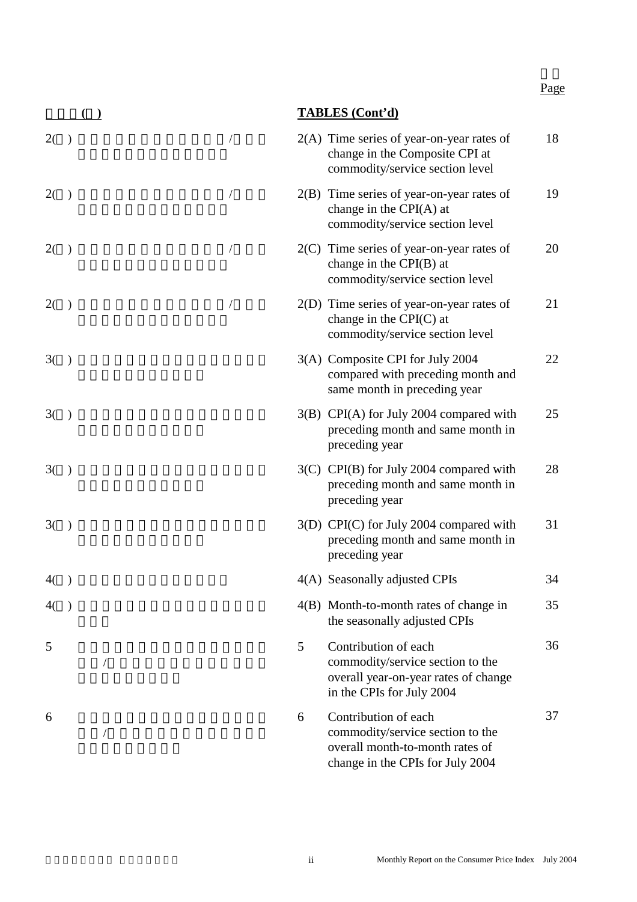## 統計表**(**續**) TABLES (Cont'd)**

| 2( ) |               |            |   | $2(A)$ Time series of year-on-year rates of<br>change in the Composite CPI at<br>commodity/service section level                | 18 |
|------|---------------|------------|---|---------------------------------------------------------------------------------------------------------------------------------|----|
| 2()  |               |            |   | $2(B)$ Time series of year-on-year rates of<br>change in the $CPI(A)$ at<br>commodity/service section level                     | 19 |
| 2(   | $\rightarrow$ | $\sqrt{2}$ |   | $2(C)$ Time series of year-on-year rates of<br>change in the CPI(B) at<br>commodity/service section level                       | 20 |
| 2()  |               |            |   | $2(D)$ Time series of year-on-year rates of<br>change in the $CPI(C)$ at<br>commodity/service section level                     | 21 |
| 3()  |               |            |   | 3(A) Composite CPI for July 2004<br>compared with preceding month and<br>same month in preceding year                           | 22 |
| 3()  |               |            |   | 3(B) CPI(A) for July 2004 compared with<br>preceding month and same month in<br>preceding year                                  | 25 |
| 3()  |               |            |   | $3(C)$ CPI(B) for July 2004 compared with<br>preceding month and same month in<br>preceding year                                | 28 |
| 3(   | $\rightarrow$ |            |   | 3(D) CPI(C) for July 2004 compared with<br>preceding month and same month in<br>preceding year                                  | 31 |
| 4()  |               |            |   | 4(A) Seasonally adjusted CPIs                                                                                                   | 34 |
| 4()  |               |            |   | 4(B) Month-to-month rates of change in<br>the seasonally adjusted CPIs                                                          | 35 |
| 5    |               |            | 5 | Contribution of each<br>commodity/service section to the<br>overall year-on-year rates of change<br>in the CPIs for July 2004   | 36 |
| 6    |               |            | 6 | Contribution of each<br>commodity/service section to the<br>overall month-to-month rates of<br>change in the CPIs for July 2004 | 37 |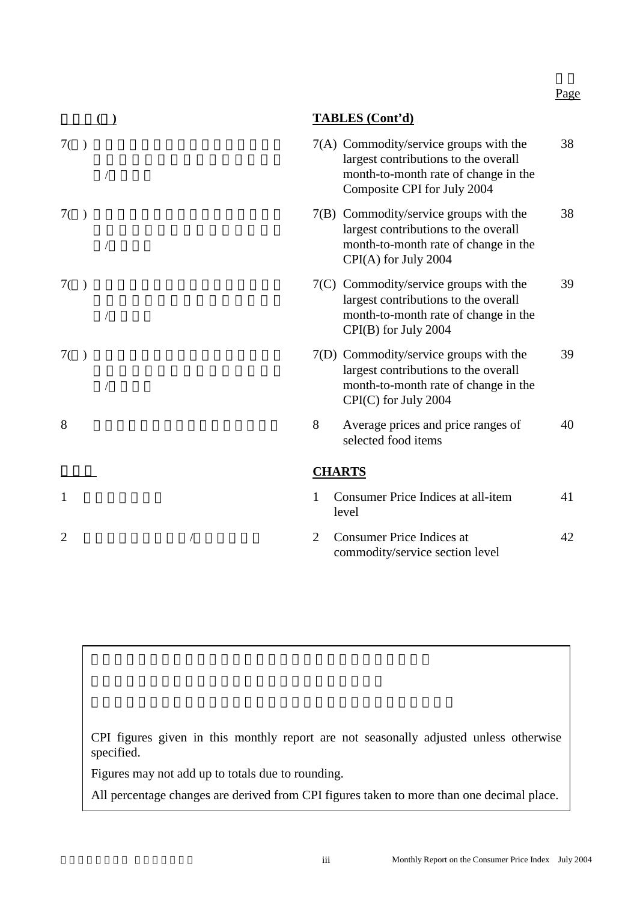|                |   | <b>TABLES</b> (Cont'd)                                                                                                                                |    |
|----------------|---|-------------------------------------------------------------------------------------------------------------------------------------------------------|----|
| 7()            |   | 7(A) Commodity/service groups with the<br>largest contributions to the overall<br>month-to-month rate of change in the<br>Composite CPI for July 2004 | 38 |
| 7()            |   | 7(B) Commodity/service groups with the<br>largest contributions to the overall<br>month-to-month rate of change in the<br>CPI(A) for July 2004        | 38 |
| 7()            |   | 7(C) Commodity/service groups with the<br>largest contributions to the overall<br>month-to-month rate of change in the<br>CPI(B) for July 2004        | 39 |
| 7()            |   | 7(D) Commodity/service groups with the<br>largest contributions to the overall<br>month-to-month rate of change in the<br>CPI(C) for July 2004        | 39 |
| 8              | 8 | Average prices and price ranges of<br>selected food items                                                                                             | 40 |
|                |   | <b>CHARTS</b>                                                                                                                                         |    |
| 1              | 1 | Consumer Price Indices at all-item<br>level                                                                                                           | 41 |
| $\overline{2}$ | 2 | <b>Consumer Price Indices at</b><br>commodity/service section level                                                                                   | 42 |

CPI figures given in this monthly report are not seasonally adjusted unless otherwise specified.

Figures may not add up to totals due to rounding.

All percentage changes are derived from CPI figures taken to more than one decimal place.

Page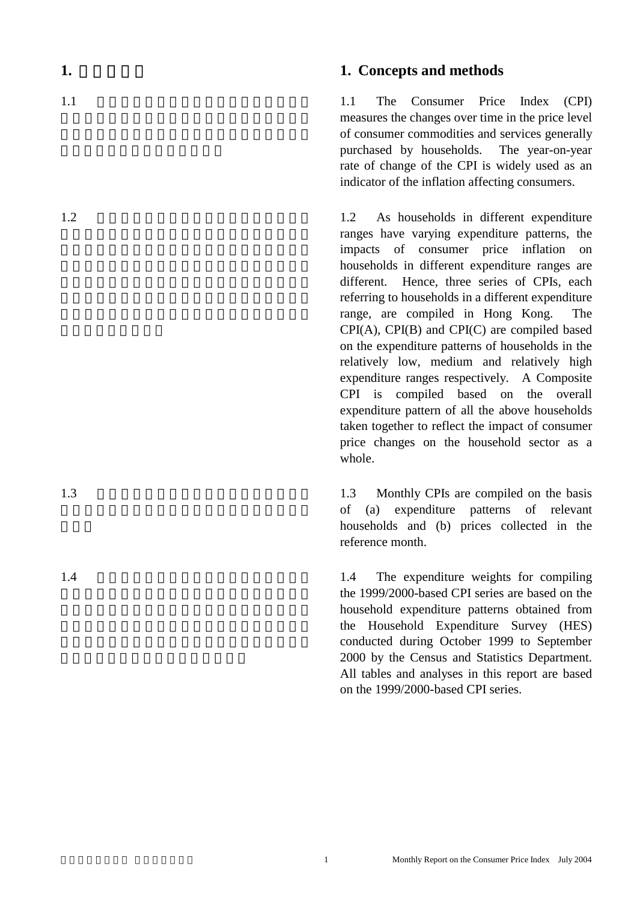#### **1.** Concepts and methods

 1.1 The Consumer Price Index (CPI) measures the changes over time in the price level of consumer commodities and services generally purchased by households. The year-on-year rate of change of the CPI is widely used as an indicator of the inflation affecting consumers.

 1.2 As households in different expenditure ranges have varying expenditure patterns, the impacts of consumer price inflation on households in different expenditure ranges are different. Hence, three series of CPIs, each referring to households in a different expenditure range, are compiled in Hong Kong. The CPI(A), CPI(B) and CPI(C) are compiled based on the expenditure patterns of households in the relatively low, medium and relatively high expenditure ranges respectively. A Composite CPI is compiled based on the overall expenditure pattern of all the above households taken together to reflect the impact of consumer price changes on the household sector as a whole.

 1.3 Monthly CPIs are compiled on the basis of (a) expenditure patterns of relevant households and (b) prices collected in the reference month.

 1.4 The expenditure weights for compiling the 1999/2000-based CPI series are based on the household expenditure patterns obtained from the Household Expenditure Survey (HES) conducted during October 1999 to September 2000 by the Census and Statistics Department. All tables and analyses in this report are based on the 1999/2000-based CPI series.

 $1.2$ 

 $1.1$ 

 $1.3$ 

 $1.4$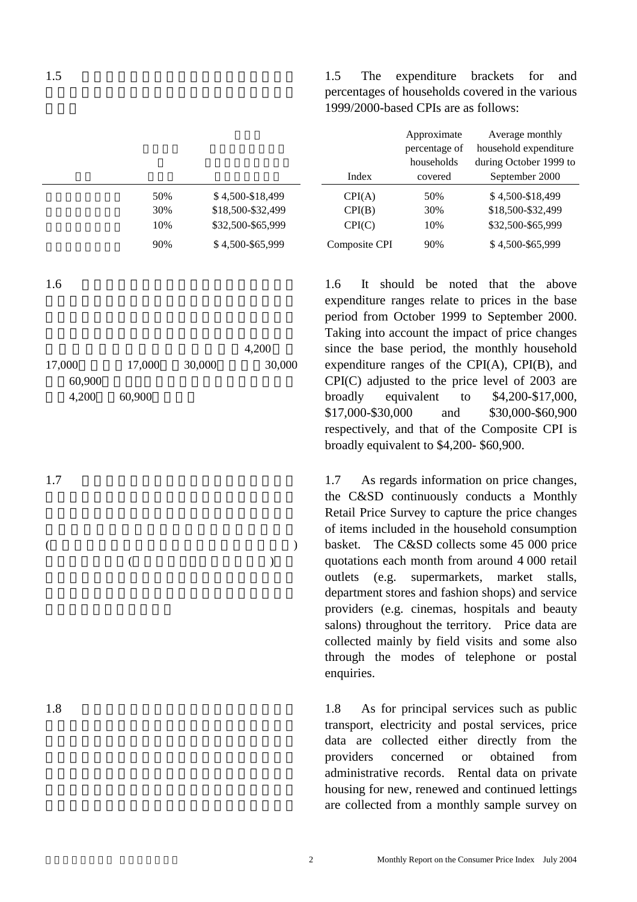|     |                   |               | nouschous |                   |
|-----|-------------------|---------------|-----------|-------------------|
|     |                   | Index         | covered   | September 2000    |
| 50% | \$4,500-\$18,499  | CPI(A)        | 50%       | \$4,500-\$18,499  |
| 30% | \$18,500-\$32,499 | CPI(B)        | 30%       | \$18,500-\$32,499 |
| 10% | \$32,500-\$65,999 | CPI(C)        | 10%       | \$32,500-\$65,999 |
| 90% | \$4,500-\$65,999  | Composite CPI | 90%       | \$4,500-\$65,999  |

 $1.6$ 

|        |        |        | 4,200  |
|--------|--------|--------|--------|
| 17,000 | 17,000 | 30,000 | 30,000 |
| 60,900 |        |        |        |
| 4,200  | 60,900 |        |        |

 $($  $($ 

 $1.7$ 

 $1.8$ 

 1.5 The expenditure brackets for and percentages of households covered in the various 1999/2000-based CPIs are as follows:

|               | Approximate<br>percentage of<br>households | Average monthly<br>household expenditure<br>during October 1999 to |
|---------------|--------------------------------------------|--------------------------------------------------------------------|
| Index         | covered                                    | September 2000                                                     |
| CPI(A)        | 50%                                        | \$4,500-\$18,499                                                   |
| CPI(B)        | 30%                                        | \$18,500-\$32,499                                                  |
| CPI(C)        | 10%                                        | \$32,500-\$65,999                                                  |
| Composite CPI | 90%                                        | \$4,500-\$65,999                                                   |

 1.6 It should be noted that the above expenditure ranges relate to prices in the base period from October 1999 to September 2000. Taking into account the impact of price changes since the base period, the monthly household expenditure ranges of the CPI(A), CPI(B), and CPI(C) adjusted to the price level of 2003 are broadly equivalent to \$4,200-\$17,000, \$17,000-\$30,000 and \$30,000-\$60,900 respectively, and that of the Composite CPI is broadly equivalent to \$4,200- \$60,900.

 1.7 As regards information on price changes, the C&SD continuously conducts a Monthly Retail Price Survey to capture the price changes of items included in the household consumption basket. The C&SD collects some 45 000 price quotations each month from around 4 000 retail outlets (e.g. supermarkets, market stalls, department stores and fashion shops) and service providers (e.g. cinemas, hospitals and beauty salons) throughout the territory. Price data are collected mainly by field visits and some also through the modes of telephone or postal enquiries.

 1.8 As for principal services such as public transport, electricity and postal services, price data are collected either directly from the providers concerned or obtained from administrative records. Rental data on private housing for new, renewed and continued lettings are collected from a monthly sample survey on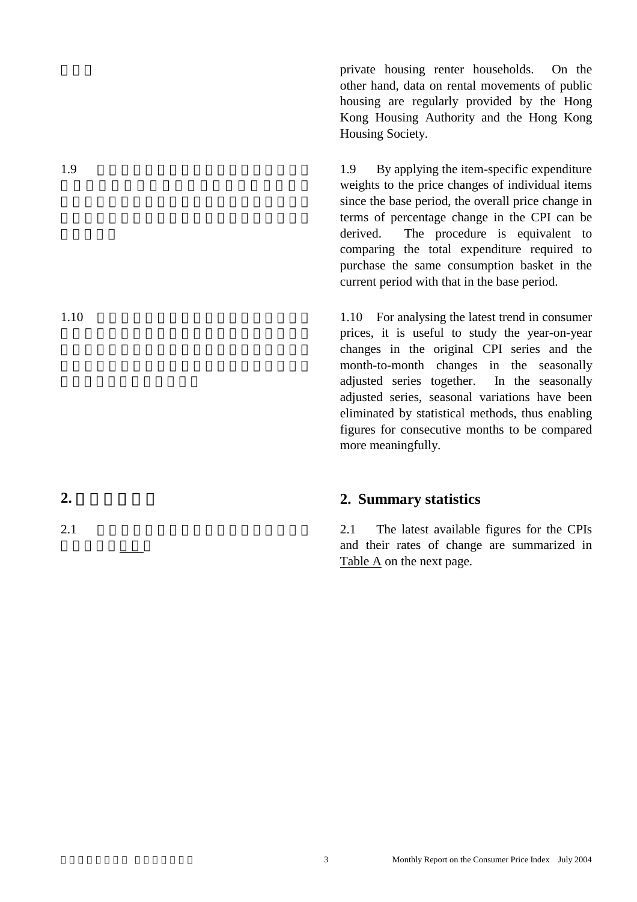private housing renter households. On the other hand, data on rental movements of public housing are regularly provided by the Hong Kong Housing Authority and the Hong Kong Housing Society.

 1.9 By applying the item-specific expenditure weights to the price changes of individual items since the base period, the overall price change in terms of percentage change in the CPI can be derived. The procedure is equivalent to comparing the total expenditure required to purchase the same consumption basket in the current period with that in the base period.

 1.10 For analysing the latest trend in consumer prices, it is useful to study the year-on-year changes in the original CPI series and the month-to-month changes in the seasonally adjusted series together. In the seasonally adjusted series, seasonal variations have been eliminated by statistical methods, thus enabling figures for consecutive months to be compared more meaningfully.

#### **2. Summary statistics**

 2.1 The latest available figures for the CPIs and their rates of change are summarized in Table A on the next page.

 $1.9$ 

 $1.10$ 

**2.** 摘要統計數字

 $2.1$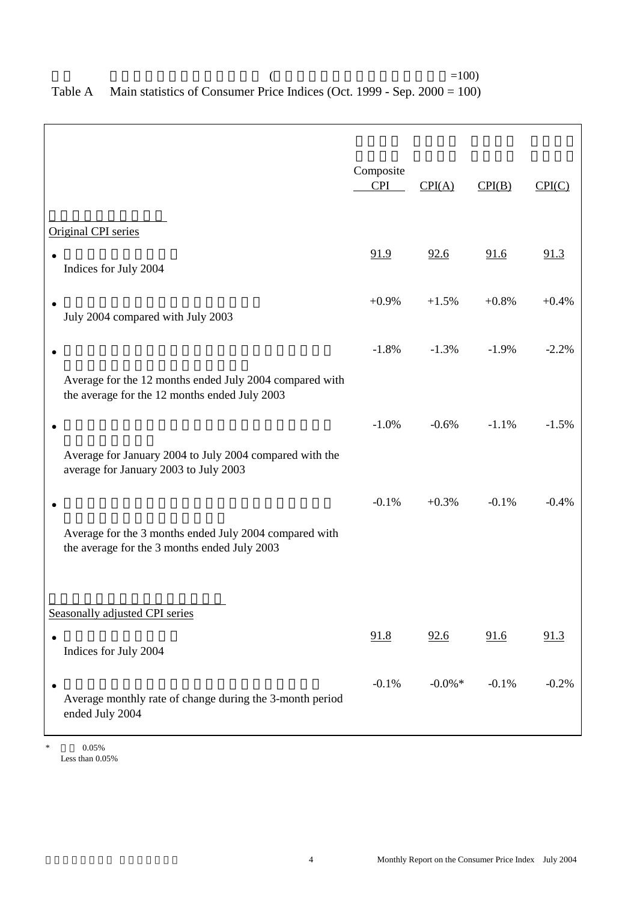| Composite<br><b>CPI</b>                                 | CPI(A)    | CPI(B)  | CPI(C)  |
|---------------------------------------------------------|-----------|---------|---------|
|                                                         |           |         |         |
| 91.9                                                    | 92.6      | 91.6    | 91.3    |
| $+0.9%$                                                 | $+1.5%$   | $+0.8%$ | $+0.4%$ |
| $-1.8%$                                                 | $-1.3%$   | $-1.9%$ | $-2.2%$ |
|                                                         |           |         |         |
| $-1.0%$                                                 | $-0.6%$   | $-1.1%$ | $-1.5%$ |
|                                                         |           |         |         |
| $-0.1%$                                                 | $+0.3%$   | $-0.1%$ | $-0.4%$ |
|                                                         |           |         |         |
|                                                         |           |         |         |
|                                                         |           |         | 91.3    |
|                                                         |           |         |         |
| $-0.1%$                                                 | $-0.0\%*$ | $-0.1%$ | $-0.2%$ |
| Average for the 12 months ended July 2004 compared with | 91.8      | 92.6    | 91.6    |

#### $($  =100) Table A Main statistics of Consumer Price Indices (Oct. 1999 - Sep. 2000 = 100)

 $*$  0.05% Less than 0.05%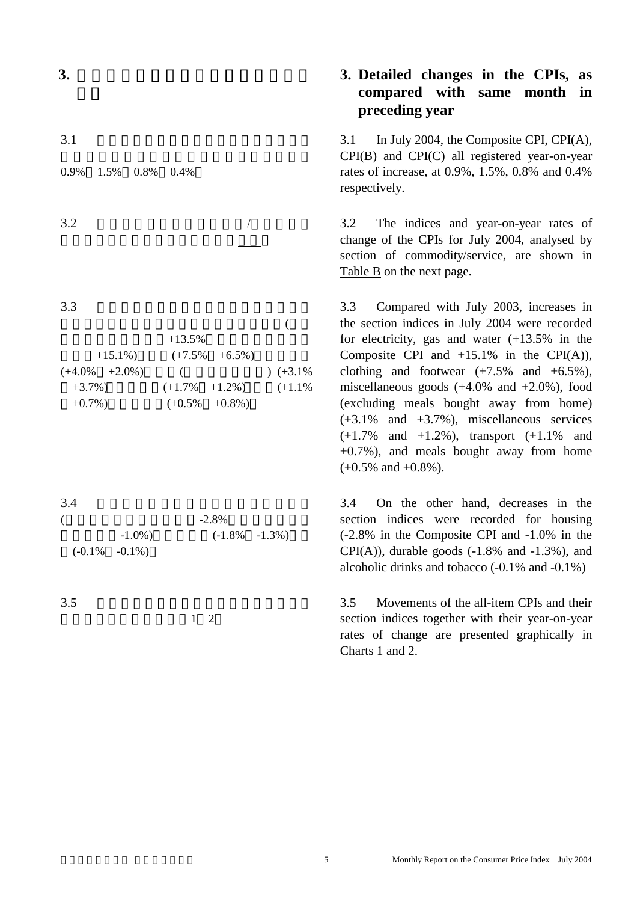**3.** 消費物價指數與上年同月比較的變動

 $3.1$ 

0.9% 1.5% 0.8% 0.4%

 $3.2$  /

 $3.3$ 

|                     | $+13.5%$          |             |
|---------------------|-------------------|-------------|
| $+15.1\%$           | $(+7.5\% +6.5\%)$ |             |
| $(+4.0\%$ $+2.0\%)$ |                   | $( +3.1\%)$ |
| $+3.7\%$ )          | $(+1.7\% +1.2\%)$ | $(+1.1\%$   |
| $+0.7\%$ )          | $(+0.5\% +0.8\%)$ |             |

 $3.4$ 

| $-2.8\%$          |  |                   |  |  |  |
|-------------------|--|-------------------|--|--|--|
| $-1.0\%$ )        |  | $(-1.8\% -1.3\%)$ |  |  |  |
| $(-0.1\% -0.1\%)$ |  |                   |  |  |  |

 $3.5$ 

及其按年變動率顯示於圖1 2

### **3. Detailed changes in the CPIs, as compared with same month in preceding year**

 3.1 In July 2004, the Composite CPI, CPI(A), CPI(B) and CPI(C) all registered year-on-year rates of increase, at 0.9%, 1.5%, 0.8% and 0.4% respectively.

 3.2 The indices and year-on-year rates of change of the CPIs for July 2004, analysed by section of commodity/service, are shown in Table B on the next page.

 3.3 Compared with July 2003, increases in the section indices in July 2004 were recorded for electricity, gas and water (+13.5% in the Composite CPI and  $+15.1\%$  in the CPI(A)), clothing and footwear  $(+7.5\%$  and  $+6.5\%$ ), miscellaneous goods  $(+4.0\%$  and  $+2.0\%$ ), food (excluding meals bought away from home) (+3.1% and +3.7%), miscellaneous services (+1.7% and +1.2%), transport (+1.1% and +0.7%), and meals bought away from home  $(+0.5\%$  and  $+0.8\%$ ).

 3.4 On the other hand, decreases in the section indices were recorded for housing (-2.8% in the Composite CPI and -1.0% in the  $CPI(A)$ , durable goods  $(-1.8\%$  and  $-1.3\%$ ), and alcoholic drinks and tobacco (-0.1% and -0.1%)

 3.5 Movements of the all-item CPIs and their section indices together with their year-on-year rates of change are presented graphically in Charts 1 and 2.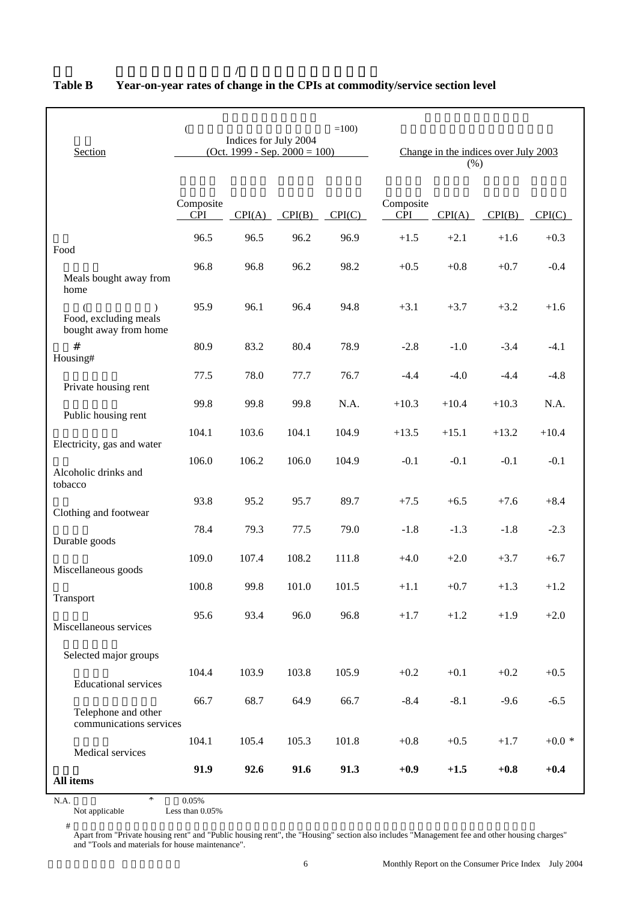| Section                                        | $=100$ )<br>$\overline{(\ }$<br>Indices for July 2004<br>$(Oct. 1999 - Sep. 2000 = 100)$ |        |        |        | (% )                    | Change in the indices over July 2003 |         |         |
|------------------------------------------------|------------------------------------------------------------------------------------------|--------|--------|--------|-------------------------|--------------------------------------|---------|---------|
|                                                | Composite<br><b>CPI</b>                                                                  | CPI(A) | CPI(B) | CPI(C) | Composite<br><b>CPI</b> | CPI(A)                               | CPI(B)  | CPI(C)  |
| Food                                           | 96.5                                                                                     | 96.5   | 96.2   | 96.9   | $+1.5$                  | $+2.1$                               | $+1.6$  | $+0.3$  |
| Meals bought away from<br>home                 | 96.8                                                                                     | 96.8   | 96.2   | 98.2   | $+0.5$                  | $+0.8$                               | $+0.7$  | $-0.4$  |
| Food, excluding meals<br>bought away from home | 95.9                                                                                     | 96.1   | 96.4   | 94.8   | $+3.1$                  | $+3.7$                               | $+3.2$  | $+1.6$  |
| #<br>Housing#                                  | 80.9                                                                                     | 83.2   | 80.4   | 78.9   | $-2.8$                  | $-1.0$                               | $-3.4$  | $-4.1$  |
| Private housing rent                           | 77.5                                                                                     | 78.0   | 77.7   | 76.7   | $-4.4$                  | $-4.0$                               | $-4.4$  | $-4.8$  |
| Public housing rent                            | 99.8                                                                                     | 99.8   | 99.8   | N.A.   | $+10.3$                 | $+10.4$                              | $+10.3$ | N.A.    |
| Electricity, gas and water                     | 104.1                                                                                    | 103.6  | 104.1  | 104.9  | $+13.5$                 | $+15.1$                              | $+13.2$ | $+10.4$ |
| Alcoholic drinks and<br>tobacco                | 106.0                                                                                    | 106.2  | 106.0  | 104.9  | $-0.1$                  | $-0.1$                               | $-0.1$  | $-0.1$  |
| Clothing and footwear                          | 93.8                                                                                     | 95.2   | 95.7   | 89.7   | $+7.5$                  | $+6.5$                               | $+7.6$  | $+8.4$  |
| Durable goods                                  | 78.4                                                                                     | 79.3   | 77.5   | 79.0   | $-1.8$                  | $-1.3$                               | $-1.8$  | $-2.3$  |
| Miscellaneous goods                            | 109.0                                                                                    | 107.4  | 108.2  | 111.8  | $+4.0$                  | $+2.0$                               | $+3.7$  | $+6.7$  |
|                                                | 100.8                                                                                    | 99.8   | 101.0  | 101.5  | $+1.1$                  | $+0.7$                               | $+1.3$  | $+1.2$  |
| Transport<br>Miscellaneous services            | 95.6                                                                                     | 93.4   | 96.0   | 96.8   | $+1.7$                  | $+1.2$                               | $+1.9$  | $+2.0$  |
| Selected major groups                          |                                                                                          |        |        |        |                         |                                      |         |         |
| <b>Educational services</b>                    | 104.4                                                                                    | 103.9  | 103.8  | 105.9  | $+0.2$                  | $+0.1$                               | $+0.2$  | $+0.5$  |
| Telephone and other<br>communications services | 66.7                                                                                     | 68.7   | 64.9   | 66.7   | $-8.4$                  | $-8.1$                               | $-9.6$  | $-6.5$  |
| Medical services                               | 104.1                                                                                    | 105.4  | 105.3  | 101.8  | $+0.8$                  | $+0.5$                               | $+1.7$  | $+0.0*$ |
| All items                                      | 91.9                                                                                     | 92.6   | 91.6   | 91.3   | $+0.9$                  | $+1.5$                               | $+0.8$  | $+0.4$  |

#### **Table B Year-on-year rates of change in the CPIs at commodity/service section level**

表乙 消費物價指數內各商品**/**服務類別指數的按年變動率

N.A.  $*$  0.05%<br>Not applicable Less than 0 Less than  $0.05%$ 

 $#$ 

Apart from "Private housing rent" and "Public housing rent", the "Housing" section also includes "Management fee and other housing charges" and "Tools and materials for house maintenance".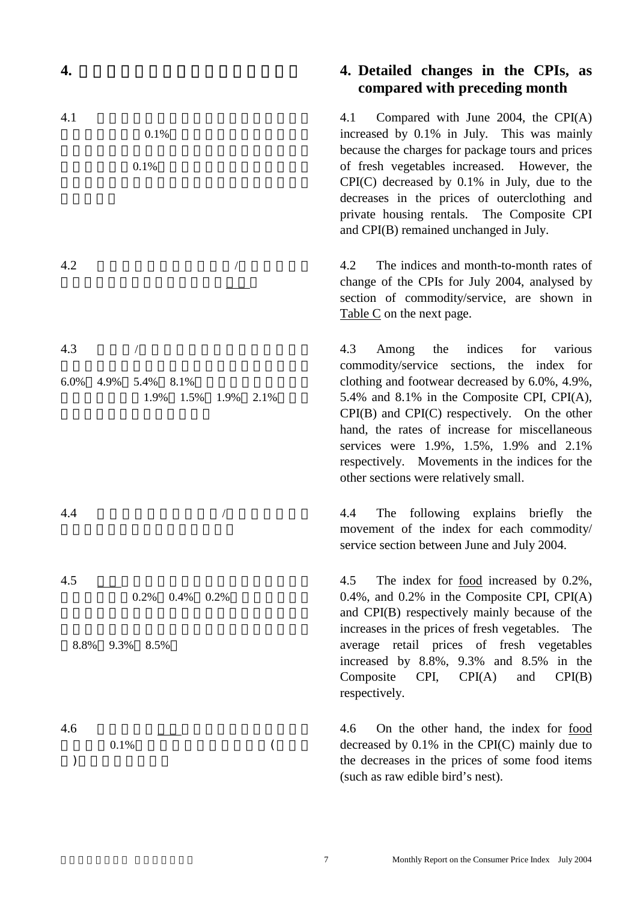#### **4. Detailed changes in the CPIs, as compared with preceding month**

 4.1 Compared with June 2004, the CPI(A) increased by 0.1% in July. This was mainly because the charges for package tours and prices of fresh vegetables increased. However, the CPI(C) decreased by 0.1% in July, due to the decreases in the prices of outerclothing and private housing rentals. The Composite CPI and CPI(B) remained unchanged in July.

 4.2 The indices and month-to-month rates of change of the CPIs for July 2004, analysed by section of commodity/service, are shown in Table C on the next page.

 4.3 Among the indices for various commodity/service sections, the index for clothing and footwear decreased by 6.0%, 4.9%, 5.4% and 8.1% in the Composite CPI, CPI(A), CPI(B) and CPI(C) respectively. On the other hand, the rates of increase for miscellaneous services were 1.9%, 1.5%, 1.9% and 2.1% respectively. Movements in the indices for the other sections were relatively small.

 4.4 The following explains briefly the movement of the index for each commodity/ service section between June and July 2004.

 4.5 The index for food increased by 0.2%, 0.4%, and 0.2% in the Composite CPI, CPI(A) and CPI(B) respectively mainly because of the increases in the prices of fresh vegetables. The average retail prices of fresh vegetables increased by 8.8%, 9.3% and 8.5% in the Composite CPI, CPI(A) and CPI(B) respectively.

 4.6 On the other hand, the index for food decreased by 0.1% in the CPI(C) mainly due to the decreases in the prices of some food items (such as raw edible bird's nest).

6.0% 4.9% 5.4% 8.1%

 $4.5 \quad \quad \quad \quad \quad$  $0.2\%$   $0.4\%$   $0.2\%$ 

 $4.1$  $0.1\%$ 

 $0.1\%$ 

 $4.2$   $/$ 

 $4.3$  /

 $4.4$ 

指數則分別上升1.9% 1.5% 1.9% 2.1%。其他

8.8% 9.3% 8.5%

- 
- $4.6 \qquad \qquad \boxed{ }$
- $0.1\%$  $)$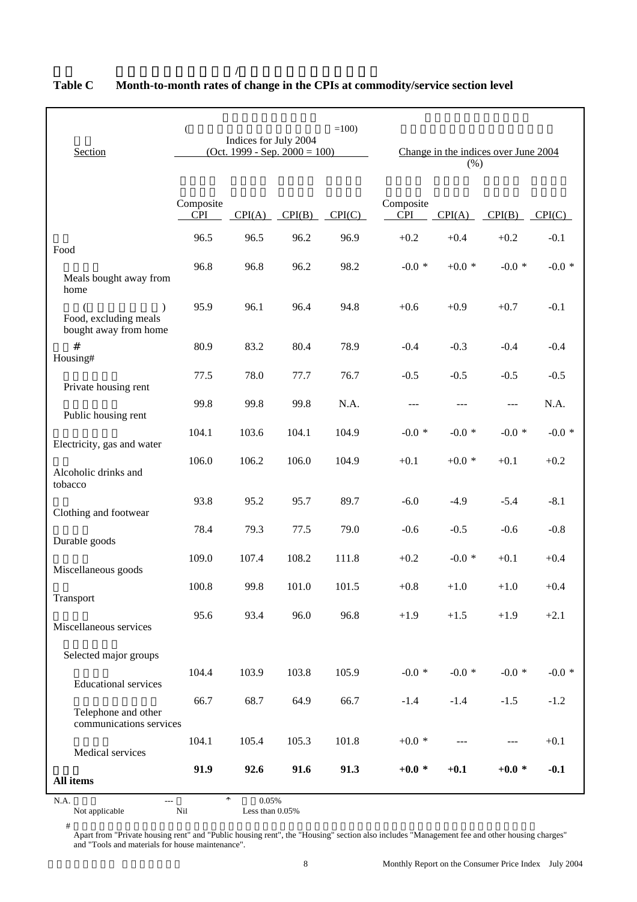| Section                                                     | $=100$ )<br>$\big($<br>Indices for July 2004<br>$(Oct. 1999 - Sep. 2000 = 100)$ |        |        | Change in the indices over June 2004<br>(% ) |                         |         |                   |              |
|-------------------------------------------------------------|---------------------------------------------------------------------------------|--------|--------|----------------------------------------------|-------------------------|---------|-------------------|--------------|
|                                                             | Composite<br><b>CPI</b>                                                         | CPI(A) | CPI(B) | CPI(C)                                       | Composite<br><b>CPI</b> | CPI(A)  | $CPI(B)$ $CPI(C)$ |              |
| Food                                                        | 96.5                                                                            | 96.5   | 96.2   | 96.9                                         | $+0.2$                  | $+0.4$  | $+0.2$            | $-0.1$       |
| Meals bought away from<br>home                              | 96.8                                                                            | 96.8   | 96.2   | 98.2                                         | $-0.0*$                 | $+0.0*$ | $-0.0*$           | $-0.0*$      |
| $\lambda$<br>Food, excluding meals<br>bought away from home | 95.9                                                                            | 96.1   | 96.4   | 94.8                                         | $+0.6$                  | $+0.9$  | $+0.7$            | $-0.1$       |
| #<br>Housing#                                               | 80.9                                                                            | 83.2   | 80.4   | 78.9                                         | $-0.4$                  | $-0.3$  | $-0.4$            | $-0.4$       |
| Private housing rent                                        | 77.5                                                                            | 78.0   | 77.7   | 76.7                                         | $-0.5$                  | $-0.5$  | $-0.5$            | $-0.5$       |
| Public housing rent                                         | 99.8                                                                            | 99.8   | 99.8   | N.A.                                         |                         | $- - -$ | ---               | N.A.         |
| Electricity, gas and water                                  | 104.1                                                                           | 103.6  | 104.1  | 104.9                                        | $-0.0*$                 | $-0.0*$ | -0.0 $^\ast$      | $-0.0*$      |
| Alcoholic drinks and<br>tobacco                             | 106.0                                                                           | 106.2  | 106.0  | 104.9                                        | $+0.1$                  | $+0.0*$ | $+0.1$            | $+0.2$       |
| Clothing and footwear                                       | 93.8                                                                            | 95.2   | 95.7   | 89.7                                         | $-6.0$                  | $-4.9$  | $-5.4$            | $-8.1$       |
| Durable goods                                               | 78.4                                                                            | 79.3   | 77.5   | 79.0                                         | $-0.6$                  | $-0.5$  | $-0.6$            | $-0.8$       |
| Miscellaneous goods                                         | 109.0                                                                           | 107.4  | 108.2  | 111.8                                        | $+0.2$                  | $-0.0*$ | $+0.1$            | $+0.4$       |
| Transport                                                   | 100.8                                                                           | 99.8   | 101.0  | 101.5                                        | $+0.8$                  | $+1.0$  | $+1.0$            | $+0.4$       |
| Miscellaneous services                                      | 95.6                                                                            | 93.4   | 96.0   | 96.8                                         | $+1.9$                  | $+1.5$  | $+1.9$            | $+2.1$       |
| Selected major groups                                       |                                                                                 |        |        |                                              |                         |         |                   |              |
| <b>Educational services</b>                                 | 104.4                                                                           | 103.9  | 103.8  | 105.9                                        | -0.0 $^\ast$            | $-0.0*$ | $-0.0*$           | -0.0 $^\ast$ |
| Telephone and other<br>communications services              | 66.7                                                                            | 68.7   | 64.9   | 66.7                                         | $-1.4$                  | $-1.4$  | $-1.5$            | $-1.2$       |
| Medical services                                            | 104.1                                                                           | 105.4  | 105.3  | 101.8                                        | $+0.0*$                 | ---     | ---               | $+0.1$       |
| All items                                                   | 91.9                                                                            | 92.6   | 91.6   | 91.3                                         | $+0.0*$                 | $+0.1$  | $+0.0*$           | $-0.1$       |

#### **Table C Month-to-month rates of change in the CPIs at commodity/service section level**

表丙 消費物價指數內各商品**/**服務類別指數的按月變動率

N.A. Not applicable  $\overline{N}$  and  $\overline{N}$  and  $\overline{N}$  and  $\overline{N}$  and  $\overline{N}$  and  $\overline{N}$  and  $\overline{N}$  and  $\overline{N}$  and  $\overline{N}$  and  $\overline{N}$  and  $\overline{N}$  and  $\overline{N}$  and  $\overline{N}$  and  $\overline{N}$  and  $\overline{N}$  and  $\overline{N}$ Less than  $0.05%$ 

 $#$ 

Apart from "Private housing rent" and "Public housing rent", the "Housing" section also includes "Management fee and other housing charges" and "Tools and materials for house maintenance".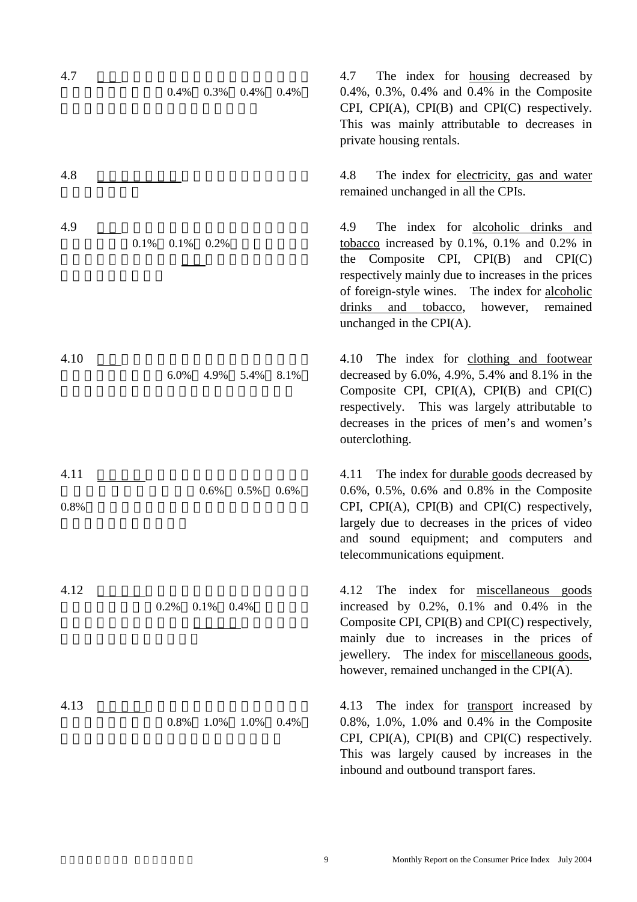| 4.7          | 0.4%<br>0.3%<br>0.4% | 0.4% | The index for <u>housing</u> decreased by<br>4.7<br>0.4%, 0.3%, 0.4% and 0.4% in the Composite<br>CPI, CPI(A), CPI(B) and CPI(C) respectively.<br>This was mainly attributable to decreases in<br>private housing rentals.                                                                                                              |
|--------------|----------------------|------|-----------------------------------------------------------------------------------------------------------------------------------------------------------------------------------------------------------------------------------------------------------------------------------------------------------------------------------------|
| 4.8          |                      |      | The index for electricity, gas and water<br>4.8<br>remained unchanged in all the CPIs.                                                                                                                                                                                                                                                  |
| 4.9          | 0.1%<br>0.1%<br>0.2% |      | The index for alcoholic drinks and<br>4.9<br>tobacco increased by $0.1\%$ , $0.1\%$ and $0.2\%$ in<br>the Composite CPI, CPI(B) and<br>CPI(C)<br>respectively mainly due to increases in the prices<br>of foreign-style wines. The index for alcoholic<br>and tobacco,<br>drinks<br>however,<br>remained<br>unchanged in the $CPI(A)$ . |
| 4.10         | 6.0%<br>4.9%<br>5.4% | 8.1% | The index for clothing and footwear<br>4.10<br>decreased by $6.0\%, 4.9\%, 5.4\%$ and $8.1\%$ in the<br>Composite CPI, CPI(A), CPI(B) and CPI(C)<br>respectively. This was largely attributable to<br>decreases in the prices of men's and women's<br>outerclothing.                                                                    |
| 4.11<br>0.8% | 0.6%<br>0.5%         | 0.6% | The index for <u>durable goods</u> decreased by<br>4.11<br>0.6%, 0.5%, 0.6% and 0.8% in the Composite<br>CPI, CPI(A), CPI(B) and CPI(C) respectively,<br>largely due to decreases in the prices of video<br>and sound equipment; and computers<br>and<br>telecommunications equipment.                                                  |
| 4.12         | 0.2%<br>0.1%<br>0.4% |      | The index for <u>miscellaneous</u> goods<br>4.12<br>increased by $0.2\%$ , $0.1\%$ and $0.4\%$ in the<br>Composite CPI, CPI(B) and CPI(C) respectively,<br>mainly due to increases in the prices of<br>jewellery. The index for miscellaneous goods,<br>however, remained unchanged in the CPI(A).                                      |
| 4.13         | 0.8%<br>1.0%<br>1.0% | 0.4% | The index for transport increased by<br>4.13<br>$0.8\%$ , 1.0%, 1.0% and 0.4% in the Composite<br>CPI, CPI(A), CPI(B) and CPI(C) respectively.<br>This was largely caused by increases in the<br>inbound and outbound transport fares.                                                                                                  |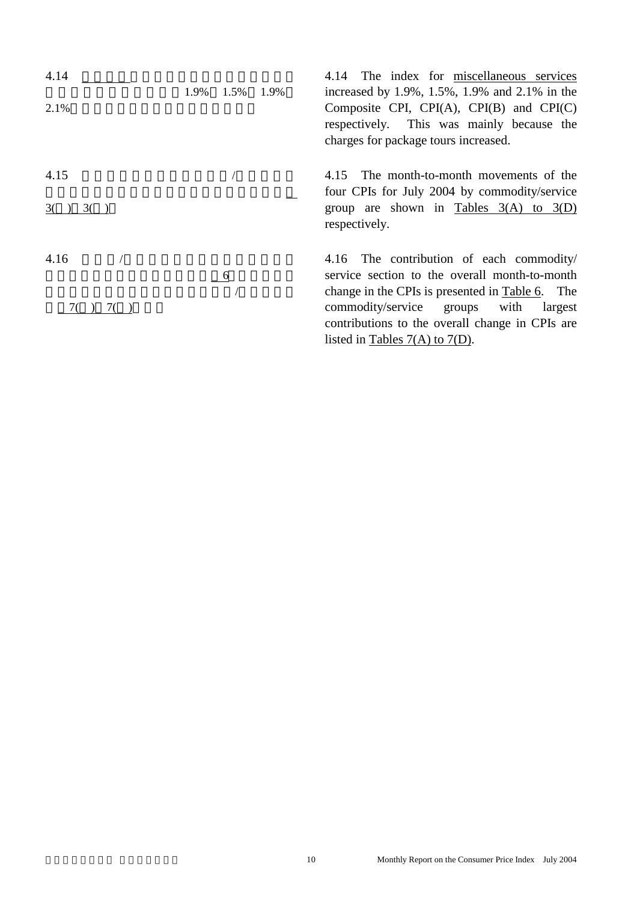| 4.14<br>2.1% | 1.9%<br>1.5% | 1.9% | 4.14 The index for miscellaneous services<br>increased by 1.9%, 1.5%, 1.9% and 2.1% in the<br>Composite CPI, CPI(A), CPI(B) and CPI(C)<br>respectively. This was mainly because the<br>charges for package tours increased.                                                                      |
|--------------|--------------|------|--------------------------------------------------------------------------------------------------------------------------------------------------------------------------------------------------------------------------------------------------------------------------------------------------|
| 4.15<br>3()  |              |      | The month-to-month movements of the<br>4.15<br>four CPIs for July 2004 by commodity/service<br>group are shown in Tables $3(A)$ to $3(D)$<br>respectively.                                                                                                                                       |
| 4.16<br>7()  | 6            |      | 4.16 The contribution of each commodity/<br>service section to the overall month-to-month<br>change in the CPIs is presented in <u>Table 6</u> . The<br>commodity/service<br>with<br>groups<br>largest<br>contributions to the overall change in CPIs are<br>listed in Tables $7(A)$ to $7(D)$ . |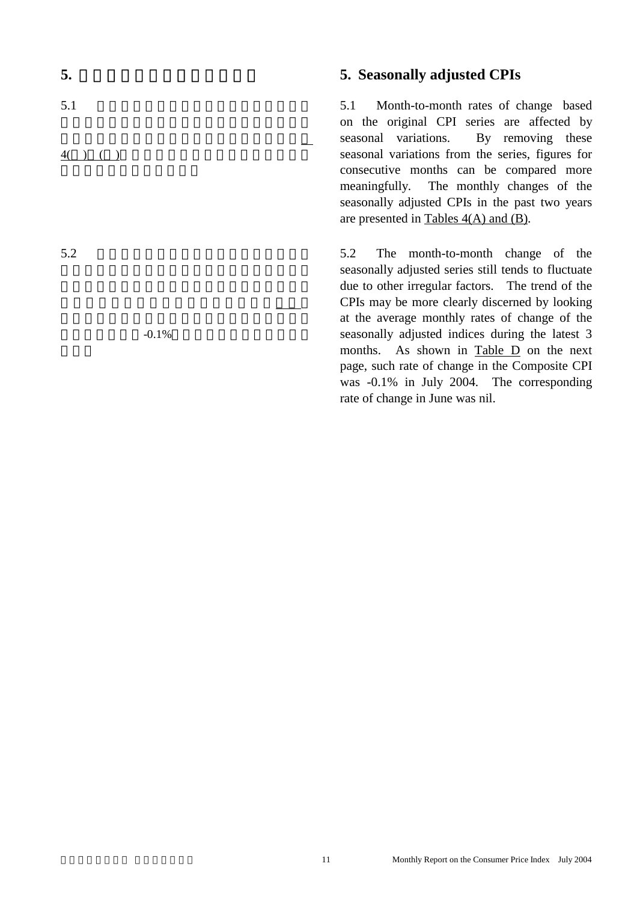# $5.1$  $4()()()$

 $-0.1\%$ 

 $5.2$ 

#### **5.** Seasonally adjusted CPIs

 5.1 Month-to-month rates of change based on the original CPI series are affected by seasonal variations. By removing these seasonal variations from the series, figures for consecutive months can be compared more meaningfully. The monthly changes of the seasonally adjusted CPIs in the past two years are presented in Tables 4(A) and (B).

 5.2 The month-to-month change of the seasonally adjusted series still tends to fluctuate due to other irregular factors. The trend of the CPIs may be more clearly discerned by looking at the average monthly rates of change of the seasonally adjusted indices during the latest 3 months. As shown in Table D on the next page, such rate of change in the Composite CPI was -0.1% in July 2004. The corresponding rate of change in June was nil.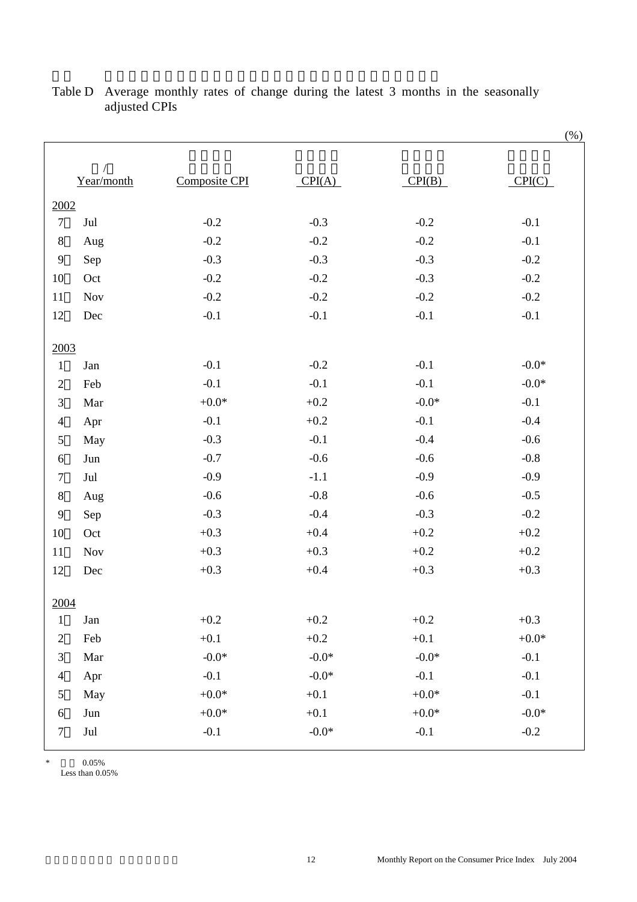|                  |                          |                      |         |         | $(\% )$  |
|------------------|--------------------------|----------------------|---------|---------|----------|
|                  | $\sqrt{2}$<br>Year/month | <b>Composite CPI</b> | CPI(A)  | CPI(B)  | CPI(C)   |
| 2002             |                          |                      |         |         |          |
| $\boldsymbol{7}$ | Jul                      | $-0.2$               | $-0.3$  | $-0.2$  | $-0.1$   |
| $8\,$            | Aug                      | $-0.2$               | $-0.2$  | $-0.2$  | $-0.1$   |
| $\mathbf{9}$     | Sep                      | $-0.3$               | $-0.3$  | $-0.3$  | $-0.2$   |
| 10               | Oct                      | $-0.2$               | $-0.2$  | $-0.3$  | $-0.2$   |
| 11               | <b>Nov</b>               | $-0.2$               | $-0.2$  | $-0.2$  | $-0.2$   |
| 12               | Dec                      | $-0.1$               | $-0.1$  | $-0.1$  | $-0.1$   |
|                  |                          |                      |         |         |          |
| 2003             |                          |                      |         |         |          |
| $\mathbf{1}$     | Jan                      | $-0.1$               | $-0.2$  | $-0.1$  | $-0.0*$  |
| $\mathfrak{2}$   | Feb                      | $-0.1$               | $-0.1$  | $-0.1$  | $-0.0*$  |
| $\mathfrak{Z}$   | Mar                      | $+0.0*$              | $+0.2$  | $-0.0*$ | $-0.1$   |
| $\overline{4}$   | Apr                      | $-0.1$               | $+0.2$  | $-0.1$  | $-0.4$   |
| 5                | May                      | $-0.3$               | $-0.1$  | $-0.4$  | $-0.6$   |
| 6                | Jun                      | $-0.7$               | $-0.6$  | $-0.6$  | $-0.8$   |
| $\tau$           | Jul                      | $-0.9$               | $-1.1$  | $-0.9$  | $-0.9$   |
| $8\,$            | Aug                      | $-0.6$               | $-0.8$  | $-0.6$  | $-0.5$   |
| $\mathbf{9}$     | Sep                      | $-0.3$               | $-0.4$  | $-0.3$  | $-0.2$   |
| $10\,$           | Oct                      | $+0.3$               | $+0.4$  | $+0.2$  | $+0.2$   |
| 11               | <b>Nov</b>               | $+0.3$               | $+0.3$  | $+0.2$  | $+0.2$   |
| 12               | Dec                      | $+0.3$               | $+0.4$  | $+0.3$  | $+0.3$   |
|                  |                          |                      |         |         |          |
| 2004             |                          |                      |         |         |          |
| $\mathbf{1}$     | Jan                      | $+0.2$               | $+0.2$  | $+0.2$  | $+0.3$   |
| $\overline{2}$   | Feb                      | $+0.1$               | $+0.2$  | $+0.1$  | $+0.0^*$ |
| 3                | Mar                      | $-0.0*$              | $-0.0*$ | $-0.0*$ | $-0.1$   |
| $\overline{4}$   | Apr                      | $-0.1$               | $-0.0*$ | $-0.1$  | $-0.1$   |
| 5                | May                      | $+0.0*$              | $+0.1$  | $+0.0*$ | $-0.1$   |
| 6                | Jun                      | $+0.0*$              | $+0.1$  | $+0.0*$ | $-0.0*$  |
| $\tau$           | Jul                      | $-0.1$               | $-0.0*$ | $-0.1$  | $-0.2$   |
|                  |                          |                      |         |         |          |

#### Table D Average monthly rates of change during the latest 3 months in the seasonally adjusted CPIs

\*  $0.05\%$ 

Less than 0.05%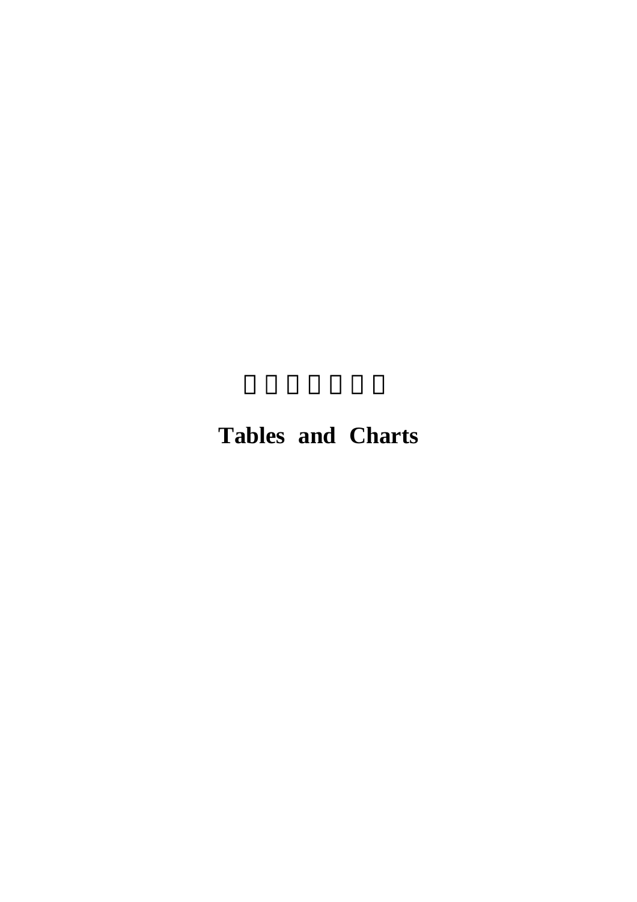## **Tables and Charts**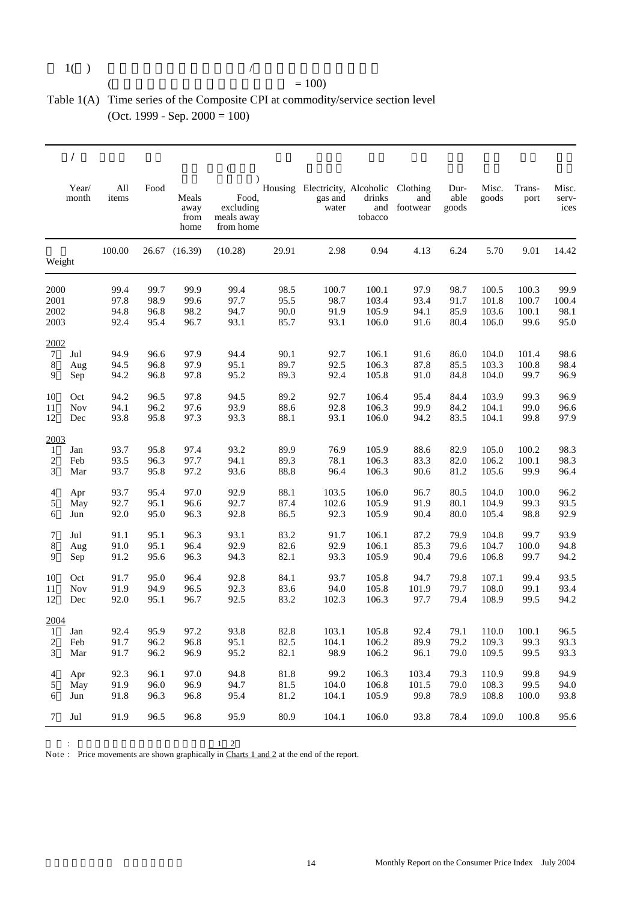$$
1( )
$$

$$
\mathcal{L}_{\mathcal{A}}(t)
$$

#### $($  = 100) Table 1(A) Time series of the Composite CPI at commodity/service section level (Oct. 1999 - Sep. 2000 = 100)

|                |                |              |      |                               | $\overline{(\ }$                                           |       |                                                    |                   |                                 |                       |                |                |                        |
|----------------|----------------|--------------|------|-------------------------------|------------------------------------------------------------|-------|----------------------------------------------------|-------------------|---------------------------------|-----------------------|----------------|----------------|------------------------|
|                | Year/<br>month | All<br>items | Food | Meals<br>away<br>from<br>home | $\lambda$<br>Food,<br>excluding<br>meals away<br>from home |       | Housing Electricity, Alcoholic<br>gas and<br>water | drinks<br>tobacco | Clothing<br>and<br>and footwear | Dur-<br>able<br>goods | Misc.<br>goods | Trans-<br>port | Misc.<br>serv-<br>ices |
| Weight         |                | 100.00       |      | 26.67 (16.39)                 | (10.28)                                                    | 29.91 | 2.98                                               | 0.94              | 4.13                            | 6.24                  | 5.70           | 9.01           | 14.42                  |
| 2000           |                | 99.4         | 99.7 | 99.9                          | 99.4                                                       | 98.5  | 100.7                                              | 100.1             | 97.9                            | 98.7                  | 100.5          | 100.3          | 99.9                   |
| 2001           |                | 97.8         | 98.9 | 99.6                          | 97.7                                                       | 95.5  | 98.7                                               | 103.4             | 93.4                            | 91.7                  | 101.8          | 100.7          | 100.4                  |
| 2002           |                | 94.8         | 96.8 | 98.2                          | 94.7                                                       | 90.0  | 91.9                                               | 105.9             | 94.1                            | 85.9                  | 103.6          | 100.1          | 98.1                   |
| 2003           |                | 92.4         | 95.4 | 96.7                          | 93.1                                                       | 85.7  | 93.1                                               | 106.0             | 91.6                            | 80.4                  | 106.0          | 99.6           | 95.0                   |
| 2002           |                |              |      |                               |                                                            |       |                                                    |                   |                                 |                       |                |                |                        |
| $\tau$         | Jul            | 94.9         | 96.6 | 97.9                          | 94.4                                                       | 90.1  | 92.7                                               | 106.1             | 91.6                            | 86.0                  | 104.0          | 101.4          | 98.6                   |
| 8              | Aug            | 94.5         | 96.8 | 97.9                          | 95.1                                                       | 89.7  | 92.5                                               | 106.3             | 87.8                            | 85.5                  | 103.3          | 100.8          | 98.4                   |
| 9              | Sep            | 94.2         | 96.8 | 97.8                          | 95.2                                                       | 89.3  | 92.4                                               | 105.8             | 91.0                            | 84.8                  | 104.0          | 99.7           | 96.9                   |
| 10             | Oct            | 94.2         | 96.5 | 97.8                          | 94.5                                                       | 89.2  | 92.7                                               | 106.4             | 95.4                            | 84.4                  | 103.9          | 99.3           | 96.9                   |
| 11             | Nov            | 94.1         | 96.2 | 97.6                          | 93.9                                                       | 88.6  | 92.8                                               | 106.3             | 99.9                            | 84.2                  | 104.1          | 99.0           | 96.6                   |
| 12             | Dec            | 93.8         | 95.8 | 97.3                          | 93.3                                                       | 88.1  | 93.1                                               | 106.0             | 94.2                            | 83.5                  | 104.1          | 99.8           | 97.9                   |
| 2003           |                |              |      |                               |                                                            |       |                                                    |                   |                                 |                       |                |                |                        |
| $\mathbf{1}$   | Jan            | 93.7         | 95.8 | 97.4                          | 93.2                                                       | 89.9  | 76.9                                               | 105.9             | 88.6                            | 82.9                  | 105.0          | 100.2          | 98.3                   |
| $\overline{c}$ | Feb            | 93.5         | 96.3 | 97.7                          | 94.1                                                       | 89.3  | 78.1                                               | 106.3             | 83.3                            | 82.0                  | 106.2          | 100.1          | 98.3                   |
| 3              | Mar            | 93.7         | 95.8 | 97.2                          | 93.6                                                       | 88.8  | 96.4                                               | 106.3             | 90.6                            | 81.2                  | 105.6          | 99.9           | 96.4                   |
| 4              | Apr            | 93.7         | 95.4 | 97.0                          | 92.9                                                       | 88.1  | 103.5                                              | 106.0             | 96.7                            | 80.5                  | 104.0          | 100.0          | 96.2                   |
| 5              | May            | 92.7         | 95.1 | 96.6                          | 92.7                                                       | 87.4  | 102.6                                              | 105.9             | 91.9                            | 80.1                  | 104.9          | 99.3           | 93.5                   |
| 6              | Jun            | 92.0         | 95.0 | 96.3                          | 92.8                                                       | 86.5  | 92.3                                               | 105.9             | 90.4                            | 80.0                  | 105.4          | 98.8           | 92.9                   |
| 7              | Jul            | 91.1         | 95.1 | 96.3                          | 93.1                                                       | 83.2  | 91.7                                               | 106.1             | 87.2                            | 79.9                  | 104.8          | 99.7           | 93.9                   |
| 8              | Aug            | 91.0         | 95.1 | 96.4                          | 92.9                                                       | 82.6  | 92.9                                               | 106.1             | 85.3                            | 79.6                  | 104.7          | 100.0          | 94.8                   |
| 9              | Sep            | 91.2         | 95.6 | 96.3                          | 94.3                                                       | 82.1  | 93.3                                               | 105.9             | 90.4                            | 79.6                  | 106.8          | 99.7           | 94.2                   |
| 10             | Oct            | 91.7         | 95.0 | 96.4                          | 92.8                                                       | 84.1  | 93.7                                               | 105.8             | 94.7                            | 79.8                  | 107.1          | 99.4           | 93.5                   |
| 11             | <b>Nov</b>     | 91.9         | 94.9 | 96.5                          | 92.3                                                       | 83.6  | 94.0                                               | 105.8             | 101.9                           | 79.7                  | 108.0          | 99.1           | 93.4                   |
| 12             | Dec            | 92.0         | 95.1 | 96.7                          | 92.5                                                       | 83.2  | 102.3                                              | 106.3             | 97.7                            | 79.4                  | 108.9          | 99.5           | 94.2                   |
| 2004           |                |              |      |                               |                                                            |       |                                                    |                   |                                 |                       |                |                |                        |
| 1              | Jan            | 92.4         | 95.9 | 97.2                          | 93.8                                                       | 82.8  | 103.1                                              | 105.8             | 92.4                            | 79.1                  | 110.0          | 100.1          | 96.5                   |
| $\overline{2}$ | Feb            | 91.7         | 96.2 | 96.8                          | 95.1                                                       | 82.5  | 104.1                                              | 106.2             | 89.9                            | 79.2                  | 109.3          | 99.3           | 93.3                   |
| 3              | Mar            | 91.7         | 96.2 | 96.9                          | 95.2                                                       | 82.1  | 98.9                                               | 106.2             | 96.1                            | 79.0                  | 109.5          | 99.5           | 93.3                   |
| 4              | Apr            | 92.3         | 96.1 | 97.0                          | 94.8                                                       | 81.8  | 99.2                                               | 106.3             | 103.4                           | 79.3                  | 110.9          | 99.8           | 94.9                   |
| 5              | May            | 91.9         | 96.0 | 96.9                          | 94.7                                                       | 81.5  | 104.0                                              | 106.8             | 101.5                           | 79.0                  | 108.3          | 99.5           | 94.0                   |
| 6              | Jun            | 91.8         | 96.3 | 96.8                          | 95.4                                                       | 81.2  | 104.1                                              | 105.9             | 99.8                            | 78.9                  | 108.8          | 100.0          | 93.8                   |
| 7              | Jul            | 91.9         | 96.5 | 96.8                          | 95.9                                                       | 80.9  | 104.1                                              | 106.0             | 93.8                            | 78.4                  | 109.0          | 100.8          | 95.6                   |

 $1 \quad 2$ 

 $\ddot{\cdot}$ Note : Price movements are shown graphically in Charts 1 and 2 at the end of the report.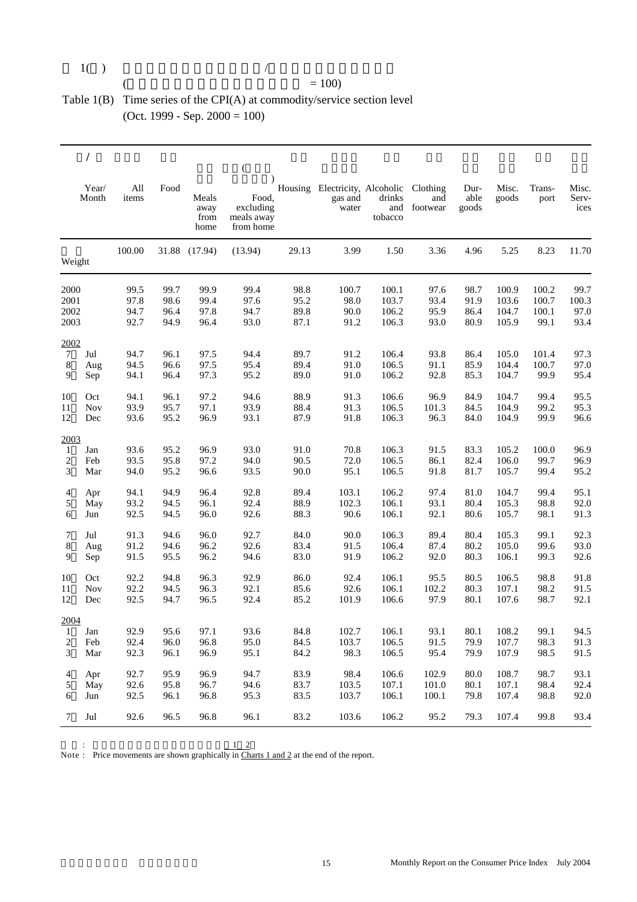| 1() |  |  |
|-----|--|--|
|     |  |  |

#### $($  = 100)

#### Table 1(B) Time series of the CPI(A) at commodity/service section level (Oct. 1999 - Sep. 2000 = 100)

|                         |                |              |      |                               | $\left($                                      |       |                                                    |                   |                                 |                       |                |                |                        |
|-------------------------|----------------|--------------|------|-------------------------------|-----------------------------------------------|-------|----------------------------------------------------|-------------------|---------------------------------|-----------------------|----------------|----------------|------------------------|
|                         | Year/<br>Month | All<br>items | Food | Meals<br>away<br>from<br>home | Food,<br>excluding<br>meals away<br>from home |       | Housing Electricity, Alcoholic<br>gas and<br>water | drinks<br>tobacco | Clothing<br>and<br>and footwear | Dur-<br>able<br>goods | Misc.<br>goods | Trans-<br>port | Misc.<br>Serv-<br>ices |
| Weight                  |                | 100.00       |      | 31.88 (17.94)                 | (13.94)                                       | 29.13 | 3.99                                               | 1.50              | 3.36                            | 4.96                  | 5.25           | 8.23           | 11.70                  |
| 2000                    |                | 99.5         | 99.7 | 99.9                          | 99.4                                          | 98.8  | 100.7                                              | 100.1             | 97.6                            | 98.7                  | 100.9          | 100.2          | 99.7                   |
| 2001                    |                | 97.8         | 98.6 | 99.4                          | 97.6                                          | 95.2  | 98.0                                               | 103.7             | 93.4                            | 91.9                  | 103.6          | 100.7          | 100.3                  |
| 2002                    |                | 94.7         | 96.4 | 97.8                          | 94.7                                          | 89.8  | 90.0                                               | 106.2             | 95.9                            | 86.4                  | 104.7          | 100.1          | 97.0                   |
| 2003                    |                | 92.7         | 94.9 | 96.4                          | 93.0                                          | 87.1  | 91.2                                               | 106.3             | 93.0                            | 80.9                  | 105.9          | 99.1           | 93.4                   |
| 2002                    |                |              |      |                               |                                               |       |                                                    |                   |                                 |                       |                |                |                        |
| $\tau$                  | Jul            | 94.7         | 96.1 | 97.5                          | 94.4                                          | 89.7  | 91.2                                               | 106.4             | 93.8                            | 86.4                  | 105.0          | 101.4          | 97.3                   |
| 8                       | Aug            | 94.5         | 96.6 | 97.5                          | 95.4                                          | 89.4  | 91.0                                               | 106.5             | 91.1                            | 85.9                  | 104.4          | 100.7          | 97.0                   |
| 9                       | Sep            | 94.1         | 96.4 | 97.3                          | 95.2                                          | 89.0  | 91.0                                               | 106.2             | 92.8                            | 85.3                  | 104.7          | 99.9           | 95.4                   |
| 10                      | Oct            | 94.1         | 96.1 | 97.2                          | 94.6                                          | 88.9  | 91.3                                               | 106.6             | 96.9                            | 84.9                  | 104.7          | 99.4           | 95.5                   |
| 11                      | <b>Nov</b>     | 93.9         | 95.7 | 97.1                          | 93.9                                          | 88.4  | 91.3                                               | 106.5             | 101.3                           | 84.5                  | 104.9          | 99.2           | 95.3                   |
| 12                      | Dec            | 93.6         | 95.2 | 96.9                          | 93.1                                          | 87.9  | 91.8                                               | 106.3             | 96.3                            | 84.0                  | 104.9          | 99.9           | 96.6                   |
| 2003                    |                |              |      |                               |                                               |       |                                                    |                   |                                 |                       |                |                |                        |
| 1                       | Jan            | 93.6         | 95.2 | 96.9                          | 93.0                                          | 91.0  | 70.8                                               | 106.3             | 91.5                            | 83.3                  | 105.2          | 100.0          | 96.9                   |
| 2                       | Feb            | 93.5         | 95.8 | 97.2                          | 94.0                                          | 90.5  | 72.0                                               | 106.5             | 86.1                            | 82.4                  | 106.0          | 99.7           | 96.9                   |
| 3                       | Mar            | 94.0         | 95.2 | 96.6                          | 93.5                                          | 90.0  | 95.1                                               | 106.5             | 91.8                            | 81.7                  | 105.7          | 99.4           | 95.2                   |
| 4                       | Apr            | 94.1         | 94.9 | 96.4                          | 92.8                                          | 89.4  | 103.1                                              | 106.2             | 97.4                            | 81.0                  | 104.7          | 99.4           | 95.1                   |
| 5                       | May            | 93.2         | 94.5 | 96.1                          | 92.4                                          | 88.9  | 102.3                                              | 106.1             | 93.1                            | 80.4                  | 105.3          | 98.8           | 92.0                   |
| 6                       | Jun            | 92.5         | 94.5 | 96.0                          | 92.6                                          | 88.3  | 90.6                                               | 106.1             | 92.1                            | 80.6                  | 105.7          | 98.1           | 91.3                   |
| 7                       | Jul            | 91.3         | 94.6 | 96.0                          | 92.7                                          | 84.0  | 90.0                                               | 106.3             | 89.4                            | 80.4                  | 105.3          | 99.1           | 92.3                   |
| 8                       | Aug            | 91.2         | 94.6 | 96.2                          | 92.6                                          | 83.4  | 91.5                                               | 106.4             | 87.4                            | 80.2                  | 105.0          | 99.6           | 93.0                   |
| 9                       | Sep            | 91.5         | 95.5 | 96.2                          | 94.6                                          | 83.0  | 91.9                                               | 106.2             | 92.0                            | 80.3                  | 106.1          | 99.3           | 92.6                   |
| 10                      | Oct            | 92.2         | 94.8 | 96.3                          | 92.9                                          | 86.0  | 92.4                                               | 106.1             | 95.5                            | 80.5                  | 106.5          | 98.8           | 91.8                   |
| 11                      | <b>Nov</b>     | 92.2         | 94.5 | 96.3                          | 92.1                                          | 85.6  | 92.6                                               | 106.1             | 102.2                           | 80.3                  | 107.1          | 98.2           | 91.5                   |
| 12                      | Dec            | 92.5         | 94.7 | 96.5                          | 92.4                                          | 85.2  | 101.9                                              | 106.6             | 97.9                            | 80.1                  | 107.6          | 98.7           | 92.1                   |
| 2004                    |                |              |      |                               |                                               |       |                                                    |                   |                                 |                       |                |                |                        |
| 1                       | Jan            | 92.9         | 95.6 | 97.1                          | 93.6                                          | 84.8  | 102.7                                              | 106.1             | 93.1                            | 80.1                  | 108.2          | 99.1           | 94.5                   |
| $\overline{\mathbf{c}}$ | Feb            | 92.4         | 96.0 | 96.8                          | 95.0                                          | 84.5  | 103.7                                              | 106.5             | 91.5                            | 79.9                  | 107.7          | 98.3           | 91.3                   |
| 3                       | Mar            | 92.3         | 96.1 | 96.9                          | 95.1                                          | 84.2  | 98.3                                               | 106.5             | 95.4                            | 79.9                  | 107.9          | 98.5           | 91.5                   |
| 4                       | Apr            | 92.7         | 95.9 | 96.9                          | 94.7                                          | 83.9  | 98.4                                               | 106.6             | 102.9                           | 80.0                  | 108.7          | 98.7           | 93.1                   |
| 5                       | May            | 92.6         | 95.8 | 96.7                          | 94.6                                          | 83.7  | 103.5                                              | 107.1             | 101.0                           | 80.1                  | 107.1          | 98.4           | 92.4                   |
| 6                       | Jun            | 92.5         | 96.1 | 96.8                          | 95.3                                          | 83.5  | 103.7                                              | 106.1             | 100.1                           | 79.8                  | 107.4          | 98.8           | 92.0                   |
| 7                       | Jul            | 92.6         | 96.5 | 96.8                          | 96.1                                          | 83.2  | 103.6                                              | 106.2             | 95.2                            | 79.3                  | 107.4          | 99.8           | 93.4                   |

價格變動情況顯示於本報告尾部的圖1 2

Note : Price movements are shown graphically in Charts 1 and 2 at the end of the report.

 $\ddot{\cdot}$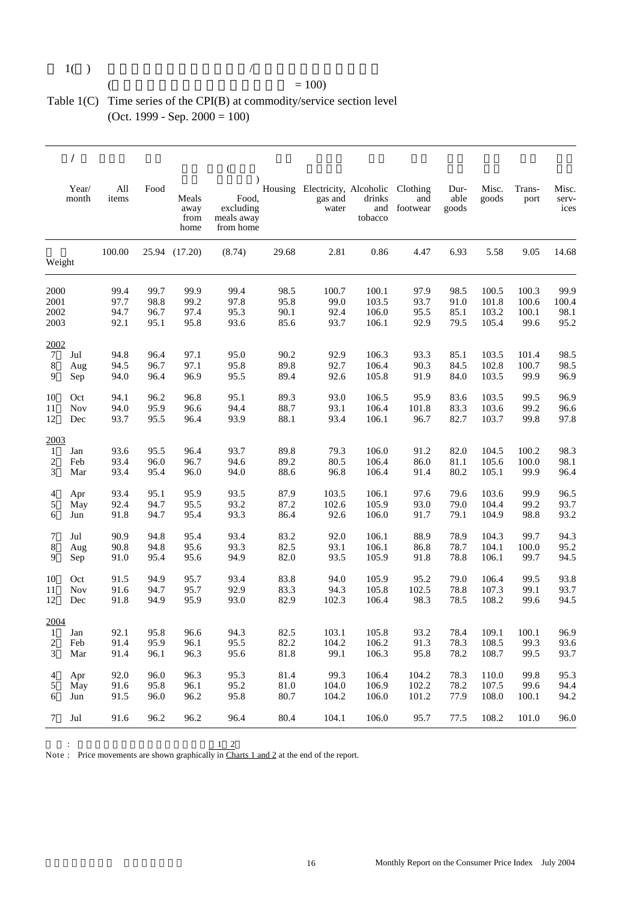#### $1()$   $/$

#### $($  = 100)

#### Table 1(C) Time series of the CPI(B) at commodity/service section level (Oct. 1999 - Sep. 2000 = 100)

|                  |                |              |              |                               | $\left($                                                   |              |                                                    |                   |                                 |                       |                |                |                        |
|------------------|----------------|--------------|--------------|-------------------------------|------------------------------------------------------------|--------------|----------------------------------------------------|-------------------|---------------------------------|-----------------------|----------------|----------------|------------------------|
|                  | Year/<br>month | All<br>items | Food         | Meals<br>away<br>from<br>home | $\lambda$<br>Food.<br>excluding<br>meals away<br>from home |              | Housing Electricity, Alcoholic<br>gas and<br>water | drinks<br>tobacco | Clothing<br>and<br>and footwear | Dur-<br>able<br>goods | Misc.<br>goods | Trans-<br>port | Misc.<br>serv-<br>ices |
| Weight           |                | 100.00       |              | 25.94 (17.20)                 | (8.74)                                                     | 29.68        | 2.81                                               | 0.86              | 4.47                            | 6.93                  | 5.58           | 9.05           | 14.68                  |
|                  |                |              |              |                               |                                                            |              |                                                    |                   |                                 |                       |                |                |                        |
| 2000             |                | 99.4<br>97.7 | 99.7<br>98.8 | 99.9<br>99.2                  | 99.4<br>97.8                                               | 98.5<br>95.8 | 100.7<br>99.0                                      | 100.1<br>103.5    | 97.9                            | 98.5                  | 100.5          | 100.3          | 99.9                   |
| 2001<br>2002     |                | 94.7         | 96.7         |                               |                                                            | 90.1         | 92.4                                               |                   | 93.7                            | 91.0<br>85.1          | 101.8          | 100.6<br>100.1 | 100.4<br>98.1          |
| 2003             |                | 92.1         | 95.1         | 97.4<br>95.8                  | 95.3<br>93.6                                               | 85.6         | 93.7                                               | 106.0<br>106.1    | 95.5<br>92.9                    | 79.5                  | 103.2<br>105.4 | 99.6           | 95.2                   |
| 2002             |                |              |              |                               |                                                            |              |                                                    |                   |                                 |                       |                |                |                        |
| $\tau$           | Jul            | 94.8         | 96.4         | 97.1                          | 95.0                                                       | 90.2         | 92.9                                               | 106.3             | 93.3                            | 85.1                  | 103.5          | 101.4          | 98.5                   |
| $\bf 8$          | Aug            | 94.5         | 96.7         | 97.1                          | 95.8                                                       | 89.8         | 92.7                                               | 106.4             | 90.3                            | 84.5                  | 102.8          | 100.7          | 98.5                   |
| 9                | Sep            | 94.0         | 96.4         | 96.9                          | 95.5                                                       | 89.4         | 92.6                                               | 105.8             | 91.9                            | 84.0                  | 103.5          | 99.9           | 96.9                   |
| 10               | Oct            | 94.1         | 96.2         | 96.8                          | 95.1                                                       | 89.3         | 93.0                                               | 106.5             | 95.9                            | 83.6                  | 103.5          | 99.5           | 96.9                   |
| 11               | <b>Nov</b>     | 94.0         | 95.9         | 96.6                          | 94.4                                                       | 88.7         | 93.1                                               | 106.4             | 101.8                           | 83.3                  | 103.6          | 99.2           | 96.6                   |
| 12               | Dec            | 93.7         | 95.5         | 96.4                          | 93.9                                                       | 88.1         | 93.4                                               | 106.1             | 96.7                            | 82.7                  | 103.7          | 99.8           | 97.8                   |
| 2003             |                |              |              |                               |                                                            |              |                                                    |                   |                                 |                       |                |                |                        |
| $\mathbf{1}$     | Jan            | 93.6         | 95.5         | 96.4                          | 93.7                                                       | 89.8         | 79.3                                               | 106.0             | 91.2                            | 82.0                  | 104.5          | 100.2          | 98.3                   |
| $\boldsymbol{2}$ | Feb            | 93.4         | 96.0         | 96.7                          | 94.6                                                       | 89.2         | 80.5                                               | 106.4             | 86.0                            | 81.1                  | 105.6          | 100.0          | 98.1                   |
| 3                | Mar            | 93.4         | 95.4         | 96.0                          | 94.0                                                       | 88.6         | 96.8                                               | 106.4             | 91.4                            | 80.2                  | 105.1          | 99.9           | 96.4                   |
| 4                | Apr            | 93.4         | 95.1         | 95.9                          | 93.5                                                       | 87.9         | 103.5                                              | 106.1             | 97.6                            | 79.6                  | 103.6          | 99.9           | 96.5                   |
| 5                | May            | 92.4         | 94.7         | 95.5                          | 93.2                                                       | 87.2         | 102.6                                              | 105.9             | 93.0                            | 79.0                  | 104.4          | 99.2           | 93.7                   |
| 6                | Jun            | 91.8         | 94.7         | 95.4                          | 93.3                                                       | 86.4         | 92.6                                               | 106.0             | 91.7                            | 79.1                  | 104.9          | 98.8           | 93.2                   |
| 7                | Jul            | 90.9         | 94.8         | 95.4                          | 93.4                                                       | 83.2         | 92.0                                               | 106.1             | 88.9                            | 78.9                  | 104.3          | 99.7           | 94.3                   |
| 8                | Aug            | 90.8         | 94.8         | 95.6                          | 93.3                                                       | 82.5         | 93.1                                               | 106.1             | 86.8                            | 78.7                  | 104.1          | 100.0          | 95.2                   |
| 9                | Sep            | 91.0         | 95.4         | 95.6                          | 94.9                                                       | 82.0         | 93.5                                               | 105.9             | 91.8                            | 78.8                  | 106.1          | 99.7           | 94.5                   |
| 10               | Oct            | 91.5         | 94.9         | 95.7                          | 93.4                                                       | 83.8         | 94.0                                               | 105.9             | 95.2                            | 79.0                  | 106.4          | 99.5           | 93.8                   |
| 11               | <b>Nov</b>     | 91.6         | 94.7         | 95.7                          | 92.9                                                       | 83.3         | 94.3                                               | 105.8             | 102.5                           | 78.8                  | 107.3          | 99.1           | 93.7                   |
| 12               | Dec            | 91.8         | 94.9         | 95.9                          | 93.0                                                       | 82.9         | 102.3                                              | 106.4             | 98.3                            | 78.5                  | 108.2          | 99.6           | 94.5                   |
| 2004             |                |              |              |                               |                                                            |              |                                                    |                   |                                 |                       |                |                |                        |
| 1                | Jan            | 92.1         | 95.8         | 96.6                          | 94.3                                                       | 82.5         | 103.1                                              | 105.8             | 93.2                            | 78.4                  | 109.1          | 100.1          | 96.9                   |
| 2                | Feb            | 91.4         | 95.9         | 96.1                          | 95.5                                                       | 82.2         | 104.2                                              | 106.2             | 91.3                            | 78.3                  | 108.5          | 99.3           | 93.6                   |
| 3                | Mar            | 91.4         | 96.1         | 96.3                          | 95.6                                                       | 81.8         | 99.1                                               | 106.3             | 95.8                            | 78.2                  | 108.7          | 99.5           | 93.7                   |
| 4                | Apr            | 92.0         | 96.0         | 96.3                          | 95.3                                                       | 81.4         | 99.3                                               | 106.4             | 104.2                           | 78.3                  | 110.0          | 99.8           | 95.3                   |
| 5                | May            | 91.6         | 95.8         | 96.1                          | 95.2                                                       | 81.0         | 104.0                                              | 106.9             | 102.2                           | 78.2                  | 107.5          | 99.6           | 94.4                   |
| 6                | Jun            | 91.5         | 96.0         | 96.2                          | 95.8                                                       | 80.7         | 104.2                                              | 106.0             | 101.2                           | 77.9                  | 108.0          | 100.1          | 94.2                   |
| 7                | Jul            | 91.6         | 96.2         | 96.2                          | 96.4                                                       | 80.4         | 104.1                                              | 106.0             | 95.7                            | 77.5                  | 108.2          | 101.0          | 96.0                   |
|                  |                |              |              |                               |                                                            |              |                                                    |                   |                                 |                       |                |                |                        |

價格變動情況顯示於本報告尾部的圖1 2

Note: Price movements are shown graphically in Charts  $1$  and  $2$  at the end of the report.

 $\sim$  :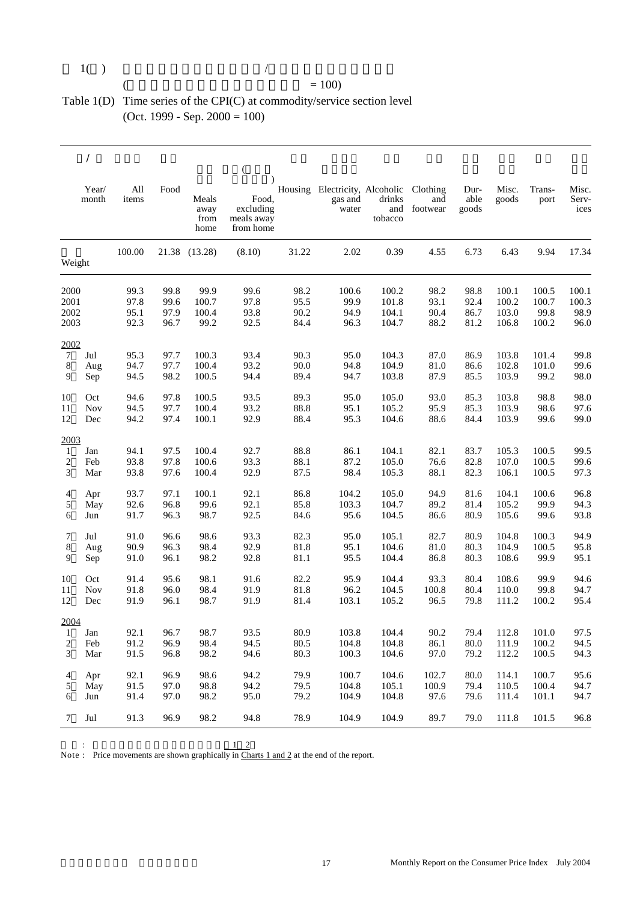| 1() |  |  |
|-----|--|--|

#### $($  = 100)

#### Table 1(D) Time series of the CPI(C) at commodity/service section level (Oct. 1999 - Sep. 2000 = 100)

|                |                |              |      |                               | $\left($                                      |       |                                                             |                          |                 |                       |                |                |                        |
|----------------|----------------|--------------|------|-------------------------------|-----------------------------------------------|-------|-------------------------------------------------------------|--------------------------|-----------------|-----------------------|----------------|----------------|------------------------|
|                | Year/<br>month | All<br>items | Food | Meals<br>away<br>from<br>home | Food,<br>excluding<br>meals away<br>from home |       | Housing Electricity, Alcoholic Clothing<br>gas and<br>water | drinks<br>and<br>tobacco | and<br>footwear | Dur-<br>able<br>goods | Misc.<br>goods | Trans-<br>port | Misc.<br>Serv-<br>ices |
| Weight         |                | 100.00       |      | 21.38 (13.28)                 | (8.10)                                        | 31.22 | 2.02                                                        | 0.39                     | 4.55            | 6.73                  | 6.43           | 9.94           | 17.34                  |
|                |                |              |      |                               |                                               |       |                                                             |                          |                 |                       |                |                |                        |
| 2000           |                | 99.3         | 99.8 | 99.9                          | 99.6                                          | 98.2  | 100.6                                                       | 100.2                    | 98.2            | 98.8                  | 100.1          | 100.5          | 100.1                  |
| 2001           |                | 97.8         | 99.6 | 100.7                         | 97.8                                          | 95.5  | 99.9                                                        | 101.8                    | 93.1            | 92.4                  | 100.2          | 100.7          | 100.3                  |
| 2002           |                | 95.1         | 97.9 | 100.4                         | 93.8                                          | 90.2  | 94.9                                                        | 104.1                    | 90.4            | 86.7                  | 103.0          | 99.8           | 98.9                   |
| 2003           |                | 92.3         | 96.7 | 99.2                          | 92.5                                          | 84.4  | 96.3                                                        | 104.7                    | 88.2            | 81.2                  | 106.8          | 100.2          | 96.0                   |
| 2002           |                |              |      |                               |                                               |       |                                                             |                          |                 |                       |                |                |                        |
| $\tau$         | Jul            | 95.3         | 97.7 | 100.3                         | 93.4                                          | 90.3  | 95.0                                                        | 104.3                    | 87.0            | 86.9                  | 103.8          | 101.4          | 99.8                   |
| 8              | Aug            | 94.7         | 97.7 | 100.4                         | 93.2                                          | 90.0  | 94.8                                                        | 104.9                    | 81.0            | 86.6                  | 102.8          | 101.0          | 99.6                   |
| 9              | Sep            | 94.5         | 98.2 | 100.5                         | 94.4                                          | 89.4  | 94.7                                                        | 103.8                    | 87.9            | 85.5                  | 103.9          | 99.2           | 98.0                   |
| 10             | Oct            | 94.6         | 97.8 | 100.5                         | 93.5                                          | 89.3  | 95.0                                                        | 105.0                    | 93.0            | 85.3                  | 103.8          | 98.8           | 98.0                   |
| 11             | <b>Nov</b>     | 94.5         | 97.7 | 100.4                         | 93.2                                          | 88.8  | 95.1                                                        | 105.2                    | 95.9            | 85.3                  | 103.9          | 98.6           | 97.6                   |
| 12             | Dec            | 94.2         | 97.4 | 100.1                         | 92.9                                          | 88.4  | 95.3                                                        | 104.6                    | 88.6            | 84.4                  | 103.9          | 99.6           | 99.0                   |
| 2003           |                |              |      |                               |                                               |       |                                                             |                          |                 |                       |                |                |                        |
| $\mathbf{1}$   | Jan            | 94.1         | 97.5 | 100.4                         | 92.7                                          | 88.8  | 86.1                                                        | 104.1                    | 82.1            | 83.7                  | 105.3          | 100.5          | 99.5                   |
| 2              | Feb            | 93.8         | 97.8 | 100.6                         | 93.3                                          | 88.1  | 87.2                                                        | 105.0                    | 76.6            | 82.8                  | 107.0          | 100.5          | 99.6                   |
| 3              | Mar            | 93.8         | 97.6 | 100.4                         | 92.9                                          | 87.5  | 98.4                                                        | 105.3                    | 88.1            | 82.3                  | 106.1          | 100.5          | 97.3                   |
| 4              | Apr            | 93.7         | 97.1 | 100.1                         | 92.1                                          | 86.8  | 104.2                                                       | 105.0                    | 94.9            | 81.6                  | 104.1          | 100.6          | 96.8                   |
| 5              | May            | 92.6         | 96.8 | 99.6                          | 92.1                                          | 85.8  | 103.3                                                       | 104.7                    | 89.2            | 81.4                  | 105.2          | 99.9           | 94.3                   |
| 6              | Jun            | 91.7         | 96.3 | 98.7                          | 92.5                                          | 84.6  | 95.6                                                        | 104.5                    | 86.6            | 80.9                  | 105.6          | 99.6           | 93.8                   |
| 7              | Jul            | 91.0         | 96.6 | 98.6                          | 93.3                                          | 82.3  | 95.0                                                        | 105.1                    | 82.7            | 80.9                  | 104.8          | 100.3          | 94.9                   |
| 8              | Aug            | 90.9         | 96.3 | 98.4                          | 92.9                                          | 81.8  | 95.1                                                        | 104.6                    | 81.0            | 80.3                  | 104.9          | 100.5          | 95.8                   |
| 9              | Sep            | 91.0         | 96.1 | 98.2                          | 92.8                                          | 81.1  | 95.5                                                        | 104.4                    | 86.8            | 80.3                  | 108.6          | 99.9           | 95.1                   |
| 10             | Oct            | 91.4         | 95.6 | 98.1                          | 91.6                                          | 82.2  | 95.9                                                        | 104.4                    | 93.3            | 80.4                  | 108.6          | 99.9           | 94.6                   |
| 11             | <b>Nov</b>     | 91.8         | 96.0 | 98.4                          | 91.9                                          | 81.8  | 96.2                                                        | 104.5                    | 100.8           | 80.4                  | 110.0          | 99.8           | 94.7                   |
| 12             | Dec            | 91.9         | 96.1 | 98.7                          | 91.9                                          | 81.4  | 103.1                                                       | 105.2                    | 96.5            | 79.8                  | 111.2          | 100.2          | 95.4                   |
| 2004           |                |              |      |                               |                                               |       |                                                             |                          |                 |                       |                |                |                        |
| 1              | Jan            | 92.1         | 96.7 | 98.7                          | 93.5                                          | 80.9  | 103.8                                                       | 104.4                    | 90.2            | 79.4                  | 112.8          | 101.0          | 97.5                   |
| $\overline{c}$ | Feb            | 91.2         | 96.9 | 98.4                          | 94.5                                          | 80.5  | 104.8                                                       | 104.8                    | 86.1            | $80.0\,$              | 111.9          | 100.2          | 94.5                   |
| 3              | Mar            | 91.5         | 96.8 | 98.2                          | 94.6                                          | 80.3  | 100.3                                                       | 104.6                    | 97.0            | 79.2                  | 112.2          | 100.5          | 94.3                   |
| 4              | Apr            | 92.1         | 96.9 | 98.6                          | 94.2                                          | 79.9  | 100.7                                                       | 104.6                    | 102.7           | 80.0                  | 114.1          | 100.7          | 95.6                   |
| 5              | May            | 91.5         | 97.0 | 98.8                          | 94.2                                          | 79.5  | 104.8                                                       | 105.1                    | 100.9           | 79.4                  | 110.5          | 100.4          | 94.7                   |
| 6              | Jun            | 91.4         | 97.0 | 98.2                          | 95.0                                          | 79.2  | 104.9                                                       | 104.8                    | 97.6            | 79.6                  | 111.4          | 101.1          | 94.7                   |
| 7              | Jul            | 91.3         | 96.9 | 98.2                          | 94.8                                          | 78.9  | 104.9                                                       | 104.9                    | 89.7            | 79.0                  | 111.8          | 101.5          | 96.8                   |
|                |                |              |      |                               |                                               |       |                                                             |                          |                 |                       |                |                |                        |

 $1 \quad 2$ 

Note : Price movements are shown graphically in Charts 1 and 2 at the end of the report.

 $\ddot{\cdot}$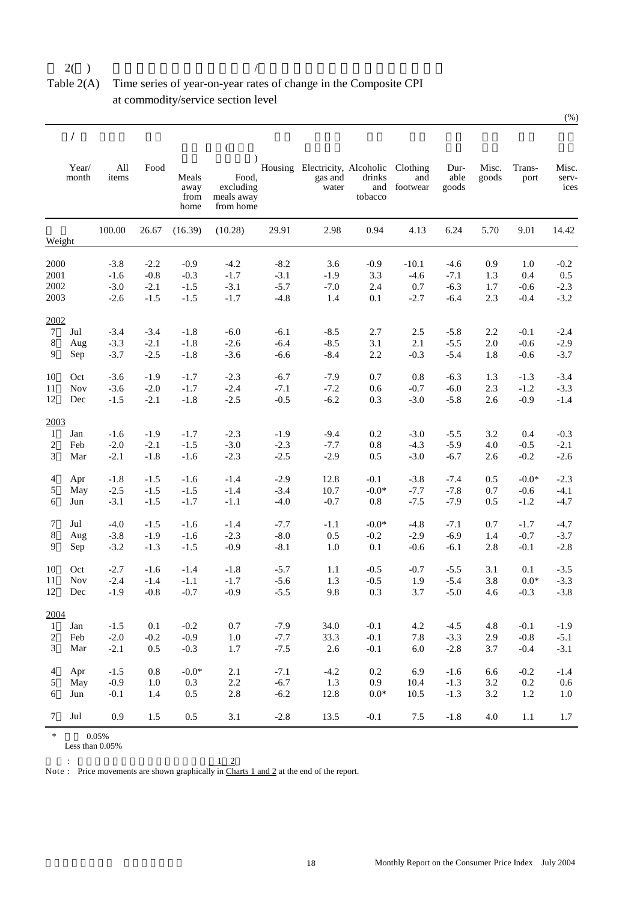Table 2(A) Time series of year-on-year rates of change in the Composite CPI at commodity/service section level

|                 |                |              |         |                               | €                                             |        |                                                             |                   |                     |                       |                |                 |                        |
|-----------------|----------------|--------------|---------|-------------------------------|-----------------------------------------------|--------|-------------------------------------------------------------|-------------------|---------------------|-----------------------|----------------|-----------------|------------------------|
|                 | Year/<br>month | All<br>items | Food    | Meals<br>away<br>from<br>home | Food,<br>excluding<br>meals away<br>from home |        | Housing Electricity, Alcoholic Clothing<br>gas and<br>water | drinks<br>tobacco | and<br>and footwear | Dur-<br>able<br>goods | Misc.<br>goods | Trans-<br>port  | Misc.<br>serv-<br>ices |
|                 | Weight         | 100.00       | 26.67   | (16.39)                       | (10.28)                                       | 29.91  | 2.98                                                        | 0.94              | 4.13                | 6.24                  | 5.70           | 9.01            | 14.42                  |
| 2000            |                | $-3.8$       | $-2.2$  | $-0.9$                        | $-4.2$                                        | $-8.2$ | 3.6                                                         | $-0.9$            | $-10.1$             | $-4.6$                | 0.9            | 1.0             | $-0.2$                 |
| 2001            |                | $-1.6$       | $-0.8$  | $-0.3$                        | $-1.7$                                        | $-3.1$ | $-1.9$                                                      | 3.3               | $-4.6$              | $-7.1$                | 1.3            | 0.4             | $0.5\,$                |
| 2002            |                | $-3.0$       | $-2.1$  | $-1.5$                        | $-3.1$                                        | $-5.7$ | $-7.0$                                                      | 2.4               | 0.7                 | $-6.3$                | 1.7            | $-0.6$          | $-2.3$                 |
| 2003            |                | $-2.6$       | $-1.5$  | $-1.5$                        | $-1.7$                                        | $-4.8$ | 1.4                                                         | 0.1               | $-2.7$              | $-6.4$                | 2.3            | $-0.4$          | $-3.2$                 |
| 2002            |                |              |         |                               |                                               |        |                                                             |                   |                     |                       |                |                 |                        |
| 7               | Jul            | $-3.4$       | $-3.4$  | $-1.8$                        | $-6.0$                                        | $-6.1$ | $-8.5$                                                      | 2.7               | 2.5                 | $-5.8$                | 2.2            | $-0.1$          | $-2.4$                 |
| 8               | Aug            | $-3.3$       | $-2.1$  | $-1.8$                        | $-2.6$                                        | $-6.4$ | $-8.5$                                                      | 3.1               | 2.1                 | $-5.5$                | 2.0            | $-0.6$          | $-2.9$                 |
| 9               | Sep            | $-3.7$       | $-2.5$  | $-1.8$                        | $-3.6$                                        | $-6.6$ | $-8.4$                                                      | 2.2               | $-0.3$              | $-5.4$                | 1.8            | $-0.6$          | $-3.7$                 |
| 10              | Oct            | $-3.6$       | $-1.9$  | $-1.7$                        | $-2.3$                                        | $-6.7$ | $-7.9$                                                      | 0.7               | 0.8                 | $-6.3$                | 1.3            | $-1.3$          | $-3.4$                 |
| 11              | <b>Nov</b>     | $-3.6$       | $-2.0$  | $-1.7$                        | $-2.4$                                        | $-7.1$ | $-7.2$                                                      | 0.6               | $-0.7$              | $-6.0$                | 2.3            | $-1.2$          | $-3.3$                 |
| 12              | Dec            | $-1.5$       | $-2.1$  | $-1.8$                        | $-2.5$                                        | $-0.5$ | $-6.2$                                                      | 0.3               | $-3.0$              | $-5.8$                | 2.6            | $-0.9$          | $-1.4$                 |
| 2003            |                |              |         |                               |                                               |        |                                                             |                   |                     |                       |                |                 |                        |
| 1               | Jan            | $-1.6$       | $-1.9$  | $-1.7$                        | $-2.3$                                        | $-1.9$ | $-9.4$                                                      | 0.2               | $-3.0$              | $-5.5$                | 3.2            | 0.4             | $-0.3$                 |
| 2               | Feb            | $-2.0$       | $-2.1$  | $-1.5$                        | $-3.0$                                        | $-2.3$ | $-7.7$                                                      | 0.8               | $-4.3$              | $-5.9$                | 4.0            | $-0.5$          | $-2.1$                 |
| 3               | Mar            | $-2.1$       | $-1.8$  | $-1.6$                        | $-2.3$                                        | $-2.5$ | $-2.9$                                                      | 0.5               | $-3.0$              | $-6.7$                | 2.6            | $-0.2$          | $-2.6$                 |
| 4               | Apr            | $-1.8$       | $-1.5$  | $-1.6$                        | $-1.4$                                        | $-2.9$ | 12.8                                                        | $-0.1$            | $-3.8$              | $-7.4$                | 0.5            | $-0.0*$         | $-2.3$                 |
| 5               | May            | $-2.5$       | $-1.5$  | $-1.5$                        | $-1.4$                                        | $-3.4$ | 10.7                                                        | $-0.0*$           | $-7.7$              | $-7.8$                | 0.7            | $-0.6$          | $-4.1$                 |
| 6               | Jun            | $-3.1$       | $-1.5$  | $-1.7$                        | $-1.1$                                        | $-4.0$ | $-0.7$                                                      | $0.8\,$           | $-7.5$              | $-7.9$                | 0.5            | $-1.2$          | $-4.7$                 |
| 7               | Jul            | $-4.0$       | $-1.5$  | $-1.6$                        | $-1.4$                                        | $-7.7$ | $-1.1$                                                      | $-0.0*$           | $-4.8$              | $-7.1$                | 0.7            | $-1.7$          | $-4.7$                 |
| 8               | Aug            | $-3.8$       | $-1.9$  | $-1.6$                        | $-2.3$                                        | $-8.0$ | 0.5                                                         | $-0.2$            | $-2.9$              | $-6.9$                | 1.4            | $-0.7$          | $-3.7$                 |
| 9               | Sep            | $-3.2$       | $-1.3$  | $-1.5$                        | $-0.9$                                        | $-8.1$ | 1.0                                                         | 0.1               | $-0.6$              | $-6.1$                | 2.8            | $-0.1$          | $-2.8$                 |
| 10              | Oct            | $-2.7$       | $-1.6$  | $-1.4$                        | $-1.8$                                        | $-5.7$ | 1.1                                                         | $-0.5$            | $-0.7$              | $-5.5$                | 3.1            | 0.1             | $-3.5$                 |
| 11              | <b>Nov</b>     | $-2.4$       | $-1.4$  | $-1.1$                        | $-1.7$                                        | $-5.6$ | 1.3                                                         | $-0.5$            | 1.9                 | $-5.4$                | 3.8            | $0.0\mathrm{*}$ | $-3.3$                 |
| 12              | Dec            | $-1.9$       | $-0.8$  | $-0.7$                        | $-0.9$                                        | $-5.5$ | 9.8                                                         | 0.3               | 3.7                 | $-5.0$                | 4.6            | $-0.3$          | $-3.8$                 |
| 2004            |                |              |         |                               |                                               |        |                                                             |                   |                     |                       |                |                 |                        |
| 1               | Jan            | -1.5         | 0.1     | $-0.2$                        | 0.7                                           | $-7.9$ | 34.0                                                        | $-0.1$            | 4.2                 | $-4.5$                | 4.8            | $-0.1$          | -1.9                   |
| 2               | Feb            | $-2.0$       | $-0.2$  | $-0.9$                        | $1.0\,$                                       | $-7.7$ | 33.3                                                        | $-0.1$            | 7.8                 | $-3.3$                | 2.9            | $-0.8$          | $-5.1$                 |
| 3               | Mar            | $-2.1$       | 0.5     | $-0.3$                        | 1.7                                           | $-7.5$ | $2.6\,$                                                     | $-0.1$            | $6.0\,$             | $-2.8$                | 3.7            | $-0.4$          | $-3.1$                 |
| $\overline{4}$  | Apr            | $-1.5$       | $0.8\,$ | $-0.0*$                       | 2.1                                           | $-7.1$ | $-4.2$                                                      | 0.2               | 6.9                 | $-1.6$                | 6.6            | $-0.2$          | $-1.4$                 |
| 5               | May            | $-0.9$       | 1.0     | 0.3                           | $2.2\,$                                       | $-6.7$ | 1.3                                                         | 0.9               | 10.4                | $-1.3$                | 3.2            | $0.2\,$         | 0.6                    |
| 6               | Jun            | $-0.1$       | 1.4     | $0.5\,$                       | $2.8\,$                                       | $-6.2$ | 12.8                                                        | $0.0\mathrm{*}$   | 10.5                | $-1.3$                | 3.2            | 1.2             | 1.0                    |
| $7\phantom{.0}$ | Jul            | 0.9          | 1.5     | 0.5                           | 3.1                                           | $-2.8$ | 13.5                                                        | $-0.1$            | $7.5\,$             | $-1.8$                | 4.0            | $1.1\,$         | 1.7                    |

 $*$  0.05%

Less than  $0.05\%$ 

 $\sim$ Note :  $1 \quad 2$ Price movements are shown graphically in Charts 1 and 2 at the end of the report.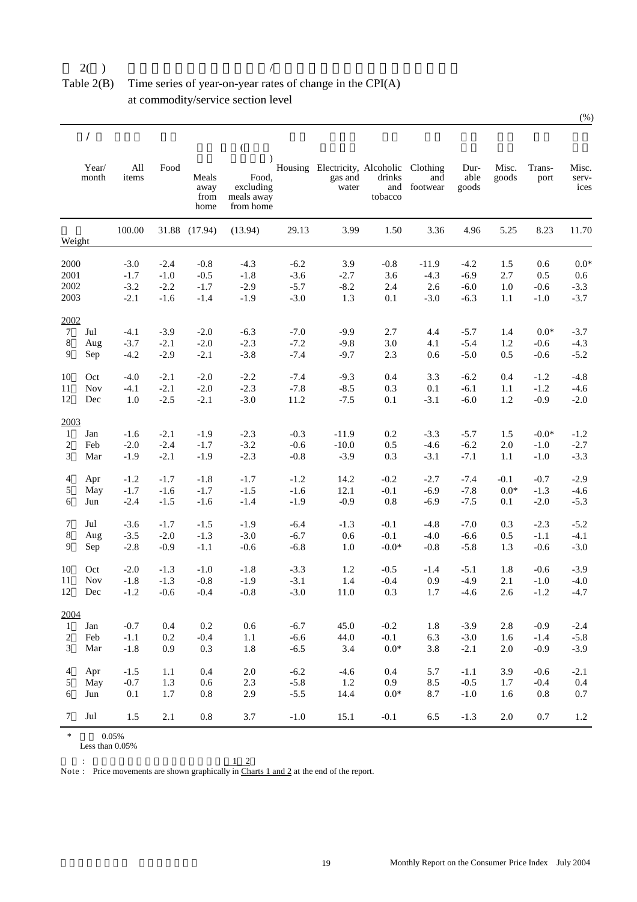Table 2(B) Time series of year-on-year rates of change in the CPI(A) at commodity/service section level

|                |                |                  |                  |                               | $\left($                                      |                  |                                                             |                   |                     |                       |                 |                |                        |
|----------------|----------------|------------------|------------------|-------------------------------|-----------------------------------------------|------------------|-------------------------------------------------------------|-------------------|---------------------|-----------------------|-----------------|----------------|------------------------|
|                | Year/<br>month | All<br>items     | Food             | Meals<br>away<br>from<br>home | Food,<br>excluding<br>meals away<br>from home |                  | Housing Electricity, Alcoholic Clothing<br>gas and<br>water | drinks<br>tobacco | and<br>and footwear | Dur-<br>able<br>goods | Misc.<br>goods  | Trans-<br>port | Misc.<br>serv-<br>ices |
| Weight         |                | 100.00           |                  | 31.88 (17.94)                 | (13.94)                                       | 29.13            | 3.99                                                        | 1.50              | 3.36                | 4.96                  | 5.25            | 8.23           | 11.70                  |
| 2000           |                | $-3.0$           | $-2.4$           | $-0.8$                        | $-4.3$                                        | $-6.2$           | 3.9                                                         | $-0.8$            | $-11.9$             | $-4.2$                | 1.5             | 0.6            | $0.0*$                 |
| 2001<br>2002   |                | $-1.7$<br>$-3.2$ | $-1.0$<br>$-2.2$ | $-0.5$<br>$-1.7$              | $-1.8$<br>$-2.9$                              | $-3.6$<br>$-5.7$ | $-2.7$<br>$-8.2$                                            | 3.6<br>2.4        | $-4.3$<br>2.6       | $-6.9$<br>$-6.0$      | 2.7<br>1.0      | 0.5<br>$-0.6$  | 0.6<br>$-3.3$          |
| 2003           |                | $-2.1$           | $-1.6$           | $-1.4$                        | $-1.9$                                        | $-3.0$           | 1.3                                                         | 0.1               | $-3.0$              | $-6.3$                | 1.1             | $-1.0$         | $-3.7$                 |
|                |                |                  |                  |                               |                                               |                  |                                                             |                   |                     |                       |                 |                |                        |
| 2002<br>$\tau$ | Jul            | $-4.1$           | $-3.9$           | $-2.0$                        | $-6.3$                                        | $-7.0$           | $-9.9$                                                      | 2.7               | 4.4                 | $-5.7$                | 1.4             | $0.0*$         | $-3.7$                 |
| 8              | Aug            | $-3.7$           | $-2.1$           | $-2.0$                        | $-2.3$                                        | $-7.2$           | $-9.8$                                                      | 3.0               | 4.1                 | $-5.4$                | 1.2             | $-0.6$         | $-4.3$                 |
| 9              | Sep            | $-4.2$           | $-2.9$           | $-2.1$                        | $-3.8$                                        | $-7.4$           | $-9.7$                                                      | 2.3               | 0.6                 | $-5.0$                | 0.5             | $-0.6$         | $-5.2$                 |
| 10             | Oct            | $-4.0$           | $-2.1$           | $-2.0$                        | $-2.2$                                        | $-7.4$           | $-9.3$                                                      | 0.4               | 3.3                 | $-6.2$                | 0.4             | $-1.2$         | $-4.8$                 |
| 11             | Nov            | $-4.1$           | $-2.1$           | $-2.0$                        | $-2.3$                                        | $-7.8$           | $-8.5$                                                      | 0.3               | 0.1                 | $-6.1$                | 1.1             | $-1.2$         | $-4.6$                 |
| 12             | Dec            | 1.0              | $-2.5$           | $-2.1$                        | $-3.0$                                        | 11.2             | $-7.5$                                                      | 0.1               | $-3.1$              | $-6.0$                | 1.2             | $-0.9$         | $-2.0$                 |
| 2003           |                |                  |                  |                               |                                               |                  |                                                             |                   |                     |                       |                 |                |                        |
| 1              | Jan            | $-1.6$           | $-2.1$           | $-1.9$                        | $-2.3$                                        | $-0.3$           | $-11.9$                                                     | 0.2               | $-3.3$              | $-5.7$                | 1.5             | $-0.0*$        | $-1.2$                 |
| 2              | Feb            | $-2.0$           | $-2.4$           | $-1.7$                        | $-3.2$                                        | $-0.6$           | $-10.0$                                                     | 0.5               | $-4.6$              | $-6.2$                | 2.0             | $-1.0$         | $-2.7$                 |
| 3              | Mar            | $-1.9$           | $-2.1$           | $-1.9$                        | $-2.3$                                        | $-0.8$           | $-3.9$                                                      | 0.3               | $-3.1$              | $-7.1$                | 1.1             | $-1.0$         | $-3.3$                 |
| 4              | Apr            | $-1.2$           | $-1.7$           | $-1.8$                        | $-1.7$                                        | $-1.2$           | 14.2                                                        | $-0.2$            | $-2.7$              | $-7.4$                | $-0.1$          | $-0.7$         | $-2.9$                 |
| 5              | May            | $-1.7$           | $-1.6$           | $-1.7$                        | $-1.5$                                        | $-1.6$           | 12.1                                                        | $-0.1$            | $-6.9$              | $-7.8$                | $0.0\mathrm{*}$ | $-1.3$         | $-4.6$                 |
| 6              | Jun            | $-2.4$           | $-1.5$           | $-1.6$                        | $-1.4$                                        | $-1.9$           | $-0.9$                                                      | $0.8\,$           | $-6.9$              | $-7.5$                | 0.1             | $-2.0$         | $-5.3$                 |
| 7              | Jul            | $-3.6$           | $-1.7$           | $-1.5$                        | $-1.9$                                        | $-6.4$           | $-1.3$                                                      | $-0.1$            | $-4.8$              | $-7.0$                | 0.3             | $-2.3$         | $-5.2$                 |
| 8              | Aug            | $-3.5$           | $-2.0$           | $-1.3$                        | $-3.0$                                        | $-6.7$           | 0.6                                                         | $-0.1$            | $-4.0$              | $-6.6$                | 0.5             | $-1.1$         | $-4.1$                 |
| 9              | Sep            | $-2.8$           | $-0.9$           | $-1.1$                        | $-0.6$                                        | $-6.8$           | 1.0                                                         | $-0.0*$           | $-0.8$              | $-5.8$                | 1.3             | $-0.6$         | $-3.0$                 |
| 10             | Oct            | $-2.0$           | $-1.3$           | $-1.0$                        | $-1.8$                                        | $-3.3$           | 1.2                                                         | $-0.5$            | $-1.4$              | $-5.1$                | 1.8             | $-0.6$         | $-3.9$                 |
| 11             | Nov            | $-1.8$           | $-1.3$           | $-0.8$                        | $-1.9$                                        | $-3.1$           | 1.4                                                         | $-0.4$            | 0.9                 | $-4.9$                | 2.1             | $-1.0$         | $-4.0$                 |
| 12             | Dec            | $-1.2$           | $-0.6$           | $-0.4$                        | $-0.8$                                        | $-3.0$           | 11.0                                                        | 0.3               | 1.7                 | $-4.6$                | 2.6             | $-1.2$         | $-4.7$                 |
| 2004           |                |                  |                  |                               |                                               |                  |                                                             |                   |                     |                       |                 |                |                        |
| 1              | Jan            | $-0.7$           | 0.4              | 0.2                           | 0.6                                           | $-6.7$           | 45.0                                                        | $-0.2$            | 1.8                 | $-3.9$                | 2.8             | $-0.9$         | $-2.4$                 |
| 2              | Feb            | $-1.1$           | $0.2\,$          | $-0.4$                        | $1.1\,$                                       | $-6.6$           | 44.0                                                        | $-0.1$            | 6.3                 | $-3.0$                | 1.6             | $-1.4$         | $-5.8$                 |
| 3              | Mar            | $-1.8$           | 0.9              | $0.3\,$                       | 1.8                                           | $-6.5$           | 3.4                                                         | $0.0\mathrm{*}$   | 3.8                 | $-2.1$                | $2.0\,$         | $-0.9$         | $-3.9$                 |
| 4              | Apr            | $-1.5$           | $1.1\,$          | 0.4                           | 2.0                                           | $-6.2$           | $-4.6$                                                      | 0.4               | 5.7                 | $-1.1$                | 3.9             | $-0.6$         | $-2.1$                 |
| 5              | May            | $-0.7$           | 1.3              | $0.6\,$                       | 2.3                                           | $-5.8$           | $1.2\,$                                                     | 0.9               | 8.5                 | $-0.5$                | 1.7             | $-0.4$         | $0.4\,$                |
| 6              | Jun            | 0.1              | 1.7              | $0.8\,$                       | 2.9                                           | $-5.5$           | 14.4                                                        | $0.0\mathrm{*}$   | 8.7                 | $-1.0$                | 1.6             | $0.8\,$        | 0.7                    |
| 7              | Jul            | 1.5              | 2.1              | $\rm 0.8$                     | 3.7                                           | $-1.0$           | 15.1                                                        | $-0.1$            | 6.5                 | $-1.3$                | $2.0\,$         | 0.7            | $1.2\,$                |

 $*$  0.05%

Less than 0.05%

 $\sim$   $\sim$   $\sim$   $\sim$ Note :  $1 \quad 2$ Price movements are shown graphically in Charts 1 and 2 at the end of the report.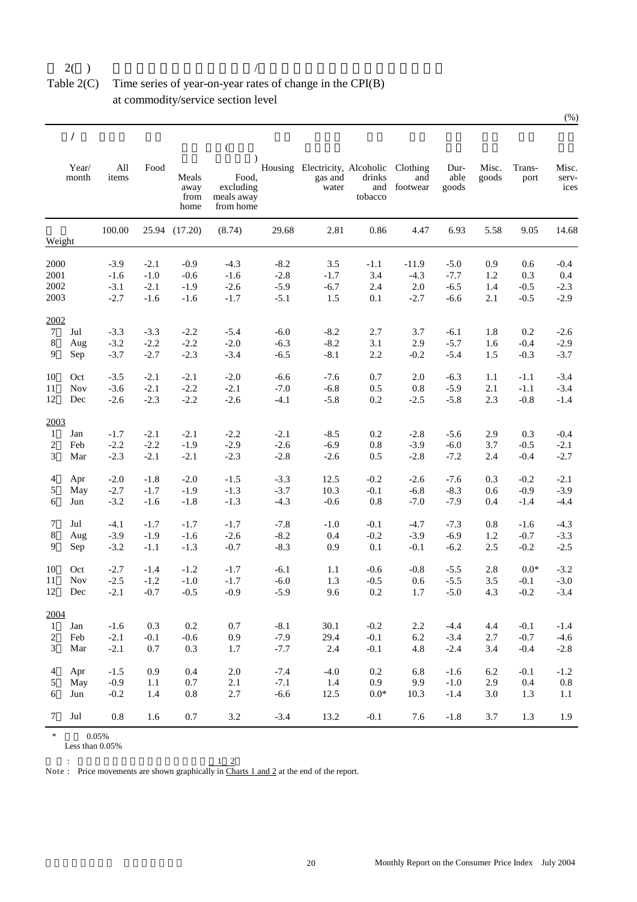#### Table 2(C) Time series of year-on-year rates of change in the CPI(B) at commodity/service section level

| Year/<br>All<br>Food<br>Housing Electricity, Alcoholic Clothing<br>Dur-<br>Misc.<br>Trans-<br>able<br>items<br>Meals<br>Food,<br>drinks<br>month<br>gas and<br>and<br>goods<br>port<br>excluding<br>away<br>water<br>and<br>footwear<br>goods<br>from<br>meals away<br>tobacco<br>home<br>from home<br>6.93<br>100.00<br>29.68<br>2.81<br>0.86<br>4.47<br>5.58<br>9.05<br>25.94 (17.20)<br>(8.74)<br>Weight<br>2000<br>$-3.9$<br>$-2.1$<br>$-0.9$<br>$-4.3$<br>$-8.2$<br>3.5<br>$-1.1$<br>$-11.9$<br>0.9<br>$-5.0$<br>0.6<br>2001<br>3.4<br>$-1.0$<br>$-0.6$<br>$-1.6$<br>$-2.8$<br>$-4.3$<br>$-7.7$<br>0.3<br>$-1.6$<br>$-1.7$<br>1.2<br>2002<br>$-2.6$<br>$-5.9$<br>$-6.7$<br>2.4<br>2.0<br>$-6.5$<br>$-3.1$<br>$-2.1$<br>$-1.9$<br>1.4<br>$-0.5$<br>2003<br>$-5.1$<br>$-2.7$<br>$-1.6$<br>$-1.6$<br>$-1.7$<br>1.5<br>0.1<br>$-2.7$<br>$-6.6$<br>2.1<br>$-0.5$<br>2002<br>$\tau$<br>Jul<br>$-2.2$<br>$-6.0$<br>$-8.2$<br>2.7<br>$-3.3$<br>$-3.3$<br>$-5.4$<br>3.7<br>$-6.1$<br>1.8<br>0.2<br>8<br>$-8.2$<br>$-5.7$<br>Aug<br>$-3.2$<br>$-2.2$<br>$-2.2$<br>$-2.0$<br>$-6.3$<br>3.1<br>2.9<br>1.6<br>$-0.4$<br>$-2.3$<br>$-8.1$<br>$-5.4$<br>9<br>$-3.7$<br>$-2.7$<br>$-3.4$<br>$-6.5$<br>2.2<br>$-0.2$<br>1.5<br>$-0.3$<br>Sep<br>10<br>Oct<br>$-2.1$<br>$-2.1$<br>$-2.0$<br>$-6.6$<br>$-7.6$<br>0.7<br>2.0<br>$-6.3$<br>1.1<br>$-3.5$<br>$-1.1$<br><b>Nov</b><br>11<br>$-3.6$<br>$-2.1$<br>$-2.2$<br>$-2.1$<br>$-7.0$<br>$-6.8$<br>0.5<br>$0.8\,$<br>$-5.9$<br>2.1<br>$-1.1$<br>12<br>$-2.2$<br>$-0.8$<br>Dec<br>$-2.6$<br>$-2.3$<br>$-2.6$<br>$-4.1$<br>$-5.8$<br>0.2<br>$-2.5$<br>$-5.8$<br>2.3<br>2003<br>Jan<br>$-2.2$<br>$-2.1$<br>0.2<br>$-2.8$<br>0.3<br>-1<br>$-1.7$<br>$-2.1$<br>$-2.1$<br>$-8.5$<br>$-5.6$<br>2.9<br>2<br>Feb<br>$-2.2$<br>$-2.2$<br>$-1.9$<br>$-2.9$<br>$-2.6$<br>$-6.9$<br>0.8<br>$-3.9$<br>$-6.0$<br>3.7<br>$-0.5$<br>3<br>$-2.1$<br>$-2.8$<br>Mar<br>$-2.3$<br>$-2.1$<br>$-2.3$<br>$-2.6$<br>0.5<br>$-2.8$<br>$-7.2$<br>$-0.4$<br>2.4<br>4<br>$-2.0$<br>$-1.5$<br>$-3.3$<br>$-0.2$<br>Apr<br>$-2.0$<br>$-1.8$<br>12.5<br>$-2.6$<br>$-7.6$<br>0.3<br>$-0.2$<br>5<br>$-2.7$<br>$-1.7$<br>$-1.9$<br>$-1.3$<br>$-3.7$<br>10.3<br>$-0.1$<br>$-6.8$<br>$-8.3$<br>$-0.9$<br>May<br>0.6<br>$-1.3$<br>$-4.3$<br>$0.8\,$<br>$-7.0$<br>$-7.9$<br>6<br>Jun<br>$-3.2$<br>$-1.6$<br>$-1.8$<br>$-0.6$<br>$-1.4$<br>0.4<br>7<br>$-1.7$<br>$-7.8$<br>$-0.1$<br>Jul<br>$-4.1$<br>$-1.7$<br>$-1.7$<br>$-1.0$<br>$-4.7$<br>$-7.3$<br>0.8<br>$-1.6$<br>8<br>$-8.2$<br>$-0.2$<br>$-3.9$<br>$-1.6$<br>$-2.6$<br>0.4<br>$-3.9$<br>$-6.9$<br>1.2<br>$-0.7$<br>Aug<br>$-1.9$<br>$-8.3$<br>0.1<br>9<br>Sep<br>$-3.2$<br>$-1.1$<br>$-1.3$<br>$-0.7$<br>0.9<br>$-0.1$<br>$-6.2$<br>2.5<br>$-0.2$<br>10<br>$-1.2$<br>$-6.1$<br>$0.0*$<br>Oct<br>$-2.7$<br>$-1.4$<br>$-1.7$<br>1.1<br>$-0.6$<br>$-0.8$<br>$-5.5$<br>2.8<br><b>Nov</b><br>11<br>$-2.5$<br>$-1.2$<br>$-1.0$<br>$-1.7$<br>$-6.0$<br>1.3<br>$-0.5$<br>0.6<br>$-5.5$<br>3.5<br>$-0.1$<br>$-5.0$<br>12<br>Dec<br>$-2.1$<br>$-0.7$<br>$-0.5$<br>$-0.9$<br>$-5.9$<br>9.6<br>0.2<br>4.3<br>$-0.2$<br>1.7<br>2004<br>1<br>$-1.6$<br>Jan<br>0.3<br>0.2<br>0.7<br>-8.1<br>30.1<br>$-0.2$<br>2.2<br>$-4.4$<br>4.4<br>$-0.1$<br>$-0.6$<br>0.9<br>$-7.9$<br>$-0.1$<br>6.2<br>$-0.7$<br>2<br>Feb<br>$-2.1$<br>$-0.1$<br>29.4<br>$-3.4$<br>2.7<br>0.3<br>3<br>Mar<br>$-2.1$<br>0.7<br>1.7<br>$-7.7$<br>2.4<br>$-0.1$<br>$4.8\,$<br>$-2.4$<br>3.4<br>$-0.4$<br>$-1.5$<br>0.9<br>0.4<br>$2.0$<br>$-7.4$<br>$-4.0$<br>$0.2\,$<br>$-1.6$<br>6.2<br>$-0.1$<br>$\overline{4}$<br>Apr<br>6.8<br>5<br>1.1<br>0.7<br>2.1<br>$-7.1$<br>1.4<br>0.9<br>$-1.0$<br>May<br>$-0.9$<br>9.9<br>2.9<br>0.4<br>$0.8\,$<br>2.7<br>12.5<br>$0.0\mathrm{*}$<br>$-1.4$<br>Jun<br>$-0.2$<br>1.4<br>$-6.6$<br>10.3<br>3.0<br>1.3<br>6 |        |     |         |     |     | $\left($ |        |      |        |     |        |     |     |                        |
|--------------------------------------------------------------------------------------------------------------------------------------------------------------------------------------------------------------------------------------------------------------------------------------------------------------------------------------------------------------------------------------------------------------------------------------------------------------------------------------------------------------------------------------------------------------------------------------------------------------------------------------------------------------------------------------------------------------------------------------------------------------------------------------------------------------------------------------------------------------------------------------------------------------------------------------------------------------------------------------------------------------------------------------------------------------------------------------------------------------------------------------------------------------------------------------------------------------------------------------------------------------------------------------------------------------------------------------------------------------------------------------------------------------------------------------------------------------------------------------------------------------------------------------------------------------------------------------------------------------------------------------------------------------------------------------------------------------------------------------------------------------------------------------------------------------------------------------------------------------------------------------------------------------------------------------------------------------------------------------------------------------------------------------------------------------------------------------------------------------------------------------------------------------------------------------------------------------------------------------------------------------------------------------------------------------------------------------------------------------------------------------------------------------------------------------------------------------------------------------------------------------------------------------------------------------------------------------------------------------------------------------------------------------------------------------------------------------------------------------------------------------------------------------------------------------------------------------------------------------------------------------------------------------------------------------------------------------------------------------------------------------------------------------------------------------------------------------------------------------------------------------------------------------------------------------------------------------------------------------------------------------------------------------------------------------------------------------------------------------------------------------------------------------------------------------------------------------------------------------------------------------------------------------------------------------------------------------------------------------------------------------------------------------------------------------------------------------------------------------------------------------|--------|-----|---------|-----|-----|----------|--------|------|--------|-----|--------|-----|-----|------------------------|
|                                                                                                                                                                                                                                                                                                                                                                                                                                                                                                                                                                                                                                                                                                                                                                                                                                                                                                                                                                                                                                                                                                                                                                                                                                                                                                                                                                                                                                                                                                                                                                                                                                                                                                                                                                                                                                                                                                                                                                                                                                                                                                                                                                                                                                                                                                                                                                                                                                                                                                                                                                                                                                                                                                                                                                                                                                                                                                                                                                                                                                                                                                                                                                                                                                                                                                                                                                                                                                                                                                                                                                                                                                                                                                                                                              |        |     |         |     |     |          |        |      |        |     |        |     |     | Misc.<br>serv-<br>ices |
|                                                                                                                                                                                                                                                                                                                                                                                                                                                                                                                                                                                                                                                                                                                                                                                                                                                                                                                                                                                                                                                                                                                                                                                                                                                                                                                                                                                                                                                                                                                                                                                                                                                                                                                                                                                                                                                                                                                                                                                                                                                                                                                                                                                                                                                                                                                                                                                                                                                                                                                                                                                                                                                                                                                                                                                                                                                                                                                                                                                                                                                                                                                                                                                                                                                                                                                                                                                                                                                                                                                                                                                                                                                                                                                                                              |        |     |         |     |     |          |        |      |        |     |        |     |     | 14.68                  |
|                                                                                                                                                                                                                                                                                                                                                                                                                                                                                                                                                                                                                                                                                                                                                                                                                                                                                                                                                                                                                                                                                                                                                                                                                                                                                                                                                                                                                                                                                                                                                                                                                                                                                                                                                                                                                                                                                                                                                                                                                                                                                                                                                                                                                                                                                                                                                                                                                                                                                                                                                                                                                                                                                                                                                                                                                                                                                                                                                                                                                                                                                                                                                                                                                                                                                                                                                                                                                                                                                                                                                                                                                                                                                                                                                              |        |     |         |     |     |          |        |      |        |     |        |     |     | $-0.4$                 |
|                                                                                                                                                                                                                                                                                                                                                                                                                                                                                                                                                                                                                                                                                                                                                                                                                                                                                                                                                                                                                                                                                                                                                                                                                                                                                                                                                                                                                                                                                                                                                                                                                                                                                                                                                                                                                                                                                                                                                                                                                                                                                                                                                                                                                                                                                                                                                                                                                                                                                                                                                                                                                                                                                                                                                                                                                                                                                                                                                                                                                                                                                                                                                                                                                                                                                                                                                                                                                                                                                                                                                                                                                                                                                                                                                              |        |     |         |     |     |          |        |      |        |     |        |     |     | 0.4                    |
|                                                                                                                                                                                                                                                                                                                                                                                                                                                                                                                                                                                                                                                                                                                                                                                                                                                                                                                                                                                                                                                                                                                                                                                                                                                                                                                                                                                                                                                                                                                                                                                                                                                                                                                                                                                                                                                                                                                                                                                                                                                                                                                                                                                                                                                                                                                                                                                                                                                                                                                                                                                                                                                                                                                                                                                                                                                                                                                                                                                                                                                                                                                                                                                                                                                                                                                                                                                                                                                                                                                                                                                                                                                                                                                                                              |        |     |         |     |     |          |        |      |        |     |        |     |     | $-2.3$                 |
|                                                                                                                                                                                                                                                                                                                                                                                                                                                                                                                                                                                                                                                                                                                                                                                                                                                                                                                                                                                                                                                                                                                                                                                                                                                                                                                                                                                                                                                                                                                                                                                                                                                                                                                                                                                                                                                                                                                                                                                                                                                                                                                                                                                                                                                                                                                                                                                                                                                                                                                                                                                                                                                                                                                                                                                                                                                                                                                                                                                                                                                                                                                                                                                                                                                                                                                                                                                                                                                                                                                                                                                                                                                                                                                                                              |        |     |         |     |     |          |        |      |        |     |        |     |     | $-2.9$                 |
|                                                                                                                                                                                                                                                                                                                                                                                                                                                                                                                                                                                                                                                                                                                                                                                                                                                                                                                                                                                                                                                                                                                                                                                                                                                                                                                                                                                                                                                                                                                                                                                                                                                                                                                                                                                                                                                                                                                                                                                                                                                                                                                                                                                                                                                                                                                                                                                                                                                                                                                                                                                                                                                                                                                                                                                                                                                                                                                                                                                                                                                                                                                                                                                                                                                                                                                                                                                                                                                                                                                                                                                                                                                                                                                                                              |        |     |         |     |     |          |        |      |        |     |        |     |     |                        |
|                                                                                                                                                                                                                                                                                                                                                                                                                                                                                                                                                                                                                                                                                                                                                                                                                                                                                                                                                                                                                                                                                                                                                                                                                                                                                                                                                                                                                                                                                                                                                                                                                                                                                                                                                                                                                                                                                                                                                                                                                                                                                                                                                                                                                                                                                                                                                                                                                                                                                                                                                                                                                                                                                                                                                                                                                                                                                                                                                                                                                                                                                                                                                                                                                                                                                                                                                                                                                                                                                                                                                                                                                                                                                                                                                              |        |     |         |     |     |          |        |      |        |     |        |     |     | $-2.6$                 |
|                                                                                                                                                                                                                                                                                                                                                                                                                                                                                                                                                                                                                                                                                                                                                                                                                                                                                                                                                                                                                                                                                                                                                                                                                                                                                                                                                                                                                                                                                                                                                                                                                                                                                                                                                                                                                                                                                                                                                                                                                                                                                                                                                                                                                                                                                                                                                                                                                                                                                                                                                                                                                                                                                                                                                                                                                                                                                                                                                                                                                                                                                                                                                                                                                                                                                                                                                                                                                                                                                                                                                                                                                                                                                                                                                              |        |     |         |     |     |          |        |      |        |     |        |     |     | $-2.9$                 |
|                                                                                                                                                                                                                                                                                                                                                                                                                                                                                                                                                                                                                                                                                                                                                                                                                                                                                                                                                                                                                                                                                                                                                                                                                                                                                                                                                                                                                                                                                                                                                                                                                                                                                                                                                                                                                                                                                                                                                                                                                                                                                                                                                                                                                                                                                                                                                                                                                                                                                                                                                                                                                                                                                                                                                                                                                                                                                                                                                                                                                                                                                                                                                                                                                                                                                                                                                                                                                                                                                                                                                                                                                                                                                                                                                              |        |     |         |     |     |          |        |      |        |     |        |     |     | $-3.7$                 |
|                                                                                                                                                                                                                                                                                                                                                                                                                                                                                                                                                                                                                                                                                                                                                                                                                                                                                                                                                                                                                                                                                                                                                                                                                                                                                                                                                                                                                                                                                                                                                                                                                                                                                                                                                                                                                                                                                                                                                                                                                                                                                                                                                                                                                                                                                                                                                                                                                                                                                                                                                                                                                                                                                                                                                                                                                                                                                                                                                                                                                                                                                                                                                                                                                                                                                                                                                                                                                                                                                                                                                                                                                                                                                                                                                              |        |     |         |     |     |          |        |      |        |     |        |     |     | $-3.4$                 |
|                                                                                                                                                                                                                                                                                                                                                                                                                                                                                                                                                                                                                                                                                                                                                                                                                                                                                                                                                                                                                                                                                                                                                                                                                                                                                                                                                                                                                                                                                                                                                                                                                                                                                                                                                                                                                                                                                                                                                                                                                                                                                                                                                                                                                                                                                                                                                                                                                                                                                                                                                                                                                                                                                                                                                                                                                                                                                                                                                                                                                                                                                                                                                                                                                                                                                                                                                                                                                                                                                                                                                                                                                                                                                                                                                              |        |     |         |     |     |          |        |      |        |     |        |     |     | $-3.4$                 |
|                                                                                                                                                                                                                                                                                                                                                                                                                                                                                                                                                                                                                                                                                                                                                                                                                                                                                                                                                                                                                                                                                                                                                                                                                                                                                                                                                                                                                                                                                                                                                                                                                                                                                                                                                                                                                                                                                                                                                                                                                                                                                                                                                                                                                                                                                                                                                                                                                                                                                                                                                                                                                                                                                                                                                                                                                                                                                                                                                                                                                                                                                                                                                                                                                                                                                                                                                                                                                                                                                                                                                                                                                                                                                                                                                              |        |     |         |     |     |          |        |      |        |     |        |     |     | $-1.4$                 |
|                                                                                                                                                                                                                                                                                                                                                                                                                                                                                                                                                                                                                                                                                                                                                                                                                                                                                                                                                                                                                                                                                                                                                                                                                                                                                                                                                                                                                                                                                                                                                                                                                                                                                                                                                                                                                                                                                                                                                                                                                                                                                                                                                                                                                                                                                                                                                                                                                                                                                                                                                                                                                                                                                                                                                                                                                                                                                                                                                                                                                                                                                                                                                                                                                                                                                                                                                                                                                                                                                                                                                                                                                                                                                                                                                              |        |     |         |     |     |          |        |      |        |     |        |     |     |                        |
|                                                                                                                                                                                                                                                                                                                                                                                                                                                                                                                                                                                                                                                                                                                                                                                                                                                                                                                                                                                                                                                                                                                                                                                                                                                                                                                                                                                                                                                                                                                                                                                                                                                                                                                                                                                                                                                                                                                                                                                                                                                                                                                                                                                                                                                                                                                                                                                                                                                                                                                                                                                                                                                                                                                                                                                                                                                                                                                                                                                                                                                                                                                                                                                                                                                                                                                                                                                                                                                                                                                                                                                                                                                                                                                                                              |        |     |         |     |     |          |        |      |        |     |        |     |     | $-0.4$                 |
|                                                                                                                                                                                                                                                                                                                                                                                                                                                                                                                                                                                                                                                                                                                                                                                                                                                                                                                                                                                                                                                                                                                                                                                                                                                                                                                                                                                                                                                                                                                                                                                                                                                                                                                                                                                                                                                                                                                                                                                                                                                                                                                                                                                                                                                                                                                                                                                                                                                                                                                                                                                                                                                                                                                                                                                                                                                                                                                                                                                                                                                                                                                                                                                                                                                                                                                                                                                                                                                                                                                                                                                                                                                                                                                                                              |        |     |         |     |     |          |        |      |        |     |        |     |     | $-2.1$                 |
|                                                                                                                                                                                                                                                                                                                                                                                                                                                                                                                                                                                                                                                                                                                                                                                                                                                                                                                                                                                                                                                                                                                                                                                                                                                                                                                                                                                                                                                                                                                                                                                                                                                                                                                                                                                                                                                                                                                                                                                                                                                                                                                                                                                                                                                                                                                                                                                                                                                                                                                                                                                                                                                                                                                                                                                                                                                                                                                                                                                                                                                                                                                                                                                                                                                                                                                                                                                                                                                                                                                                                                                                                                                                                                                                                              |        |     |         |     |     |          |        |      |        |     |        |     |     | $-2.7$                 |
|                                                                                                                                                                                                                                                                                                                                                                                                                                                                                                                                                                                                                                                                                                                                                                                                                                                                                                                                                                                                                                                                                                                                                                                                                                                                                                                                                                                                                                                                                                                                                                                                                                                                                                                                                                                                                                                                                                                                                                                                                                                                                                                                                                                                                                                                                                                                                                                                                                                                                                                                                                                                                                                                                                                                                                                                                                                                                                                                                                                                                                                                                                                                                                                                                                                                                                                                                                                                                                                                                                                                                                                                                                                                                                                                                              |        |     |         |     |     |          |        |      |        |     |        |     |     | $-2.1$                 |
|                                                                                                                                                                                                                                                                                                                                                                                                                                                                                                                                                                                                                                                                                                                                                                                                                                                                                                                                                                                                                                                                                                                                                                                                                                                                                                                                                                                                                                                                                                                                                                                                                                                                                                                                                                                                                                                                                                                                                                                                                                                                                                                                                                                                                                                                                                                                                                                                                                                                                                                                                                                                                                                                                                                                                                                                                                                                                                                                                                                                                                                                                                                                                                                                                                                                                                                                                                                                                                                                                                                                                                                                                                                                                                                                                              |        |     |         |     |     |          |        |      |        |     |        |     |     | $-3.9$                 |
|                                                                                                                                                                                                                                                                                                                                                                                                                                                                                                                                                                                                                                                                                                                                                                                                                                                                                                                                                                                                                                                                                                                                                                                                                                                                                                                                                                                                                                                                                                                                                                                                                                                                                                                                                                                                                                                                                                                                                                                                                                                                                                                                                                                                                                                                                                                                                                                                                                                                                                                                                                                                                                                                                                                                                                                                                                                                                                                                                                                                                                                                                                                                                                                                                                                                                                                                                                                                                                                                                                                                                                                                                                                                                                                                                              |        |     |         |     |     |          |        |      |        |     |        |     |     | $-4.4$                 |
|                                                                                                                                                                                                                                                                                                                                                                                                                                                                                                                                                                                                                                                                                                                                                                                                                                                                                                                                                                                                                                                                                                                                                                                                                                                                                                                                                                                                                                                                                                                                                                                                                                                                                                                                                                                                                                                                                                                                                                                                                                                                                                                                                                                                                                                                                                                                                                                                                                                                                                                                                                                                                                                                                                                                                                                                                                                                                                                                                                                                                                                                                                                                                                                                                                                                                                                                                                                                                                                                                                                                                                                                                                                                                                                                                              |        |     |         |     |     |          |        |      |        |     |        |     |     | $-4.3$                 |
|                                                                                                                                                                                                                                                                                                                                                                                                                                                                                                                                                                                                                                                                                                                                                                                                                                                                                                                                                                                                                                                                                                                                                                                                                                                                                                                                                                                                                                                                                                                                                                                                                                                                                                                                                                                                                                                                                                                                                                                                                                                                                                                                                                                                                                                                                                                                                                                                                                                                                                                                                                                                                                                                                                                                                                                                                                                                                                                                                                                                                                                                                                                                                                                                                                                                                                                                                                                                                                                                                                                                                                                                                                                                                                                                                              |        |     |         |     |     |          |        |      |        |     |        |     |     | $-3.3$                 |
|                                                                                                                                                                                                                                                                                                                                                                                                                                                                                                                                                                                                                                                                                                                                                                                                                                                                                                                                                                                                                                                                                                                                                                                                                                                                                                                                                                                                                                                                                                                                                                                                                                                                                                                                                                                                                                                                                                                                                                                                                                                                                                                                                                                                                                                                                                                                                                                                                                                                                                                                                                                                                                                                                                                                                                                                                                                                                                                                                                                                                                                                                                                                                                                                                                                                                                                                                                                                                                                                                                                                                                                                                                                                                                                                                              |        |     |         |     |     |          |        |      |        |     |        |     |     | $-2.5$                 |
|                                                                                                                                                                                                                                                                                                                                                                                                                                                                                                                                                                                                                                                                                                                                                                                                                                                                                                                                                                                                                                                                                                                                                                                                                                                                                                                                                                                                                                                                                                                                                                                                                                                                                                                                                                                                                                                                                                                                                                                                                                                                                                                                                                                                                                                                                                                                                                                                                                                                                                                                                                                                                                                                                                                                                                                                                                                                                                                                                                                                                                                                                                                                                                                                                                                                                                                                                                                                                                                                                                                                                                                                                                                                                                                                                              |        |     |         |     |     |          |        |      |        |     |        |     |     | $-3.2$                 |
|                                                                                                                                                                                                                                                                                                                                                                                                                                                                                                                                                                                                                                                                                                                                                                                                                                                                                                                                                                                                                                                                                                                                                                                                                                                                                                                                                                                                                                                                                                                                                                                                                                                                                                                                                                                                                                                                                                                                                                                                                                                                                                                                                                                                                                                                                                                                                                                                                                                                                                                                                                                                                                                                                                                                                                                                                                                                                                                                                                                                                                                                                                                                                                                                                                                                                                                                                                                                                                                                                                                                                                                                                                                                                                                                                              |        |     |         |     |     |          |        |      |        |     |        |     |     | $-3.0$                 |
|                                                                                                                                                                                                                                                                                                                                                                                                                                                                                                                                                                                                                                                                                                                                                                                                                                                                                                                                                                                                                                                                                                                                                                                                                                                                                                                                                                                                                                                                                                                                                                                                                                                                                                                                                                                                                                                                                                                                                                                                                                                                                                                                                                                                                                                                                                                                                                                                                                                                                                                                                                                                                                                                                                                                                                                                                                                                                                                                                                                                                                                                                                                                                                                                                                                                                                                                                                                                                                                                                                                                                                                                                                                                                                                                                              |        |     |         |     |     |          |        |      |        |     |        |     |     | $-3.4$                 |
|                                                                                                                                                                                                                                                                                                                                                                                                                                                                                                                                                                                                                                                                                                                                                                                                                                                                                                                                                                                                                                                                                                                                                                                                                                                                                                                                                                                                                                                                                                                                                                                                                                                                                                                                                                                                                                                                                                                                                                                                                                                                                                                                                                                                                                                                                                                                                                                                                                                                                                                                                                                                                                                                                                                                                                                                                                                                                                                                                                                                                                                                                                                                                                                                                                                                                                                                                                                                                                                                                                                                                                                                                                                                                                                                                              |        |     |         |     |     |          |        |      |        |     |        |     |     |                        |
|                                                                                                                                                                                                                                                                                                                                                                                                                                                                                                                                                                                                                                                                                                                                                                                                                                                                                                                                                                                                                                                                                                                                                                                                                                                                                                                                                                                                                                                                                                                                                                                                                                                                                                                                                                                                                                                                                                                                                                                                                                                                                                                                                                                                                                                                                                                                                                                                                                                                                                                                                                                                                                                                                                                                                                                                                                                                                                                                                                                                                                                                                                                                                                                                                                                                                                                                                                                                                                                                                                                                                                                                                                                                                                                                                              |        |     |         |     |     |          |        |      |        |     |        |     |     | -1.4                   |
|                                                                                                                                                                                                                                                                                                                                                                                                                                                                                                                                                                                                                                                                                                                                                                                                                                                                                                                                                                                                                                                                                                                                                                                                                                                                                                                                                                                                                                                                                                                                                                                                                                                                                                                                                                                                                                                                                                                                                                                                                                                                                                                                                                                                                                                                                                                                                                                                                                                                                                                                                                                                                                                                                                                                                                                                                                                                                                                                                                                                                                                                                                                                                                                                                                                                                                                                                                                                                                                                                                                                                                                                                                                                                                                                                              |        |     |         |     |     |          |        |      |        |     |        |     |     | $-4.6$                 |
|                                                                                                                                                                                                                                                                                                                                                                                                                                                                                                                                                                                                                                                                                                                                                                                                                                                                                                                                                                                                                                                                                                                                                                                                                                                                                                                                                                                                                                                                                                                                                                                                                                                                                                                                                                                                                                                                                                                                                                                                                                                                                                                                                                                                                                                                                                                                                                                                                                                                                                                                                                                                                                                                                                                                                                                                                                                                                                                                                                                                                                                                                                                                                                                                                                                                                                                                                                                                                                                                                                                                                                                                                                                                                                                                                              |        |     |         |     |     |          |        |      |        |     |        |     |     | $-2.8$                 |
|                                                                                                                                                                                                                                                                                                                                                                                                                                                                                                                                                                                                                                                                                                                                                                                                                                                                                                                                                                                                                                                                                                                                                                                                                                                                                                                                                                                                                                                                                                                                                                                                                                                                                                                                                                                                                                                                                                                                                                                                                                                                                                                                                                                                                                                                                                                                                                                                                                                                                                                                                                                                                                                                                                                                                                                                                                                                                                                                                                                                                                                                                                                                                                                                                                                                                                                                                                                                                                                                                                                                                                                                                                                                                                                                                              |        |     |         |     |     |          |        |      |        |     |        |     |     | $-1.2$                 |
|                                                                                                                                                                                                                                                                                                                                                                                                                                                                                                                                                                                                                                                                                                                                                                                                                                                                                                                                                                                                                                                                                                                                                                                                                                                                                                                                                                                                                                                                                                                                                                                                                                                                                                                                                                                                                                                                                                                                                                                                                                                                                                                                                                                                                                                                                                                                                                                                                                                                                                                                                                                                                                                                                                                                                                                                                                                                                                                                                                                                                                                                                                                                                                                                                                                                                                                                                                                                                                                                                                                                                                                                                                                                                                                                                              |        |     |         |     |     |          |        |      |        |     |        |     |     | $0.8\,$                |
|                                                                                                                                                                                                                                                                                                                                                                                                                                                                                                                                                                                                                                                                                                                                                                                                                                                                                                                                                                                                                                                                                                                                                                                                                                                                                                                                                                                                                                                                                                                                                                                                                                                                                                                                                                                                                                                                                                                                                                                                                                                                                                                                                                                                                                                                                                                                                                                                                                                                                                                                                                                                                                                                                                                                                                                                                                                                                                                                                                                                                                                                                                                                                                                                                                                                                                                                                                                                                                                                                                                                                                                                                                                                                                                                                              |        |     |         |     |     |          |        |      |        |     |        |     |     | 1.1                    |
|                                                                                                                                                                                                                                                                                                                                                                                                                                                                                                                                                                                                                                                                                                                                                                                                                                                                                                                                                                                                                                                                                                                                                                                                                                                                                                                                                                                                                                                                                                                                                                                                                                                                                                                                                                                                                                                                                                                                                                                                                                                                                                                                                                                                                                                                                                                                                                                                                                                                                                                                                                                                                                                                                                                                                                                                                                                                                                                                                                                                                                                                                                                                                                                                                                                                                                                                                                                                                                                                                                                                                                                                                                                                                                                                                              | $\tau$ | Jul | $0.8\,$ | 1.6 | 0.7 | $3.2\,$  | $-3.4$ | 13.2 | $-0.1$ | 7.6 | $-1.8$ | 3.7 | 1.3 | 1.9                    |

\*  $0.05\%$ 

Less than 0.05%

 $\sim$ Note :  $1 \quad 2$ Price movements are shown graphically in Charts 1 and 2 at the end of the report.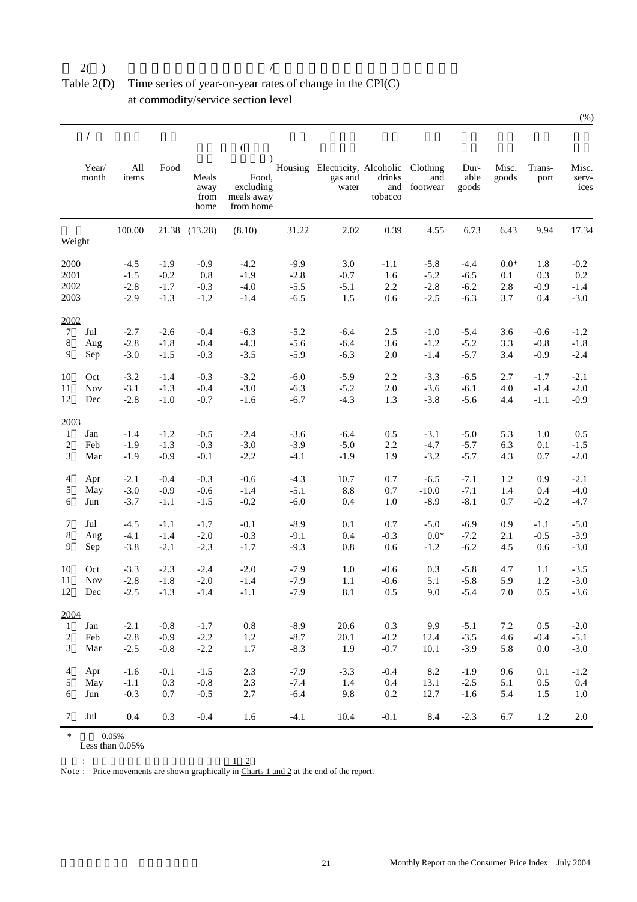#### Table 2(D) Time series of year-on-year rates of change in the CPI(C) at commodity/service section level

|              |                |              |        |                               | $\left($                                      |        |                                                    |                          |                             |                       |                |                |                        |
|--------------|----------------|--------------|--------|-------------------------------|-----------------------------------------------|--------|----------------------------------------------------|--------------------------|-----------------------------|-----------------------|----------------|----------------|------------------------|
|              | Year/<br>month | All<br>items | Food   | Meals<br>away<br>from<br>home | Food.<br>excluding<br>meals away<br>from home |        | Housing Electricity, Alcoholic<br>gas and<br>water | drinks<br>and<br>tobacco | Clothing<br>and<br>footwear | Dur-<br>able<br>goods | Misc.<br>goods | Trans-<br>port | Misc.<br>serv-<br>ices |
| Weight       |                | 100.00       |        | 21.38 (13.28)                 | (8.10)                                        | 31.22  | 2.02                                               | 0.39                     | 4.55                        | 6.73                  | 6.43           | 9.94           | 17.34                  |
| 2000         |                | $-4.5$       | $-1.9$ | $-0.9$                        | $-4.2$                                        | $-9.9$ | 3.0                                                | $-1.1$                   | $-5.8$                      | $-4.4$                | $0.0*$         | 1.8            | $-0.2$                 |
| 2001         |                | $-1.5$       | $-0.2$ | 0.8                           | $-1.9$                                        | $-2.8$ | $-0.7$                                             | 1.6                      | $-5.2$                      | $-6.5$                | 0.1            | 0.3            | 0.2                    |
| 2002         |                | $-2.8$       | $-1.7$ | $-0.3$                        | $-4.0$                                        | $-5.5$ | $-5.1$                                             | $2.2\,$                  | $-2.8$                      | $-6.2$                | 2.8            | $-0.9$         | $-1.4$                 |
| 2003         |                | $-2.9$       | $-1.3$ | $-1.2$                        | $-1.4$                                        | $-6.5$ | 1.5                                                | 0.6                      | $-2.5$                      | $-6.3$                | 3.7            | 0.4            | $-3.0$                 |
| 2002         |                |              |        |                               |                                               |        |                                                    |                          |                             |                       |                |                |                        |
| $\tau$       | Jul            | $-2.7$       | $-2.6$ | $-0.4$                        | $-6.3$                                        | $-5.2$ | $-6.4$                                             | 2.5                      | $-1.0$                      | $-5.4$                | 3.6            | $-0.6$         | $-1.2$                 |
| 8            | Aug            | $-2.8$       | $-1.8$ | $-0.4$                        | $-4.3$                                        | $-5.6$ | $-6.4$                                             | 3.6                      | $-1.2$                      | $-5.2$                | 3.3            | $-0.8$         | $-1.8$                 |
| 9            | Sep            | $-3.0$       | $-1.5$ | $-0.3$                        | $-3.5$                                        | $-5.9$ | $-6.3$                                             | $2.0\,$                  | $-1.4$                      | $-5.7$                | 3.4            | $-0.9$         | $-2.4$                 |
| 10           | Oct            | $-3.2$       | $-1.4$ | $-0.3$                        | $-3.2$                                        | $-6.0$ | $-5.9$                                             | 2.2                      | $-3.3$                      | $-6.5$                | 2.7            | $-1.7$         | $-2.1$                 |
| 11           | <b>Nov</b>     | $-3.1$       | $-1.3$ | $-0.4$                        | $-3.0$                                        | $-6.3$ | $-5.2$                                             | $2.0\,$                  | $-3.6$                      | $-6.1$                | 4.0            | $-1.4$         | $-2.0$                 |
| 12           | Dec            | $-2.8$       | $-1.0$ | $-0.7$                        | $-1.6$                                        | $-6.7$ | $-4.3$                                             | 1.3                      | $-3.8$                      | $-5.6$                | 4.4            | $-1.1$         | $-0.9$                 |
| 2003         |                |              |        |                               |                                               |        |                                                    |                          |                             |                       |                |                |                        |
| $\mathbf{1}$ | Jan            | $-1.4$       | $-1.2$ | $-0.5$                        | $-2.4$                                        | $-3.6$ | $-6.4$                                             | 0.5                      | $-3.1$                      | $-5.0$                | 5.3            | 1.0            | 0.5                    |
| 2            | Feb            | $-1.9$       | $-1.3$ | $-0.3$                        | $-3.0$                                        | $-3.9$ | $-5.0$                                             | 2.2                      | $-4.7$                      | $-5.7$                | 6.3            | 0.1            | $-1.5$                 |
| 3            | Mar            | $-1.9$       | $-0.9$ | $-0.1$                        | $-2.2$                                        | $-4.1$ | $-1.9$                                             | 1.9                      | $-3.2$                      | $-5.7$                | 4.3            | 0.7            | $-2.0$                 |
| 4            | Apr            | $-2.1$       | $-0.4$ | $-0.3$                        | $-0.6$                                        | $-4.3$ | 10.7                                               | 0.7                      | $-6.5$                      | $-7.1$                | 1.2            | 0.9            | $-2.1$                 |
| 5            | May            | $-3.0$       | $-0.9$ | $-0.6$                        | $-1.4$                                        | $-5.1$ | 8.8                                                | 0.7                      | $-10.0$                     | $-7.1$                | 1.4            | 0.4            | $-4.0$                 |
| 6            | Jun            | $-3.7$       | $-1.1$ | $-1.5$                        | $-0.2$                                        | $-6.0$ | 0.4                                                | 1.0                      | $-8.9$                      | $-8.1$                | 0.7            | $-0.2$         | $-4.7$                 |
| 7            | Jul            | $-4.5$       | $-1.1$ | $-1.7$                        | $-0.1$                                        | $-8.9$ | 0.1                                                | 0.7                      | $-5.0$                      | $-6.9$                | 0.9            | $-1.1$         | $-5.0$                 |
| 8            | Aug            | $-4.1$       | $-1.4$ | $-2.0$                        | $-0.3$                                        | $-9.1$ | 0.4                                                | $-0.3$                   | $0.0*$                      | $-7.2$                | 2.1            | $-0.5$         | $-3.9$                 |
| 9            | Sep            | $-3.8$       | $-2.1$ | $-2.3$                        | $-1.7$                                        | $-9.3$ | 0.8                                                | 0.6                      | $-1.2$                      | $-6.2$                | 4.5            | 0.6            | $-3.0$                 |
| 10           | Oct            | $-3.3$       | $-2.3$ | $-2.4$                        | $-2.0$                                        | $-7.9$ | 1.0                                                | $-0.6$                   | 0.3                         | $-5.8$                | 4.7            | 1.1            | $-3.5$                 |
| 11           | Nov            | $-2.8$       | $-1.8$ | $-2.0$                        | $-1.4$                                        | $-7.9$ | $1.1\,$                                            | $-0.6$                   | 5.1                         | $-5.8$                | 5.9            | $1.2\,$        | $-3.0$                 |
| 12           | Dec            | $-2.5$       | $-1.3$ | $-1.4$                        | $-1.1$                                        | $-7.9$ | 8.1                                                | 0.5                      | 9.0                         | $-5.4$                | 7.0            | 0.5            | $-3.6$                 |
| 2004         |                |              |        |                               |                                               |        |                                                    |                          |                             |                       |                |                |                        |
| $\mathbf{1}$ | Jan            | $-2.1$       | $-0.8$ | $-1.7$                        | $\rm 0.8$                                     | $-8.9$ | 20.6                                               | 0.3                      | 9.9                         | $-5.1$                | 7.2            | 0.5            | $-2.0$                 |
| 2            | Feb            | $-2.8$       | $-0.9$ | $-2.2$                        | 1.2                                           | $-8.7$ | 20.1                                               | $-0.2$                   | 12.4                        | $-3.5$                | 4.6            | $-0.4$         | $-5.1$                 |
| 3            | Mar            | $-2.5$       | $-0.8$ | $-2.2$                        | 1.7                                           | $-8.3$ | 1.9                                                | $-0.7$                   | 10.1                        | $-3.9$                | 5.8            | $0.0\,$        | $-3.0$                 |
| 4            | Apr            | $-1.6$       | $-0.1$ | $-1.5$                        | 2.3                                           | $-7.9$ | $-3.3$                                             | $-0.4$                   | 8.2                         | $-1.9$                | 9.6            | 0.1            | $-1.2$                 |
| 5            | May            | $-1.1$       | 0.3    | $-0.8$                        | 2.3                                           | $-7.4$ | 1.4                                                | $0.4\,$                  | 13.1                        | $-2.5$                | 5.1            | 0.5            | 0.4                    |
| 6            | Jun            | $-0.3$       | 0.7    | $-0.5$                        | 2.7                                           | $-6.4$ | 9.8                                                | $0.2\,$                  | 12.7                        | $-1.6$                | 5.4            | 1.5            | $1.0\,$                |
| 7            | Jul            | 0.4          | 0.3    | $-0.4$                        | 1.6                                           | $-4.1$ | 10.4                                               | $-0.1$                   | 8.4                         | $-2.3$                | 6.7            | 1.2            | $2.0\,$                |

 $*$  0.05%

Less than 0.05%

 $\sim$   $\sim$   $\sim$   $\sim$ Note :  $1 \quad 2$ Price movements are shown graphically in Charts 1 and 2 at the end of the report.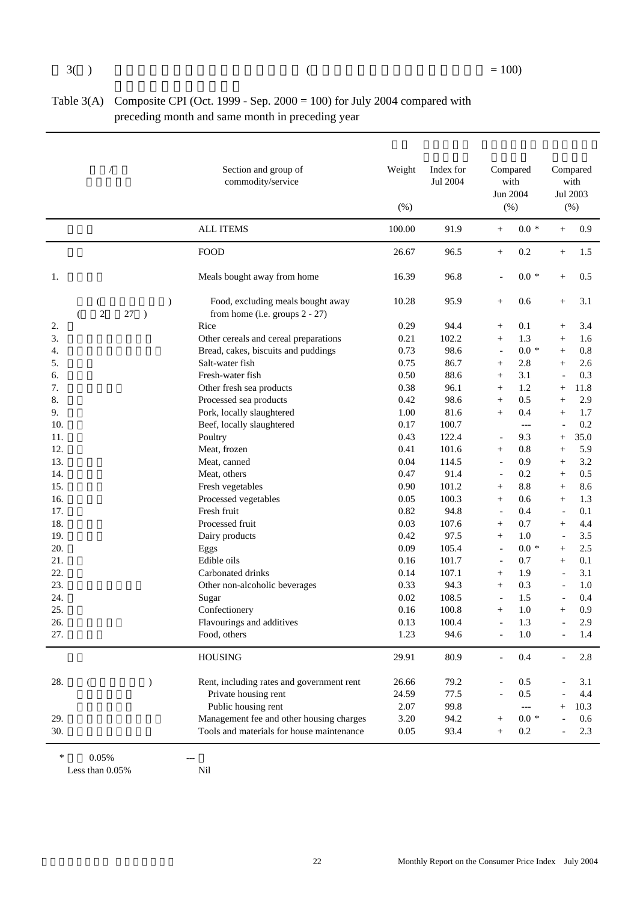| Table $3(A)$ Composite CPI (Oct. 1999 - Sep. 2000 = 100) for July 2004 compared with |
|--------------------------------------------------------------------------------------|
| preceding month and same month in preceding year                                     |

|     |                     |                                      | Section and group of<br>commodity/service                           | Weight<br>(% ) | Index for<br>Jul 2004 |                          | Compared<br>with<br>Jun 2004<br>$(\% )$ |                          | Compared<br>with<br>Jul 2003<br>$(\% )$ |
|-----|---------------------|--------------------------------------|---------------------------------------------------------------------|----------------|-----------------------|--------------------------|-----------------------------------------|--------------------------|-----------------------------------------|
|     |                     |                                      | <b>ALL ITEMS</b>                                                    | 100.00         | 91.9                  | $^{+}$                   | $0.0 *$                                 | $+$                      | 0.9                                     |
|     |                     |                                      | <b>FOOD</b>                                                         | 26.67          | 96.5                  | $^{+}$                   | 0.2                                     | $^{+}$                   | 1.5                                     |
| 1.  |                     |                                      | Meals bought away from home                                         | 16.39          | 96.8                  |                          | $0.0*$                                  | $^{+}$                   | 0.5                                     |
|     | $\overline{2}$<br>€ | $\mathcal{E}$<br>27<br>$\rightarrow$ | Food, excluding meals bought away<br>from home (i.e. groups 2 - 27) | 10.28          | 95.9                  | $^{+}$                   | 0.6                                     | $^{+}$                   | 3.1                                     |
| 2.  |                     |                                      | Rice                                                                | 0.29           | 94.4                  | $^{+}$                   | 0.1                                     | $^{+}$                   | 3.4                                     |
| 3.  |                     |                                      | Other cereals and cereal preparations                               | 0.21           | 102.2                 | $^{+}$                   | 1.3                                     | $+$                      | 1.6                                     |
| 4.  |                     |                                      | Bread, cakes, biscuits and puddings                                 | 0.73           | 98.6                  | $\overline{\phantom{a}}$ | $0.0 *$                                 | $+$                      | 0.8                                     |
| 5.  |                     |                                      | Salt-water fish                                                     | 0.75           | 86.7                  | $^{+}$                   | 2.8                                     | $^{+}$                   | 2.6                                     |
| 6.  |                     |                                      | Fresh-water fish                                                    | 0.50           | 88.6                  | $+$                      | 3.1                                     |                          | 0.3                                     |
| 7.  |                     |                                      | Other fresh sea products                                            | 0.38           | 96.1                  | $+$                      | 1.2                                     | $^{+}$                   | 11.8                                    |
| 8.  |                     |                                      | Processed sea products                                              | 0.42           | 98.6                  | $^{+}$                   | 0.5                                     | $\! + \!\!\!\!$          | 2.9                                     |
| 9.  |                     |                                      | Pork, locally slaughtered                                           | 1.00           | 81.6                  | $^{+}$                   | 0.4                                     | $^{+}$                   | 1.7                                     |
| 10. |                     |                                      | Beef, locally slaughtered                                           | 0.17           | 100.7                 |                          | $---$                                   |                          | 0.2                                     |
| 11. |                     |                                      | Poultry                                                             | 0.43           | 122.4                 | $\overline{a}$           | 9.3                                     | $^{+}$                   | 35.0                                    |
| 12. |                     |                                      | Meat, frozen                                                        | 0.41           | 101.6                 | $^{+}$                   | 0.8                                     | $^{+}$                   | 5.9                                     |
| 13. |                     |                                      | Meat, canned                                                        | 0.04           | 114.5                 | $\overline{\phantom{0}}$ | 0.9                                     | $+$                      | 3.2                                     |
| 14. |                     |                                      | Meat, others                                                        | 0.47           | 91.4                  | $\overline{\phantom{a}}$ | 0.2                                     | $+$                      | 0.5                                     |
| 15. |                     |                                      | Fresh vegetables                                                    | 0.90           | 101.2                 | $^{+}$                   | 8.8                                     | $+$                      | 8.6                                     |
| 16. |                     |                                      | Processed vegetables                                                | 0.05           | 100.3                 | $+$                      | 0.6                                     | $+$                      | 1.3                                     |
| 17. |                     |                                      | Fresh fruit                                                         | 0.82           | 94.8                  | $\overline{\phantom{a}}$ | 0.4                                     | $\overline{\phantom{a}}$ | 0.1                                     |
| 18. |                     |                                      | Processed fruit                                                     | 0.03           | 107.6                 | $^{+}$                   | 0.7                                     | $^{+}$                   | 4.4                                     |
| 19. |                     |                                      | Dairy products                                                      | 0.42           | 97.5                  | $+$                      | 1.0                                     | $\overline{\phantom{a}}$ | 3.5                                     |
| 20. |                     |                                      | Eggs                                                                | 0.09           | 105.4                 | $\overline{\phantom{a}}$ | $0.0 *$                                 | $^{+}$                   | 2.5                                     |
| 21. |                     |                                      | Edible oils                                                         | 0.16           | 101.7                 | $\overline{\phantom{a}}$ | 0.7                                     | $^{+}$                   | 0.1                                     |
| 22. |                     |                                      | Carbonated drinks                                                   | 0.14           | 107.1                 | $^{+}$                   | 1.9                                     |                          | 3.1                                     |
| 23. |                     |                                      | Other non-alcoholic beverages                                       | 0.33           | 94.3                  | $^{+}$                   | 0.3                                     |                          | 1.0                                     |
| 24. |                     |                                      | Sugar                                                               | 0.02           | 108.5                 | $\overline{a}$           | 1.5                                     |                          | 0.4                                     |
| 25. |                     |                                      | Confectionery                                                       | 0.16           | 100.8                 | $+$                      | 1.0                                     | $^{+}$                   | 0.9                                     |
| 26. |                     |                                      | Flavourings and additives                                           | 0.13           | 100.4                 | $\overline{a}$           | 1.3                                     | $\blacksquare$           | 2.9                                     |
| 27. |                     |                                      | Food, others                                                        | 1.23           | 94.6                  |                          | $1.0\,$                                 |                          | 1.4                                     |
|     |                     |                                      |                                                                     |                |                       |                          |                                         |                          |                                         |
|     |                     |                                      | <b>HOUSING</b>                                                      | 29.91          | 80.9                  |                          | 0.4                                     |                          | 2.8                                     |
| 28. | €                   | $\mathcal{E}$                        | Rent, including rates and government rent                           | 26.66          | 79.2                  |                          | 0.5                                     |                          | 3.1                                     |
|     |                     |                                      | Private housing rent                                                | 24.59          | 77.5                  |                          | 0.5                                     |                          | 4.4                                     |
|     |                     |                                      | Public housing rent                                                 | 2.07           | 99.8                  |                          | $\qquad \qquad - -$                     |                          | 10.3                                    |
| 29. |                     |                                      | Management fee and other housing charges                            | 3.20           | 94.2                  |                          | $0.0 *$                                 |                          | 0.6                                     |
| 30. |                     |                                      | Tools and materials for house maintenance                           | 0.05           | 93.4                  | $^{+}$                   | $0.2\,$                                 |                          | 2.3                                     |

 $*$  0.05% ---<br>Less than 0.05% Nil Less than  $0.05\%$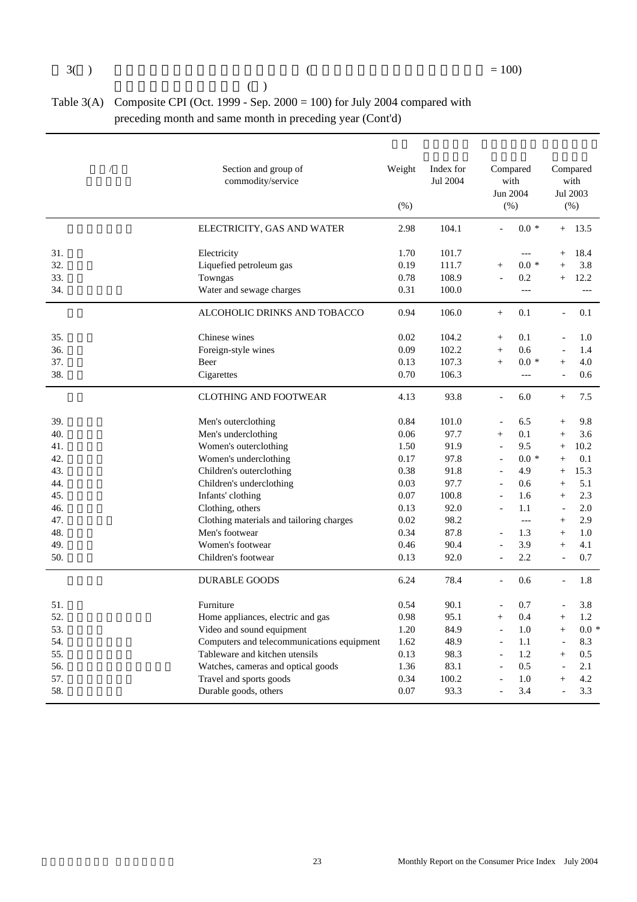| (                                                                                    |
|--------------------------------------------------------------------------------------|
| Table $3(A)$ Composite CPI (Oct. 1999 - Sep. 2000 = 100) for July 2004 compared with |
| preceding month and same month in preceding year (Cont'd)                            |

|     | Section and group of<br>commodity/service  | Weight<br>(% ) | Index for<br>Jul 2004 | (% )                     | Compared<br>with<br>Jun 2004 |                          | Compared<br>with<br>Jul 2003<br>(% ) |
|-----|--------------------------------------------|----------------|-----------------------|--------------------------|------------------------------|--------------------------|--------------------------------------|
|     | ELECTRICITY, GAS AND WATER                 | 2.98           | 104.1                 | $\overline{a}$           | $0.0 *$                      | $+$                      | 13.5                                 |
| 31. | Electricity                                | 1.70           | 101.7                 |                          | $---$                        | $^{+}$                   | 18.4                                 |
| 32. | Liquefied petroleum gas                    | 0.19           | 111.7                 | $+$                      | $0.0 *$                      | $\ddot{}$                | 3.8                                  |
| 33. | Towngas                                    | 0.78           | 108.9                 | $\overline{a}$           | 0.2                          | $^{+}$                   | 12.2                                 |
| 34. | Water and sewage charges                   | 0.31           | 100.0                 |                          | $---$                        |                          | $---$                                |
|     | ALCOHOLIC DRINKS AND TOBACCO               | 0.94           | 106.0                 | $^{+}$                   | 0.1                          | $\overline{\phantom{a}}$ | 0.1                                  |
| 35. | Chinese wines                              | 0.02           | 104.2                 | $+$                      | 0.1                          |                          | 1.0                                  |
| 36. | Foreign-style wines                        | 0.09           | 102.2                 | $+$                      | 0.6                          |                          | 1.4                                  |
| 37. | Beer                                       | 0.13           | 107.3                 | $+$                      | $0.0*$                       | $^{+}$                   | 4.0                                  |
| 38. | Cigarettes                                 | 0.70           | 106.3                 |                          | $---$                        |                          | 0.6                                  |
|     | <b>CLOTHING AND FOOTWEAR</b>               | 4.13           | 93.8                  | $\blacksquare$           | 6.0                          | $+$                      | 7.5                                  |
| 39. | Men's outerclothing                        | 0.84           | 101.0                 | $\overline{a}$           | 6.5                          | $^{+}$                   | 9.8                                  |
| 40. | Men's underclothing                        | 0.06           | 97.7                  | $+$                      | 0.1                          | $^{+}$                   | 3.6                                  |
| 41. | Women's outerclothing                      | 1.50           | 91.9                  | $\overline{a}$           | 9.5                          | $^{+}$                   | 10.2                                 |
| 42. | Women's underclothing                      | 0.17           | 97.8                  | $\blacksquare$           | $0.0*$                       | $^{+}$                   | 0.1                                  |
| 43. | Children's outerclothing                   | 0.38           | 91.8                  | $\overline{a}$           | 4.9                          | $+$                      | 15.3                                 |
| 44. | Children's underclothing                   | 0.03           | 97.7                  | $\overline{a}$           | 0.6                          | $+$                      | 5.1                                  |
| 45. | Infants' clothing                          | 0.07           | 100.8                 | $\overline{a}$           | 1.6                          | $^{+}$                   | 2.3                                  |
| 46. | Clothing, others                           | 0.13           | 92.0                  | $\blacksquare$           | 1.1                          | $\overline{a}$           | 2.0                                  |
| 47. | Clothing materials and tailoring charges   | 0.02           | 98.2                  |                          | $\qquad \qquad - -$          | $+$                      | 2.9                                  |
| 48. | Men's footwear                             | 0.34           | 87.8                  | $\overline{a}$           | 1.3                          | $^{+}$                   | 1.0                                  |
| 49. | Women's footwear                           | 0.46           | 90.4                  | $\blacksquare$           | 3.9                          | $+$                      | 4.1                                  |
| 50. | Children's footwear                        | 0.13           | 92.0                  |                          | 2.2                          |                          | 0.7                                  |
|     | <b>DURABLE GOODS</b>                       | 6.24           | 78.4                  | $\blacksquare$           | 0.6                          | $\overline{a}$           | 1.8                                  |
| 51. | Furniture                                  | 0.54           | 90.1                  | $\overline{a}$           | 0.7                          |                          | 3.8                                  |
| 52. | Home appliances, electric and gas          | 0.98           | 95.1                  | $+$                      | 0.4                          | $+$                      | 1.2                                  |
| 53. | Video and sound equipment                  | 1.20           | 84.9                  | $\overline{\phantom{a}}$ | 1.0                          | $+$                      | $0.0*$                               |
| 54. | Computers and telecommunications equipment | 1.62           | 48.9                  | $\blacksquare$           | 1.1                          |                          | 8.3                                  |
| 55. | Tableware and kitchen utensils             | 0.13           | 98.3                  | $\bar{a}$                | 1.2                          | $+$                      | 0.5                                  |
| 56. | Watches, cameras and optical goods         | 1.36           | 83.1                  | $\overline{a}$           | 0.5                          |                          | 2.1                                  |
| 57. | Travel and sports goods                    | 0.34           | 100.2                 |                          | 1.0                          | $^{+}$                   | 4.2                                  |
| 58. | Durable goods, others                      | 0.07           | 93.3                  | $\overline{a}$           | 3.4                          | $\overline{a}$           | 3.3                                  |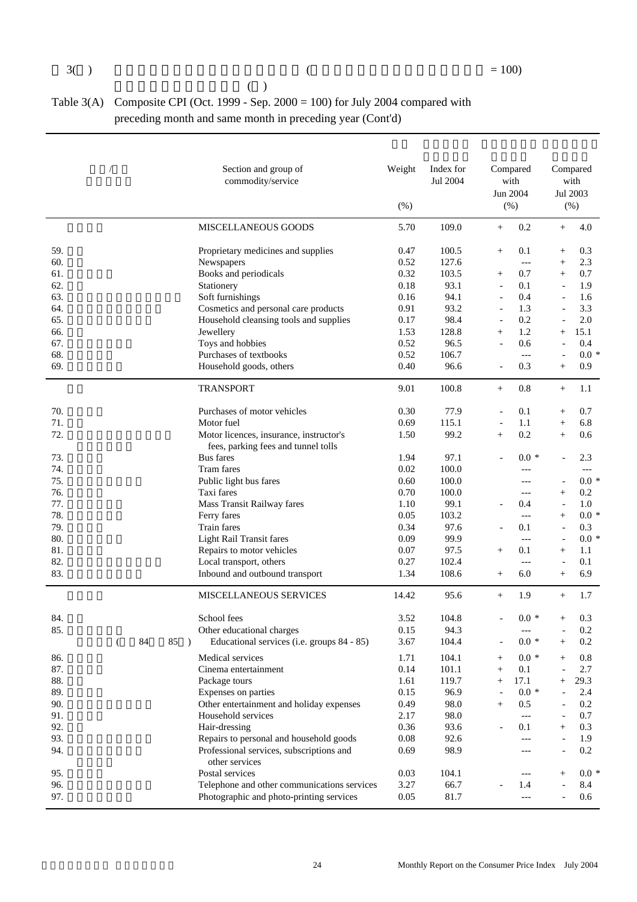$($  )

| Table $3(A)$ Composite CPI (Oct. 1999 - Sep. 2000 = 100) for July 2004 compared with |
|--------------------------------------------------------------------------------------|
| preceding month and same month in preceding year (Cont'd)                            |

|                            | Section and group of<br>commodity/service   | Weight<br>(% ) | Index for<br>Jul 2004 |                          | Compared<br>with<br>Jun 2004<br>(% ) |                          | Compared<br>with<br>Jul 2003<br>$(\% )$ |
|----------------------------|---------------------------------------------|----------------|-----------------------|--------------------------|--------------------------------------|--------------------------|-----------------------------------------|
|                            | MISCELLANEOUS GOODS                         | 5.70           | 109.0                 | $^{+}$                   | 0.2                                  | $+$                      | 4.0                                     |
| 59.                        | Proprietary medicines and supplies          | 0.47           | 100.5                 | $+$                      | 0.1                                  | $\! + \!\!\!\!$          | 0.3                                     |
| 60.                        | Newspapers                                  | 0.52           | 127.6                 |                          | $---$                                | $+$                      | 2.3                                     |
| 61.                        | Books and periodicals                       | 0.32           | 103.5                 | $\! + \!\!\!\!$          | 0.7                                  | $+$                      | 0.7                                     |
| 62.                        | Stationery                                  | 0.18           | 93.1                  | $\overline{\phantom{a}}$ | 0.1                                  |                          | 1.9                                     |
| 63.                        | Soft furnishings                            | 0.16           | 94.1                  | $\overline{a}$           | 0.4                                  |                          | 1.6                                     |
| 64.                        | Cosmetics and personal care products        | 0.91           | 93.2                  | $\blacksquare$           | 1.3                                  |                          | 3.3                                     |
| 65.                        | Household cleansing tools and supplies      | 0.17           | 98.4                  | $\overline{\phantom{a}}$ | 0.2                                  |                          | 2.0                                     |
| 66.                        | Jewellery                                   | 1.53           | 128.8                 | $+$                      | 1.2                                  | $^{+}$                   | 15.1                                    |
| 67.                        | Toys and hobbies                            | 0.52           | 96.5                  |                          | 0.6                                  |                          | 0.4                                     |
| 68.                        | Purchases of textbooks                      | 0.52           | 106.7                 |                          | $---$                                |                          | $0.0 *$                                 |
| 69.                        | Household goods, others                     | 0.40           | 96.6                  |                          | 0.3                                  | $+$                      | 0.9                                     |
|                            | <b>TRANSPORT</b>                            | 9.01           | 100.8                 | $^{+}$                   | 0.8                                  | $^{+}$                   | 1.1                                     |
| 70.                        | Purchases of motor vehicles                 | 0.30           | 77.9                  |                          | 0.1                                  | $^{+}$                   | 0.7                                     |
| 71.                        | Motor fuel                                  | 0.69           | 115.1                 | $\overline{\phantom{a}}$ | 1.1                                  | $^{+}$                   | 6.8                                     |
| 72.                        | Motor licences, insurance, instructor's     | 1.50           | 99.2                  | $+$                      | 0.2                                  | $^{+}$                   | 0.6                                     |
|                            | fees, parking fees and tunnel tolls         |                |                       |                          |                                      |                          |                                         |
| 73.                        | <b>Bus</b> fares                            | 1.94           | 97.1                  |                          | $0.0 *$                              |                          | 2.3                                     |
| 74.                        | Tram fares                                  | 0.02           | 100.0                 |                          |                                      |                          | $---$                                   |
| 75.                        | Public light bus fares                      | 0.60           | 100.0                 |                          | $---$                                |                          | $0.0*$                                  |
| 76.                        | Taxi fares                                  | 0.70           | 100.0                 |                          | $---$                                | $^{+}$                   | 0.2                                     |
| 77.                        | Mass Transit Railway fares                  | 1.10           | 99.1                  |                          | 0.4                                  |                          | 1.0                                     |
| 78.                        | Ferry fares                                 | 0.05           | 103.2                 |                          | $---$                                | $^{+}$                   | $0.0 *$                                 |
| 79.                        | Train fares                                 | 0.34           | 97.6                  |                          | 0.1                                  | $\overline{a}$           | 0.3                                     |
| 80.                        | <b>Light Rail Transit fares</b>             | 0.09           | 99.9                  |                          | $---$                                | $\overline{\phantom{a}}$ | $0.0 *$                                 |
| 81.                        | Repairs to motor vehicles                   | 0.07           | 97.5                  | $^{+}$                   | 0.1                                  | $^{+}$                   | 1.1                                     |
| 82.                        | Local transport, others                     | 0.27           | 102.4                 |                          | $---$                                |                          | 0.1                                     |
| 83.                        | Inbound and outbound transport              | 1.34           | 108.6                 | $^{+}$                   | 6.0                                  | $+$                      | 6.9                                     |
|                            | <b>MISCELLANEOUS SERVICES</b>               | 14.42          | 95.6                  | $^{+}$                   | 1.9                                  | $+$                      | 1.7                                     |
| 84.                        | School fees                                 | 3.52           | 104.8                 |                          | $0.0 *$                              | $^{+}$                   | 0.3                                     |
| 85.                        | Other educational charges                   | 0.15           | 94.3                  |                          | $---$                                |                          | 0.2                                     |
| 84<br>85<br>$\lambda$<br>€ | Educational services (i.e. groups 84 - 85)  | 3.67           | 104.4                 |                          | $0.0\,$ *                            | $^{+}$                   | 0.2                                     |
| 86.                        | Medical services                            | 1.71           | 104.1                 | $^{+}$                   | $0.0 *$                              |                          | 0.8                                     |
| 87.                        | Cinema entertainment                        | 0.14           | 101.1                 | $\! + \!\!\!\!$          | 0.1                                  |                          | 2.7                                     |
| 88.                        | Package tours                               | 1.61           | 119.7                 | $\! + \!\!\!\!$          | 17.1                                 | $^+$                     | 29.3                                    |
| 89.                        | Expenses on parties                         | 0.15           | 96.9                  |                          | $0.0*$                               |                          | 2.4                                     |
| 90.                        | Other entertainment and holiday expenses    | 0.49           | 98.0                  | $\! + \!\!\!\!$          | 0.5                                  |                          | 0.2                                     |
| 91.                        | Household services                          | 2.17           | 98.0                  |                          | ---                                  |                          | 0.7                                     |
| 92.                        | Hair-dressing                               | 0.36           | 93.6                  |                          | 0.1                                  | $+$                      | 0.3                                     |
| 93.                        | Repairs to personal and household goods     | 0.08           | 92.6                  |                          | $---$                                |                          | 1.9                                     |
| 94.                        | Professional services, subscriptions and    | 0.69           | 98.9                  |                          | $---$                                |                          | 0.2                                     |
|                            | other services                              |                |                       |                          |                                      |                          |                                         |
| 95.                        | Postal services                             | 0.03           | 104.1                 |                          | ---                                  | $\overline{+}$           | $0.0 *$                                 |
| 96.                        | Telephone and other communications services | 3.27           | 66.7                  |                          | 1.4                                  |                          | 8.4                                     |
| 97.                        | Photographic and photo-printing services    | 0.05           | 81.7                  |                          | $---$                                |                          | 0.6                                     |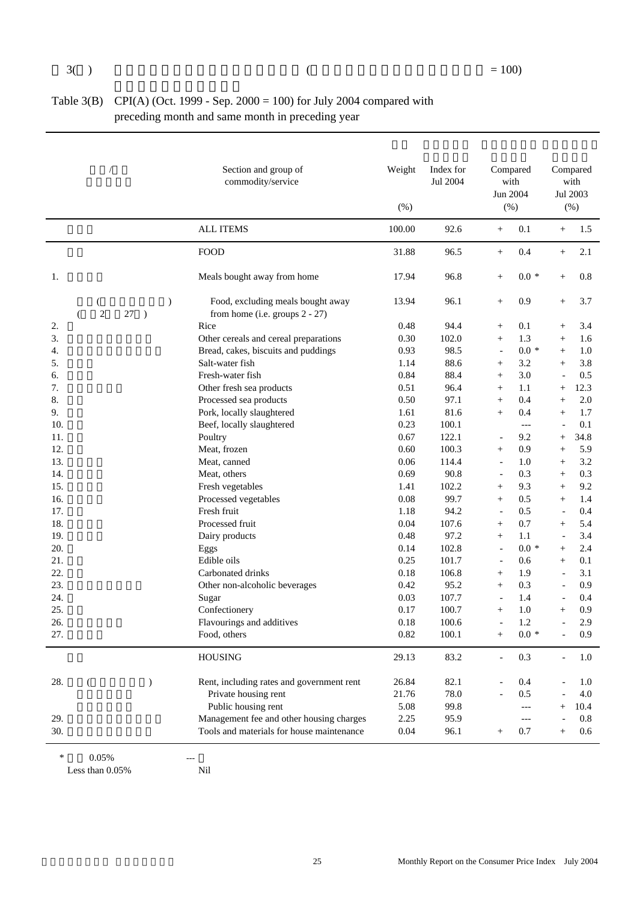| Table 3(B) CPI(A) (Oct. 1999 - Sep. $2000 = 100$ ) for July 2004 compared with |
|--------------------------------------------------------------------------------|
| preceding month and same month in preceding year                               |

|     | $\sqrt{2}$             |                                      | Section and group of<br>commodity/service                           | Weight<br>(% ) | Index for<br>Jul 2004 |                          | Compared<br>with<br>Jun 2004<br>(%) |                          | Compared<br>with<br>Jul 2003<br>$(\% )$ |
|-----|------------------------|--------------------------------------|---------------------------------------------------------------------|----------------|-----------------------|--------------------------|-------------------------------------|--------------------------|-----------------------------------------|
|     |                        |                                      | <b>ALL ITEMS</b>                                                    | 100.00         | 92.6                  | $^{+}$                   | 0.1                                 | $^{+}$                   | 1.5                                     |
|     |                        |                                      | <b>FOOD</b>                                                         | 31.88          | 96.5                  | $^{+}$                   | 0.4                                 | $+$                      | 2.1                                     |
| 1.  |                        |                                      | Meals bought away from home                                         | 17.94          | 96.8                  | $^{+}$                   | $0.0*$                              | $+$                      | 0.8                                     |
|     | €<br>$\mathbf{2}$<br>€ | $\mathcal{E}$<br>27<br>$\rightarrow$ | Food, excluding meals bought away<br>from home (i.e. groups 2 - 27) | 13.94          | 96.1                  | $\! + \!\!\!\!$          | 0.9                                 | $+$                      | 3.7                                     |
| 2.  |                        |                                      | Rice                                                                | 0.48           | 94.4                  | $\! + \!\!\!\!$          | 0.1                                 | $^{+}$                   | 3.4                                     |
| 3.  |                        |                                      | Other cereals and cereal preparations                               | 0.30           | 102.0                 | $^{+}$                   | 1.3                                 | $+$                      | 1.6                                     |
| 4.  |                        |                                      | Bread, cakes, biscuits and puddings                                 | 0.93           | 98.5                  | $\overline{\phantom{a}}$ | $0.0 *$                             | $+$                      | 1.0                                     |
| 5.  |                        |                                      | Salt-water fish                                                     | 1.14           | 88.6                  | $\! + \!\!\!\!$          | 3.2                                 | $^{+}$                   | 3.8                                     |
| 6.  |                        |                                      | Fresh-water fish                                                    | 0.84           | 88.4                  | $^{+}$                   | 3.0                                 |                          | 0.5                                     |
| 7.  |                        |                                      | Other fresh sea products                                            | 0.51           | 96.4                  | $^{+}$                   | 1.1                                 | $+$                      | 12.3                                    |
| 8.  |                        |                                      | Processed sea products                                              | 0.50           | 97.1                  | $^{+}$                   | 0.4                                 | $+$                      | 2.0                                     |
| 9.  |                        |                                      | Pork, locally slaughtered                                           | 1.61           | 81.6                  | $^{+}$                   | 0.4                                 | $+$                      | 1.7                                     |
| 10. |                        |                                      | Beef, locally slaughtered                                           | 0.23           | 100.1                 |                          | $---$                               | $\overline{\phantom{a}}$ | 0.1                                     |
| 11. |                        |                                      | Poultry                                                             | 0.67           | 122.1                 |                          | 9.2                                 | $+$                      | 34.8                                    |
| 12. |                        |                                      | Meat, frozen                                                        | 0.60           | 100.3                 | $^{+}$                   | 0.9                                 | $^{+}$                   | 5.9                                     |
| 13. |                        |                                      | Meat, canned                                                        | 0.06           | 114.4                 | $\overline{\phantom{a}}$ | 1.0                                 | $+$                      | 3.2                                     |
| 14. |                        |                                      | Meat, others                                                        | 0.69           | 90.8                  | $\overline{\phantom{a}}$ | 0.3                                 | $+$                      | 0.3                                     |
| 15. |                        |                                      | Fresh vegetables                                                    | 1.41           | 102.2                 | $^{+}$                   | 9.3                                 | $+$                      | 9.2                                     |
| 16. |                        |                                      | Processed vegetables                                                | 0.08           | 99.7                  | $^{+}$                   | 0.5                                 | $+$                      | 1.4                                     |
| 17. |                        |                                      | Fresh fruit                                                         | 1.18           | 94.2                  | $\overline{\phantom{a}}$ | 0.5                                 | $\overline{\phantom{a}}$ | 0.4                                     |
| 18. |                        |                                      | Processed fruit                                                     | 0.04           | 107.6                 | $^{+}$                   | 0.7                                 | $^{+}$                   | 5.4                                     |
| 19. |                        |                                      | Dairy products                                                      | 0.48           | 97.2                  | $^{+}$                   | 1.1                                 | $\overline{\phantom{a}}$ | 3.4                                     |
| 20. |                        |                                      | Eggs                                                                | 0.14           | 102.8                 | $\blacksquare$           | $0.0 *$                             | $+$                      | 2.4                                     |
| 21. |                        |                                      | Edible oils                                                         | 0.25           | 101.7                 | $\blacksquare$           | 0.6                                 | $+$                      | 0.1                                     |
| 22. |                        |                                      | Carbonated drinks                                                   | 0.18           | 106.8                 | $^{+}$                   | 1.9                                 | $\blacksquare$           | 3.1                                     |
| 23. |                        |                                      | Other non-alcoholic beverages                                       | 0.42           | 95.2                  | $+$                      | 0.3                                 | $\overline{\phantom{a}}$ | 0.9                                     |
| 24. |                        |                                      | Sugar                                                               | 0.03           | 107.7                 | $\blacksquare$           | 1.4                                 |                          | 0.4                                     |
| 25. |                        |                                      | Confectionery                                                       | 0.17           | 100.7                 | $^{+}$                   | 1.0                                 | $+$                      | 0.9                                     |
| 26. |                        |                                      | Flavourings and additives                                           | 0.18           | 100.6                 | $\overline{\phantom{a}}$ | 1.2                                 | $\blacksquare$           | 2.9                                     |
| 27. |                        |                                      | Food, others                                                        | 0.82           | 100.1                 | $^{+}$                   | $0.0 *$                             |                          | 0.9                                     |
|     |                        |                                      |                                                                     |                |                       |                          |                                     |                          |                                         |
|     |                        |                                      | <b>HOUSING</b>                                                      | 29.13          | 83.2                  |                          | 0.3                                 |                          | $1.0\,$                                 |
| 28. | $\left($               | $\mathcal{E}$                        | Rent, including rates and government rent                           | 26.84          | 82.1                  |                          | 0.4                                 |                          | 1.0                                     |
|     |                        |                                      | Private housing rent                                                | 21.76          | 78.0                  |                          | 0.5                                 |                          | $4.0\,$                                 |
|     |                        |                                      | Public housing rent                                                 | 5.08           | 99.8                  |                          | $---$                               |                          | 10.4                                    |
| 29. |                        |                                      | Management fee and other housing charges                            | 2.25           | 95.9                  |                          | $---$                               |                          | $0.8\,$                                 |
| 30. |                        |                                      | Tools and materials for house maintenance                           | 0.04           | 96.1                  | $^{+}$                   | 0.7                                 | $+$                      | 0.6                                     |

 $*$  0.05% ---<br>Less than 0.05% Nil

Less than  $0.05\%$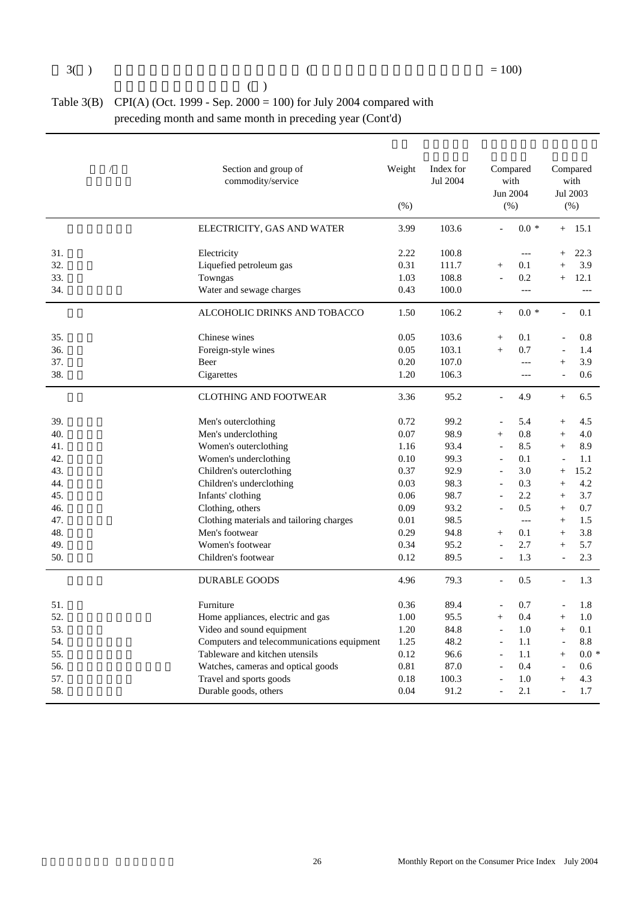| (                                                                           |
|-----------------------------------------------------------------------------|
| Table 3(B) CPI(A) (Oct. 1999 - Sep. 2000 = 100) for July 2004 compared with |
| preceding month and same month in preceding year (Cont'd)                   |

|     | Section and group of<br>commodity/service  | Weight<br>(% ) | Index for<br>Jul 2004 |                          | Compared<br>with<br>Jun 2004<br>(%) |                          | Compared<br>with<br>Jul 2003<br>(% ) |
|-----|--------------------------------------------|----------------|-----------------------|--------------------------|-------------------------------------|--------------------------|--------------------------------------|
|     | ELECTRICITY, GAS AND WATER                 | 3.99           | 103.6                 | $\overline{a}$           | $0.0 *$                             | $+$                      | 15.1                                 |
| 31. | Electricity                                | 2.22           | 100.8                 |                          | $\overline{a}$                      | $+$                      | 22.3                                 |
| 32. | Liquefied petroleum gas                    | 0.31           | 111.7                 | $\ddot{}$                | 0.1                                 |                          | 3.9                                  |
| 33. | Towngas                                    | 1.03           | 108.8                 |                          | 0.2                                 | $^{+}$                   | 12.1                                 |
| 34. | Water and sewage charges                   | 0.43           | 100.0                 |                          | $---$                               |                          | $---$                                |
|     | ALCOHOLIC DRINKS AND TOBACCO               | 1.50           | 106.2                 | $+$                      | $0.0 *$                             |                          | 0.1                                  |
| 35. | Chinese wines                              | 0.05           | 103.6                 | $^{+}$                   | 0.1                                 |                          | 0.8                                  |
| 36. | Foreign-style wines                        | 0.05           | 103.1                 | $\ddot{}$                | 0.7                                 |                          | 1.4                                  |
| 37. | Beer                                       | 0.20           | 107.0                 |                          | $---$                               | $+$                      | 3.9                                  |
| 38. | Cigarettes                                 | 1.20           | 106.3                 |                          | $---$                               |                          | 0.6                                  |
|     | <b>CLOTHING AND FOOTWEAR</b>               | 3.36           | 95.2                  | $\overline{a}$           | 4.9                                 | $\! + \!\!\!\!$          | 6.5                                  |
| 39. | Men's outerclothing                        | 0.72           | 99.2                  | $\overline{a}$           | 5.4                                 | $^{+}$                   | 4.5                                  |
| 40. | Men's underclothing                        | 0.07           | 98.9                  | $^{+}$                   | 0.8                                 | $^{+}$                   | 4.0                                  |
| 41. | Women's outerclothing                      | 1.16           | 93.4                  | $\overline{a}$           | 8.5                                 | $^{+}$                   | 8.9                                  |
| 42. | Women's underclothing                      | 0.10           | 99.3                  | $\blacksquare$           | 0.1                                 | $\overline{\phantom{a}}$ | 1.1                                  |
| 43. | Children's outerclothing                   | 0.37           | 92.9                  | $\overline{\phantom{a}}$ | 3.0                                 | $^{+}$                   | 15.2                                 |
| 44. | Children's underclothing                   | 0.03           | 98.3                  | $\overline{a}$           | 0.3                                 | $+$                      | 4.2                                  |
| 45. | Infants' clothing                          | 0.06           | 98.7                  | $\overline{a}$           | 2.2                                 | $^{+}$                   | 3.7                                  |
| 46. | Clothing, others                           | 0.09           | 93.2                  | $\overline{a}$           | 0.5                                 | $^{+}$                   | 0.7                                  |
| 47. | Clothing materials and tailoring charges   | 0.01           | 98.5                  |                          | $---$                               | $+$                      | 1.5                                  |
| 48. | Men's footwear                             | 0.29           | 94.8                  | $^{+}$                   | 0.1                                 | $^{+}$                   | 3.8                                  |
| 49. | Women's footwear                           | 0.34           | 95.2                  | $\overline{\phantom{a}}$ | 2.7                                 | $+$                      | 5.7                                  |
| 50. | Children's footwear                        | 0.12           | 89.5                  | $\overline{a}$           | 1.3                                 |                          | 2.3                                  |
|     | <b>DURABLE GOODS</b>                       | 4.96           | 79.3                  | $\blacksquare$           | 0.5                                 |                          | 1.3                                  |
| 51. | Furniture                                  | 0.36           | 89.4                  |                          | 0.7                                 |                          | 1.8                                  |
| 52. | Home appliances, electric and gas          | 1.00           | 95.5                  | $+$                      | 0.4                                 | $^{+}$                   | 1.0                                  |
| 53. | Video and sound equipment                  | 1.20           | 84.8                  | $\overline{\phantom{a}}$ | 1.0                                 | $^{+}$                   | 0.1                                  |
| 54. | Computers and telecommunications equipment | 1.25           | 48.2                  | $\blacksquare$           | 1.1                                 | $\overline{\phantom{a}}$ | 8.8                                  |
| 55. | Tableware and kitchen utensils             | 0.12           | 96.6                  | $\overline{\phantom{0}}$ | 1.1                                 | $^{+}$                   | $0.0*$                               |
| 56. | Watches, cameras and optical goods         | 0.81           | 87.0                  |                          | 0.4                                 |                          | 0.6                                  |
| 57. | Travel and sports goods                    | 0.18           | 100.3                 | $\overline{a}$           | 1.0                                 | $+$                      | 4.3                                  |
| 58. | Durable goods, others                      | 0.04           | 91.2                  | $\overline{a}$           | 2.1                                 | $\overline{a}$           | 1.7                                  |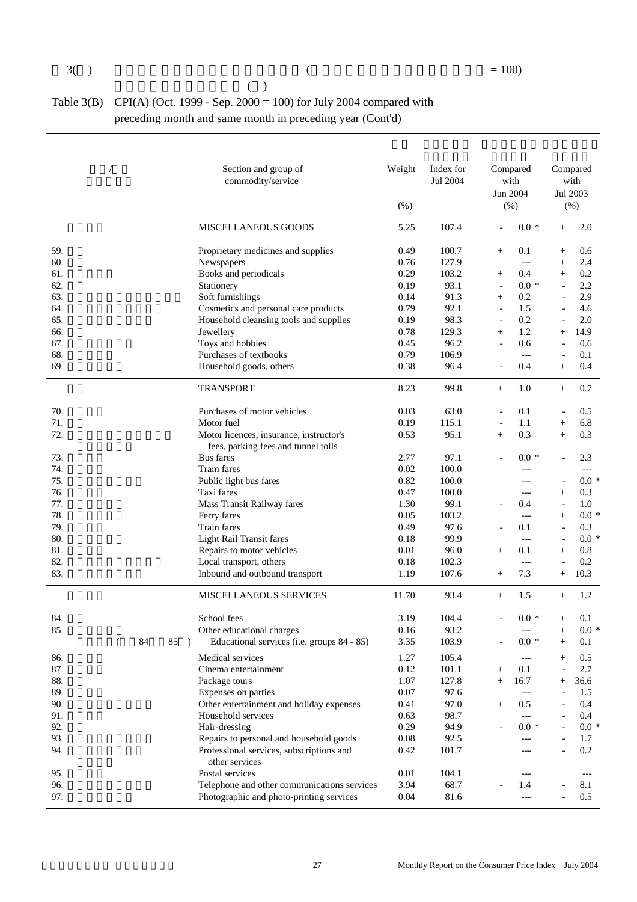| 3() |                                                                             |
|-----|-----------------------------------------------------------------------------|
|     | (                                                                           |
|     | Table 3(B) CPI(A) (Oct. 1999 - Sep. 2000 = 100) for July 2004 compared with |
|     | preceding month and same month in preceding year (Cont'd)                   |

|     |   |    |     | Section and group of<br>commodity/service   | Weight<br>(% ) | Index for<br>Jul 2004 |                          | Compared<br>with<br>Jun 2004<br>$(\% )$ |                          | Compared<br>with<br>Jul 2003<br>(% ) |
|-----|---|----|-----|---------------------------------------------|----------------|-----------------------|--------------------------|-----------------------------------------|--------------------------|--------------------------------------|
|     |   |    |     | MISCELLANEOUS GOODS                         | 5.25           | 107.4                 | $\overline{a}$           | $0.0 *$                                 | $^{+}$                   | 2.0                                  |
| 59. |   |    |     | Proprietary medicines and supplies          | 0.49           | 100.7                 | $^{+}$                   | 0.1                                     | $^+$                     | 0.6                                  |
| 60. |   |    |     | Newspapers                                  | 0.76           | 127.9                 |                          | $---$                                   | $^{+}$                   | 2.4                                  |
| 61. |   |    |     | Books and periodicals                       | 0.29           | 103.2                 | $^{+}$                   | 0.4                                     | $^{+}$                   | 0.2                                  |
| 62. |   |    |     | Stationery                                  | 0.19           | 93.1                  | $\overline{\phantom{a}}$ | $0.0*$                                  | $\overline{\phantom{a}}$ | 2.2                                  |
| 63. |   |    |     | Soft furnishings                            | 0.14           | 91.3                  | $^{+}$                   | 0.2                                     |                          | 2.9                                  |
| 64. |   |    |     | Cosmetics and personal care products        | 0.79           | 92.1                  | $\blacksquare$           | 1.5                                     |                          | 4.6                                  |
| 65. |   |    |     | Household cleansing tools and supplies      | 0.19           | 98.3                  | $\blacksquare$           | 0.2                                     |                          | 2.0                                  |
| 66. |   |    |     | Jewellery                                   | 0.78           | 129.3                 | $^{+}$                   | 1.2                                     | $^{+}$                   | 14.9                                 |
| 67. |   |    |     | Toys and hobbies                            | 0.45           | 96.2                  | $\blacksquare$           | 0.6                                     | $\overline{\phantom{a}}$ | 0.6                                  |
| 68. |   |    |     | Purchases of textbooks                      | 0.79           | 106.9                 |                          | $---$                                   |                          | 0.1                                  |
| 69. |   |    |     | Household goods, others                     | 0.38           | 96.4                  |                          | 0.4                                     | $^{+}$                   | 0.4                                  |
|     |   |    |     | <b>TRANSPORT</b>                            | 8.23           | 99.8                  | $^{+}$                   | 1.0                                     | $+$                      | 0.7                                  |
| 70. |   |    |     | Purchases of motor vehicles                 | 0.03           | 63.0                  | $\overline{\phantom{a}}$ | 0.1                                     |                          | 0.5                                  |
| 71. |   |    |     | Motor fuel                                  | 0.19           | 115.1                 | $\overline{\phantom{a}}$ | 1.1                                     | $^{+}$                   | 6.8                                  |
| 72. |   |    |     | Motor licences, insurance, instructor's     | 0.53           | 95.1                  | $^{+}$                   | 0.3                                     | $^{+}$                   | 0.3                                  |
|     |   |    |     | fees, parking fees and tunnel tolls         |                |                       |                          |                                         |                          |                                      |
| 73. |   |    |     | <b>Bus</b> fares                            | 2.77           | 97.1                  |                          | $0.0*$                                  |                          | 2.3                                  |
| 74. |   |    |     | Tram fares                                  | 0.02           | 100.0                 |                          | ---                                     |                          | $---$                                |
| 75. |   |    |     | Public light bus fares                      | 0.82           | 100.0                 |                          | $---$                                   |                          | $0.0 *$                              |
| 76. |   |    |     | Taxi fares                                  | 0.47           | 100.0                 |                          | $---$                                   | $^{+}$                   | 0.3                                  |
| 77. |   |    |     | Mass Transit Railway fares                  | 1.30           | 99.1                  |                          | 0.4                                     | $\overline{\phantom{a}}$ | 1.0                                  |
| 78. |   |    |     | Ferry fares                                 | 0.05           | 103.2                 |                          | $---$                                   | $^{+}$                   | $0.0 *$                              |
| 79. |   |    |     | Train fares                                 | 0.49           | 97.6                  |                          | 0.1                                     | $\overline{\phantom{a}}$ | 0.3                                  |
| 80. |   |    |     | <b>Light Rail Transit fares</b>             | 0.18           | 99.9                  |                          | $---$                                   | $\overline{\phantom{a}}$ | $0.0 *$                              |
| 81. |   |    |     | Repairs to motor vehicles                   | 0.01           | 96.0                  | $^{+}$                   | 0.1                                     | $^{+}$                   | 0.8                                  |
| 82. |   |    |     | Local transport, others                     | 0.18           | 102.3                 |                          | $---$                                   | ÷,                       | 0.2                                  |
| 83. |   |    |     | Inbound and outbound transport              | 1.19           | 107.6                 | $^{+}$                   | 7.3                                     | $^{+}$                   | 10.3                                 |
|     |   |    |     | <b>MISCELLANEOUS SERVICES</b>               | 11.70          | 93.4                  | $+$                      | 1.5                                     | $+$                      | 1.2                                  |
| 84. |   |    |     | School fees                                 | 3.19           | 104.4                 |                          | $0.0*$                                  | $^+$                     | 0.1                                  |
| 85. |   |    |     | Other educational charges                   | 0.16           | 93.2                  |                          | $---$                                   | $+$                      | $0.0 *$                              |
|     | ( | 84 | 85) | Educational services (i.e. groups 84 - 85)  | 3.35           | 103.9                 |                          | $0.0 *$                                 | $^{+}$                   | 0.1                                  |
| 86. |   |    |     | Medical services                            | 1.27           | 105.4                 |                          | ---                                     |                          | 0.5                                  |
| 87. |   |    |     | Cinema entertainment                        | 0.12           | 101.1                 | $^{+}$                   | 0.1                                     |                          | 2.7                                  |
| 88. |   |    |     | Package tours                               | 1.07           | 127.8                 | $^{+}$                   | 16.7                                    | $+$                      | 36.6                                 |
| 89. |   |    |     | Expenses on parties                         | 0.07           | 97.6                  |                          | $---$                                   |                          | 1.5                                  |
| 90. |   |    |     | Other entertainment and holiday expenses    | 0.41           | 97.0                  | $^{+}$                   | 0.5                                     |                          | 0.4                                  |
| 91. |   |    |     | Household services                          | 0.63           | 98.7                  |                          | $---$                                   |                          | 0.4                                  |
| 92. |   |    |     | Hair-dressing                               | 0.29           | 94.9                  |                          | $0.0 *$                                 |                          | $0.0 *$                              |
| 93. |   |    |     | Repairs to personal and household goods     | 0.08           | 92.5                  |                          | ---                                     |                          | 1.7                                  |
| 94. |   |    |     | Professional services, subscriptions and    | 0.42           | 101.7                 |                          | ---                                     |                          | 0.2                                  |
|     |   |    |     | other services                              |                |                       |                          |                                         |                          |                                      |
| 95. |   |    |     | Postal services                             | 0.01           | 104.1                 |                          | $---$                                   |                          | $\hspace{0.05cm}---\hspace{0.05cm}$  |
| 96. |   |    |     | Telephone and other communications services | 3.94           | 68.7                  |                          | 1.4                                     |                          | 8.1                                  |
| 97. |   |    |     | Photographic and photo-printing services    | $0.04\,$       | 81.6                  |                          | $---$                                   |                          | 0.5                                  |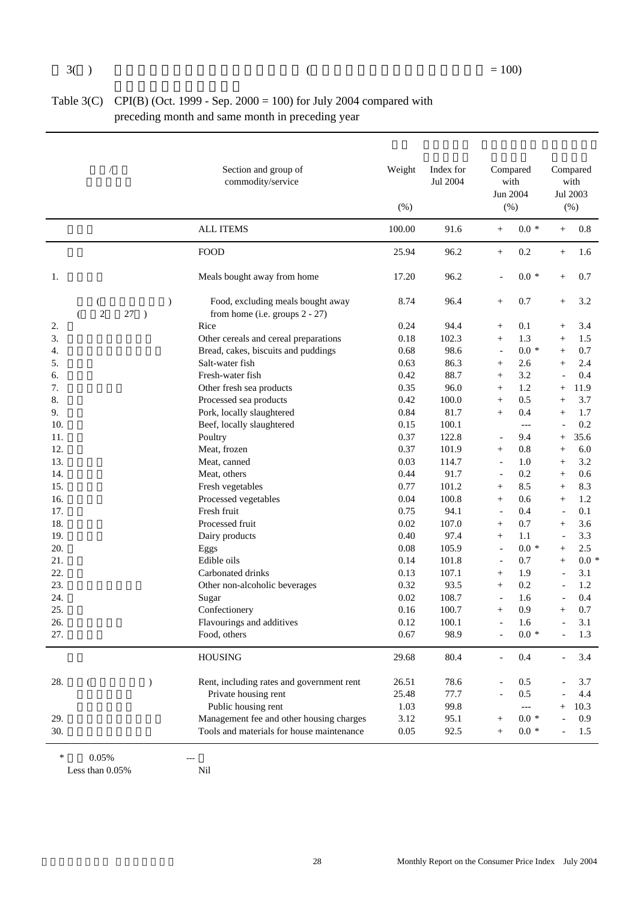| Table 3(C) CPI(B) (Oct. 1999 - Sep. $2000 = 100$ ) for July 2004 compared with |
|--------------------------------------------------------------------------------|
| preceding month and same month in preceding year                               |

| <b>ALL ITEMS</b><br>100.00<br>$0.0 *$<br>91.6<br>$+$<br>$^{+}$<br>0.2<br><b>FOOD</b><br>25.94<br>96.2<br>$^{+}$<br>$+$<br>Meals bought away from home<br>96.2<br>$0.0*$<br>1.<br>17.20<br>$+$<br>Food, excluding meals bought away<br>8.74<br>96.4<br>0.7<br>$\mathcal{E}$<br>€<br>$\! + \!\!\!\!$<br>$^{+}$<br>$\mathbf{2}$<br>27<br>from home (i.e. groups 2 - 27)<br>$\rightarrow$<br>€<br>Rice<br>0.24<br>94.4<br>0.1<br>2.<br>$\! + \!\!\!\!$<br>$^{+}$<br>3.<br>1.3<br>Other cereals and cereal preparations<br>0.18<br>102.3<br>$^{+}$<br>$+$<br>$0.0 *$<br>98.6<br>4.<br>Bread, cakes, biscuits and puddings<br>0.68<br>$+$<br>$\overline{\phantom{a}}$<br>5.<br>Salt-water fish<br>86.3<br>2.6<br>0.63<br>$\! + \!\!\!\!$<br>$^{+}$<br>6.<br>Fresh-water fish<br>0.42<br>88.7<br>3.2<br>$^{+}$<br>7.<br>0.35<br>96.0<br>Other fresh sea products<br>1.2<br>$^{+}$<br>$\! + \!\!\!\!$<br>8.<br>0.42<br>0.5<br>Processed sea products<br>100.0<br>$^{+}$<br>$\! + \!\!\!\!$<br>9.<br>0.84<br>Pork, locally slaughtered<br>81.7<br>0.4<br>$^{+}$<br>$+$<br>10.<br>0.15<br>100.1<br>Beef, locally slaughtered<br>$---$<br>11.<br>0.37<br>Poultry<br>122.8<br>9.4<br>$+$<br>12.<br>Meat, frozen<br>0.37<br>101.9<br>0.8<br>$^{+}$<br>$+$<br>13.<br>0.03<br>Meat, canned<br>114.7<br>1.0<br>$+$<br>$\overline{\phantom{a}}$<br>14.<br>0.44<br>91.7<br>Meat, others<br>0.2<br>$\overline{\phantom{a}}$<br>$+$<br>15.<br>0.77<br>Fresh vegetables<br>101.2<br>8.5<br>$^{+}$<br>$+$<br>16.<br>Processed vegetables<br>0.04<br>100.8<br>0.6<br>$^{+}$<br>$+$<br>17.<br>Fresh fruit<br>0.75<br>94.1<br>0.4<br>$\overline{\phantom{a}}$<br>$\overline{\phantom{a}}$<br>18.<br>0.02<br>0.7<br>Processed fruit<br>107.0<br>$\! + \!\!\!\!$<br>$^{+}$<br>19.<br>0.40<br>97.4<br>1.1<br>Dairy products<br>$^{+}$<br>$\overline{\phantom{a}}$<br>20.<br>0.08<br>105.9<br>$0.0 *$<br>Eggs<br>$\blacksquare$<br>$+$<br>21.<br>Edible oils<br>0.14<br>101.8<br>0.7<br>$+$<br>$\blacksquare$<br>22.<br>0.13<br>107.1<br>Carbonated drinks<br>1.9<br>$^{+}$<br>23.<br>0.32<br>93.5<br>0.2<br>Other non-alcoholic beverages<br>$+$<br>24.<br>0.02<br>108.7<br>1.6<br>Sugar<br>$\blacksquare$<br>25.<br>Confectionery<br>0.16<br>100.7<br>0.9<br>$^{+}$<br>$^{+}$<br>26.<br>0.12<br>100.1<br>1.6<br>Flavourings and additives<br>$\overline{a}$<br>$\blacksquare$<br>98.9<br>$0.0 *$<br>27.<br>0.67<br>Food, others<br>80.4<br><b>HOUSING</b><br>29.68<br>0.4<br>78.6<br>28.<br>Rent, including rates and government rent<br>26.51<br>0.5<br>$\left($<br>$\mathcal{E}$<br>0.5<br>Private housing rent<br>25.48<br>77.7<br>Public housing rent<br>99.8<br>1.03<br>$\hspace{0.05cm} \ldots$<br>Management fee and other housing charges<br>$0.0 *$<br>3.12<br>95.1<br>29. | $\sqrt{2}$ |  | Section and group of<br>commodity/service | Weight<br>(% ) | Index for<br>Jul 2004 | Compared<br>with<br>Jun 2004<br>(%) | Compared<br>with<br>Jul 2003<br>(% ) |
|----------------------------------------------------------------------------------------------------------------------------------------------------------------------------------------------------------------------------------------------------------------------------------------------------------------------------------------------------------------------------------------------------------------------------------------------------------------------------------------------------------------------------------------------------------------------------------------------------------------------------------------------------------------------------------------------------------------------------------------------------------------------------------------------------------------------------------------------------------------------------------------------------------------------------------------------------------------------------------------------------------------------------------------------------------------------------------------------------------------------------------------------------------------------------------------------------------------------------------------------------------------------------------------------------------------------------------------------------------------------------------------------------------------------------------------------------------------------------------------------------------------------------------------------------------------------------------------------------------------------------------------------------------------------------------------------------------------------------------------------------------------------------------------------------------------------------------------------------------------------------------------------------------------------------------------------------------------------------------------------------------------------------------------------------------------------------------------------------------------------------------------------------------------------------------------------------------------------------------------------------------------------------------------------------------------------------------------------------------------------------------------------------------------------------------------------------------------------------------------------------------------------------------------------------------------------------------------------------------------------------------------------------------------------------------------------------------------------------------------------------------|------------|--|-------------------------------------------|----------------|-----------------------|-------------------------------------|--------------------------------------|
|                                                                                                                                                                                                                                                                                                                                                                                                                                                                                                                                                                                                                                                                                                                                                                                                                                                                                                                                                                                                                                                                                                                                                                                                                                                                                                                                                                                                                                                                                                                                                                                                                                                                                                                                                                                                                                                                                                                                                                                                                                                                                                                                                                                                                                                                                                                                                                                                                                                                                                                                                                                                                                                                                                                                                          |            |  |                                           |                |                       |                                     | $0.8\,$                              |
|                                                                                                                                                                                                                                                                                                                                                                                                                                                                                                                                                                                                                                                                                                                                                                                                                                                                                                                                                                                                                                                                                                                                                                                                                                                                                                                                                                                                                                                                                                                                                                                                                                                                                                                                                                                                                                                                                                                                                                                                                                                                                                                                                                                                                                                                                                                                                                                                                                                                                                                                                                                                                                                                                                                                                          |            |  |                                           |                |                       |                                     | 1.6                                  |
|                                                                                                                                                                                                                                                                                                                                                                                                                                                                                                                                                                                                                                                                                                                                                                                                                                                                                                                                                                                                                                                                                                                                                                                                                                                                                                                                                                                                                                                                                                                                                                                                                                                                                                                                                                                                                                                                                                                                                                                                                                                                                                                                                                                                                                                                                                                                                                                                                                                                                                                                                                                                                                                                                                                                                          |            |  |                                           |                |                       |                                     | 0.7                                  |
|                                                                                                                                                                                                                                                                                                                                                                                                                                                                                                                                                                                                                                                                                                                                                                                                                                                                                                                                                                                                                                                                                                                                                                                                                                                                                                                                                                                                                                                                                                                                                                                                                                                                                                                                                                                                                                                                                                                                                                                                                                                                                                                                                                                                                                                                                                                                                                                                                                                                                                                                                                                                                                                                                                                                                          |            |  |                                           |                |                       |                                     | 3.2                                  |
|                                                                                                                                                                                                                                                                                                                                                                                                                                                                                                                                                                                                                                                                                                                                                                                                                                                                                                                                                                                                                                                                                                                                                                                                                                                                                                                                                                                                                                                                                                                                                                                                                                                                                                                                                                                                                                                                                                                                                                                                                                                                                                                                                                                                                                                                                                                                                                                                                                                                                                                                                                                                                                                                                                                                                          |            |  |                                           |                |                       |                                     | 3.4                                  |
|                                                                                                                                                                                                                                                                                                                                                                                                                                                                                                                                                                                                                                                                                                                                                                                                                                                                                                                                                                                                                                                                                                                                                                                                                                                                                                                                                                                                                                                                                                                                                                                                                                                                                                                                                                                                                                                                                                                                                                                                                                                                                                                                                                                                                                                                                                                                                                                                                                                                                                                                                                                                                                                                                                                                                          |            |  |                                           |                |                       |                                     | 1.5                                  |
|                                                                                                                                                                                                                                                                                                                                                                                                                                                                                                                                                                                                                                                                                                                                                                                                                                                                                                                                                                                                                                                                                                                                                                                                                                                                                                                                                                                                                                                                                                                                                                                                                                                                                                                                                                                                                                                                                                                                                                                                                                                                                                                                                                                                                                                                                                                                                                                                                                                                                                                                                                                                                                                                                                                                                          |            |  |                                           |                |                       |                                     | 0.7                                  |
|                                                                                                                                                                                                                                                                                                                                                                                                                                                                                                                                                                                                                                                                                                                                                                                                                                                                                                                                                                                                                                                                                                                                                                                                                                                                                                                                                                                                                                                                                                                                                                                                                                                                                                                                                                                                                                                                                                                                                                                                                                                                                                                                                                                                                                                                                                                                                                                                                                                                                                                                                                                                                                                                                                                                                          |            |  |                                           |                |                       |                                     | 2.4                                  |
|                                                                                                                                                                                                                                                                                                                                                                                                                                                                                                                                                                                                                                                                                                                                                                                                                                                                                                                                                                                                                                                                                                                                                                                                                                                                                                                                                                                                                                                                                                                                                                                                                                                                                                                                                                                                                                                                                                                                                                                                                                                                                                                                                                                                                                                                                                                                                                                                                                                                                                                                                                                                                                                                                                                                                          |            |  |                                           |                |                       |                                     | 0.4                                  |
|                                                                                                                                                                                                                                                                                                                                                                                                                                                                                                                                                                                                                                                                                                                                                                                                                                                                                                                                                                                                                                                                                                                                                                                                                                                                                                                                                                                                                                                                                                                                                                                                                                                                                                                                                                                                                                                                                                                                                                                                                                                                                                                                                                                                                                                                                                                                                                                                                                                                                                                                                                                                                                                                                                                                                          |            |  |                                           |                |                       |                                     | 11.9                                 |
|                                                                                                                                                                                                                                                                                                                                                                                                                                                                                                                                                                                                                                                                                                                                                                                                                                                                                                                                                                                                                                                                                                                                                                                                                                                                                                                                                                                                                                                                                                                                                                                                                                                                                                                                                                                                                                                                                                                                                                                                                                                                                                                                                                                                                                                                                                                                                                                                                                                                                                                                                                                                                                                                                                                                                          |            |  |                                           |                |                       |                                     | 3.7                                  |
|                                                                                                                                                                                                                                                                                                                                                                                                                                                                                                                                                                                                                                                                                                                                                                                                                                                                                                                                                                                                                                                                                                                                                                                                                                                                                                                                                                                                                                                                                                                                                                                                                                                                                                                                                                                                                                                                                                                                                                                                                                                                                                                                                                                                                                                                                                                                                                                                                                                                                                                                                                                                                                                                                                                                                          |            |  |                                           |                |                       |                                     | 1.7                                  |
|                                                                                                                                                                                                                                                                                                                                                                                                                                                                                                                                                                                                                                                                                                                                                                                                                                                                                                                                                                                                                                                                                                                                                                                                                                                                                                                                                                                                                                                                                                                                                                                                                                                                                                                                                                                                                                                                                                                                                                                                                                                                                                                                                                                                                                                                                                                                                                                                                                                                                                                                                                                                                                                                                                                                                          |            |  |                                           |                |                       |                                     | 0.2                                  |
|                                                                                                                                                                                                                                                                                                                                                                                                                                                                                                                                                                                                                                                                                                                                                                                                                                                                                                                                                                                                                                                                                                                                                                                                                                                                                                                                                                                                                                                                                                                                                                                                                                                                                                                                                                                                                                                                                                                                                                                                                                                                                                                                                                                                                                                                                                                                                                                                                                                                                                                                                                                                                                                                                                                                                          |            |  |                                           |                |                       |                                     | 35.6                                 |
|                                                                                                                                                                                                                                                                                                                                                                                                                                                                                                                                                                                                                                                                                                                                                                                                                                                                                                                                                                                                                                                                                                                                                                                                                                                                                                                                                                                                                                                                                                                                                                                                                                                                                                                                                                                                                                                                                                                                                                                                                                                                                                                                                                                                                                                                                                                                                                                                                                                                                                                                                                                                                                                                                                                                                          |            |  |                                           |                |                       |                                     | 6.0                                  |
|                                                                                                                                                                                                                                                                                                                                                                                                                                                                                                                                                                                                                                                                                                                                                                                                                                                                                                                                                                                                                                                                                                                                                                                                                                                                                                                                                                                                                                                                                                                                                                                                                                                                                                                                                                                                                                                                                                                                                                                                                                                                                                                                                                                                                                                                                                                                                                                                                                                                                                                                                                                                                                                                                                                                                          |            |  |                                           |                |                       |                                     | 3.2                                  |
|                                                                                                                                                                                                                                                                                                                                                                                                                                                                                                                                                                                                                                                                                                                                                                                                                                                                                                                                                                                                                                                                                                                                                                                                                                                                                                                                                                                                                                                                                                                                                                                                                                                                                                                                                                                                                                                                                                                                                                                                                                                                                                                                                                                                                                                                                                                                                                                                                                                                                                                                                                                                                                                                                                                                                          |            |  |                                           |                |                       |                                     | 0.6                                  |
|                                                                                                                                                                                                                                                                                                                                                                                                                                                                                                                                                                                                                                                                                                                                                                                                                                                                                                                                                                                                                                                                                                                                                                                                                                                                                                                                                                                                                                                                                                                                                                                                                                                                                                                                                                                                                                                                                                                                                                                                                                                                                                                                                                                                                                                                                                                                                                                                                                                                                                                                                                                                                                                                                                                                                          |            |  |                                           |                |                       |                                     | 8.3                                  |
|                                                                                                                                                                                                                                                                                                                                                                                                                                                                                                                                                                                                                                                                                                                                                                                                                                                                                                                                                                                                                                                                                                                                                                                                                                                                                                                                                                                                                                                                                                                                                                                                                                                                                                                                                                                                                                                                                                                                                                                                                                                                                                                                                                                                                                                                                                                                                                                                                                                                                                                                                                                                                                                                                                                                                          |            |  |                                           |                |                       |                                     | 1.2                                  |
|                                                                                                                                                                                                                                                                                                                                                                                                                                                                                                                                                                                                                                                                                                                                                                                                                                                                                                                                                                                                                                                                                                                                                                                                                                                                                                                                                                                                                                                                                                                                                                                                                                                                                                                                                                                                                                                                                                                                                                                                                                                                                                                                                                                                                                                                                                                                                                                                                                                                                                                                                                                                                                                                                                                                                          |            |  |                                           |                |                       |                                     | 0.1                                  |
|                                                                                                                                                                                                                                                                                                                                                                                                                                                                                                                                                                                                                                                                                                                                                                                                                                                                                                                                                                                                                                                                                                                                                                                                                                                                                                                                                                                                                                                                                                                                                                                                                                                                                                                                                                                                                                                                                                                                                                                                                                                                                                                                                                                                                                                                                                                                                                                                                                                                                                                                                                                                                                                                                                                                                          |            |  |                                           |                |                       |                                     | 3.6                                  |
|                                                                                                                                                                                                                                                                                                                                                                                                                                                                                                                                                                                                                                                                                                                                                                                                                                                                                                                                                                                                                                                                                                                                                                                                                                                                                                                                                                                                                                                                                                                                                                                                                                                                                                                                                                                                                                                                                                                                                                                                                                                                                                                                                                                                                                                                                                                                                                                                                                                                                                                                                                                                                                                                                                                                                          |            |  |                                           |                |                       |                                     | 3.3                                  |
|                                                                                                                                                                                                                                                                                                                                                                                                                                                                                                                                                                                                                                                                                                                                                                                                                                                                                                                                                                                                                                                                                                                                                                                                                                                                                                                                                                                                                                                                                                                                                                                                                                                                                                                                                                                                                                                                                                                                                                                                                                                                                                                                                                                                                                                                                                                                                                                                                                                                                                                                                                                                                                                                                                                                                          |            |  |                                           |                |                       |                                     | 2.5                                  |
|                                                                                                                                                                                                                                                                                                                                                                                                                                                                                                                                                                                                                                                                                                                                                                                                                                                                                                                                                                                                                                                                                                                                                                                                                                                                                                                                                                                                                                                                                                                                                                                                                                                                                                                                                                                                                                                                                                                                                                                                                                                                                                                                                                                                                                                                                                                                                                                                                                                                                                                                                                                                                                                                                                                                                          |            |  |                                           |                |                       |                                     | $0.0 *$                              |
|                                                                                                                                                                                                                                                                                                                                                                                                                                                                                                                                                                                                                                                                                                                                                                                                                                                                                                                                                                                                                                                                                                                                                                                                                                                                                                                                                                                                                                                                                                                                                                                                                                                                                                                                                                                                                                                                                                                                                                                                                                                                                                                                                                                                                                                                                                                                                                                                                                                                                                                                                                                                                                                                                                                                                          |            |  |                                           |                |                       |                                     | 3.1                                  |
|                                                                                                                                                                                                                                                                                                                                                                                                                                                                                                                                                                                                                                                                                                                                                                                                                                                                                                                                                                                                                                                                                                                                                                                                                                                                                                                                                                                                                                                                                                                                                                                                                                                                                                                                                                                                                                                                                                                                                                                                                                                                                                                                                                                                                                                                                                                                                                                                                                                                                                                                                                                                                                                                                                                                                          |            |  |                                           |                |                       |                                     | 1.2                                  |
|                                                                                                                                                                                                                                                                                                                                                                                                                                                                                                                                                                                                                                                                                                                                                                                                                                                                                                                                                                                                                                                                                                                                                                                                                                                                                                                                                                                                                                                                                                                                                                                                                                                                                                                                                                                                                                                                                                                                                                                                                                                                                                                                                                                                                                                                                                                                                                                                                                                                                                                                                                                                                                                                                                                                                          |            |  |                                           |                |                       |                                     | 0.4                                  |
|                                                                                                                                                                                                                                                                                                                                                                                                                                                                                                                                                                                                                                                                                                                                                                                                                                                                                                                                                                                                                                                                                                                                                                                                                                                                                                                                                                                                                                                                                                                                                                                                                                                                                                                                                                                                                                                                                                                                                                                                                                                                                                                                                                                                                                                                                                                                                                                                                                                                                                                                                                                                                                                                                                                                                          |            |  |                                           |                |                       |                                     | 0.7                                  |
|                                                                                                                                                                                                                                                                                                                                                                                                                                                                                                                                                                                                                                                                                                                                                                                                                                                                                                                                                                                                                                                                                                                                                                                                                                                                                                                                                                                                                                                                                                                                                                                                                                                                                                                                                                                                                                                                                                                                                                                                                                                                                                                                                                                                                                                                                                                                                                                                                                                                                                                                                                                                                                                                                                                                                          |            |  |                                           |                |                       |                                     | 3.1                                  |
|                                                                                                                                                                                                                                                                                                                                                                                                                                                                                                                                                                                                                                                                                                                                                                                                                                                                                                                                                                                                                                                                                                                                                                                                                                                                                                                                                                                                                                                                                                                                                                                                                                                                                                                                                                                                                                                                                                                                                                                                                                                                                                                                                                                                                                                                                                                                                                                                                                                                                                                                                                                                                                                                                                                                                          |            |  |                                           |                |                       |                                     | 1.3                                  |
|                                                                                                                                                                                                                                                                                                                                                                                                                                                                                                                                                                                                                                                                                                                                                                                                                                                                                                                                                                                                                                                                                                                                                                                                                                                                                                                                                                                                                                                                                                                                                                                                                                                                                                                                                                                                                                                                                                                                                                                                                                                                                                                                                                                                                                                                                                                                                                                                                                                                                                                                                                                                                                                                                                                                                          |            |  |                                           |                |                       |                                     |                                      |
|                                                                                                                                                                                                                                                                                                                                                                                                                                                                                                                                                                                                                                                                                                                                                                                                                                                                                                                                                                                                                                                                                                                                                                                                                                                                                                                                                                                                                                                                                                                                                                                                                                                                                                                                                                                                                                                                                                                                                                                                                                                                                                                                                                                                                                                                                                                                                                                                                                                                                                                                                                                                                                                                                                                                                          |            |  |                                           |                |                       |                                     | 3.4                                  |
|                                                                                                                                                                                                                                                                                                                                                                                                                                                                                                                                                                                                                                                                                                                                                                                                                                                                                                                                                                                                                                                                                                                                                                                                                                                                                                                                                                                                                                                                                                                                                                                                                                                                                                                                                                                                                                                                                                                                                                                                                                                                                                                                                                                                                                                                                                                                                                                                                                                                                                                                                                                                                                                                                                                                                          |            |  |                                           |                |                       |                                     | 3.7                                  |
|                                                                                                                                                                                                                                                                                                                                                                                                                                                                                                                                                                                                                                                                                                                                                                                                                                                                                                                                                                                                                                                                                                                                                                                                                                                                                                                                                                                                                                                                                                                                                                                                                                                                                                                                                                                                                                                                                                                                                                                                                                                                                                                                                                                                                                                                                                                                                                                                                                                                                                                                                                                                                                                                                                                                                          |            |  |                                           |                |                       |                                     | 4.4                                  |
|                                                                                                                                                                                                                                                                                                                                                                                                                                                                                                                                                                                                                                                                                                                                                                                                                                                                                                                                                                                                                                                                                                                                                                                                                                                                                                                                                                                                                                                                                                                                                                                                                                                                                                                                                                                                                                                                                                                                                                                                                                                                                                                                                                                                                                                                                                                                                                                                                                                                                                                                                                                                                                                                                                                                                          |            |  |                                           |                |                       |                                     | 10.3                                 |
|                                                                                                                                                                                                                                                                                                                                                                                                                                                                                                                                                                                                                                                                                                                                                                                                                                                                                                                                                                                                                                                                                                                                                                                                                                                                                                                                                                                                                                                                                                                                                                                                                                                                                                                                                                                                                                                                                                                                                                                                                                                                                                                                                                                                                                                                                                                                                                                                                                                                                                                                                                                                                                                                                                                                                          |            |  |                                           |                |                       |                                     | 0.9                                  |
| 30.<br>Tools and materials for house maintenance<br>$0.0 *$<br>0.05<br>92.5<br>$+$                                                                                                                                                                                                                                                                                                                                                                                                                                                                                                                                                                                                                                                                                                                                                                                                                                                                                                                                                                                                                                                                                                                                                                                                                                                                                                                                                                                                                                                                                                                                                                                                                                                                                                                                                                                                                                                                                                                                                                                                                                                                                                                                                                                                                                                                                                                                                                                                                                                                                                                                                                                                                                                                       |            |  |                                           |                |                       |                                     | 1.5                                  |

 $*$  0.05% ---<br>Less than 0.05% Nil

Less than  $0.05\%$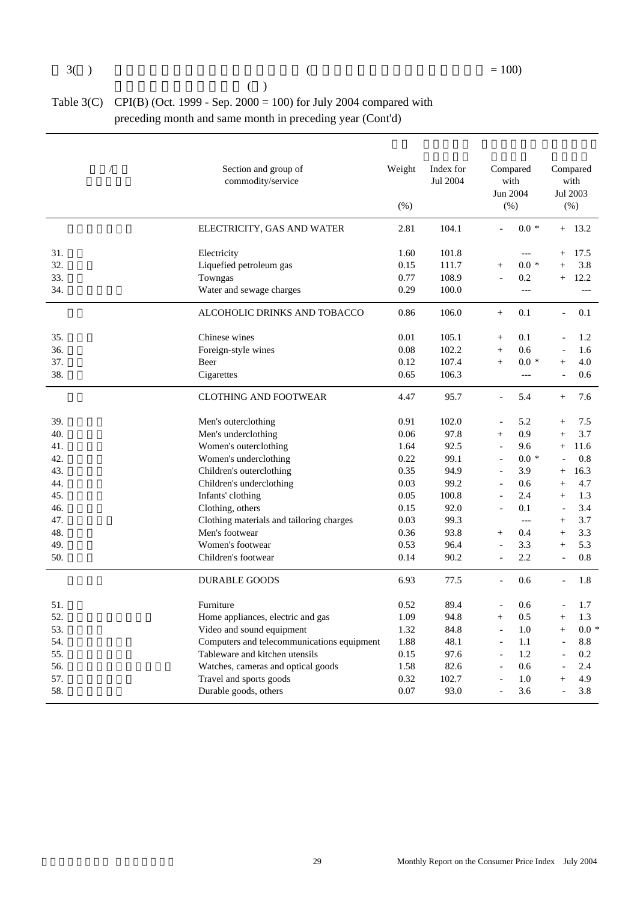| (                                                                           |
|-----------------------------------------------------------------------------|
| Table 3(C) CPI(B) (Oct. 1999 - Sep. 2000 = 100) for July 2004 compared with |
| preceding month and same month in preceding year (Cont'd)                   |

|     | Section and group of<br>commodity/service  |      |       | Compared<br>with<br>Jun 2004<br>(% ) |                     |                | Compared<br>with<br>Jul 2003<br>(% ) |
|-----|--------------------------------------------|------|-------|--------------------------------------|---------------------|----------------|--------------------------------------|
|     | ELECTRICITY, GAS AND WATER                 | 2.81 | 104.1 | $\overline{a}$                       | $0.0 *$             |                | $+$ 13.2                             |
| 31. | Electricity                                | 1.60 | 101.8 |                                      | $---$               | $^{+}$         | 17.5                                 |
| 32. | Liquefied petroleum gas                    | 0.15 | 111.7 | $^{+}$                               | $0.0 *$             | $\ddot{}$      | 3.8                                  |
| 33. | Towngas                                    | 0.77 | 108.9 | $\overline{a}$                       | 0.2                 | $+$            | 12.2                                 |
| 34. | Water and sewage charges                   | 0.29 | 100.0 |                                      | $---$               |                | $---$                                |
|     | ALCOHOLIC DRINKS AND TOBACCO               | 0.86 | 106.0 | $^{+}$                               | 0.1                 | $\blacksquare$ | 0.1                                  |
| 35. | Chinese wines                              | 0.01 | 105.1 | $+$                                  | 0.1                 |                | 1.2                                  |
| 36. | Foreign-style wines                        | 0.08 | 102.2 | $+$                                  | 0.6                 |                | 1.6                                  |
| 37. | Beer                                       | 0.12 | 107.4 | $+$                                  | $0.0 *$             | $^{+}$         | 4.0                                  |
| 38. | Cigarettes                                 | 0.65 | 106.3 |                                      | $---$               | $\overline{a}$ | 0.6                                  |
|     | <b>CLOTHING AND FOOTWEAR</b>               | 4.47 | 95.7  | $\equiv$                             | 5.4                 | $+$            | 7.6                                  |
| 39. | Men's outerclothing                        | 0.91 | 102.0 | $\overline{a}$                       | 5.2                 | $^{+}$         | 7.5                                  |
| 40. | Men's underclothing                        | 0.06 | 97.8  | $+$                                  | 0.9                 | $^{+}$         | 3.7                                  |
| 41. | Women's outerclothing                      | 1.64 | 92.5  | $\overline{\phantom{a}}$             | 9.6                 | $^{+}$         | 11.6                                 |
| 42. | Women's underclothing                      | 0.22 | 99.1  | $\overline{a}$                       | $0.0*$              |                | 0.8                                  |
| 43. | Children's outerclothing                   | 0.35 | 94.9  | $\overline{a}$                       | 3.9                 | $^{+}$         | 16.3                                 |
| 44. | Children's underclothing                   | 0.03 | 99.2  | $\overline{a}$                       | 0.6                 | $+$            | 4.7                                  |
| 45. | Infants' clothing                          | 0.05 | 100.8 | $\blacksquare$                       | 2.4                 | $+$            | 1.3                                  |
| 46. | Clothing, others                           | 0.15 | 92.0  | $\overline{a}$                       | 0.1                 | $\overline{a}$ | 3.4                                  |
| 47. | Clothing materials and tailoring charges   | 0.03 | 99.3  |                                      | $\qquad \qquad - -$ | $+$            | 3.7                                  |
| 48. | Men's footwear                             | 0.36 | 93.8  | $+$                                  | 0.4                 | $^{+}$         | 3.3                                  |
| 49. | Women's footwear                           | 0.53 | 96.4  | $\overline{a}$                       | 3.3                 | $^{+}$         | 5.3                                  |
| 50. | Children's footwear                        | 0.14 | 90.2  | $\overline{a}$                       | 2.2                 | $\overline{a}$ | 0.8                                  |
|     | <b>DURABLE GOODS</b>                       | 6.93 | 77.5  | $\blacksquare$                       | 0.6                 |                | 1.8                                  |
| 51. | Furniture                                  | 0.52 | 89.4  |                                      | 0.6                 |                | 1.7                                  |
| 52. | Home appliances, electric and gas          | 1.09 | 94.8  | $+$                                  | 0.5                 | $+$            | 1.3                                  |
| 53. | Video and sound equipment                  | 1.32 | 84.8  | $\sim$                               | 1.0                 | $+$            | $0.0 *$                              |
| 54. | Computers and telecommunications equipment | 1.88 | 48.1  | $\equiv$                             | 1.1                 |                | 8.8                                  |
| 55. | Tableware and kitchen utensils             | 0.15 | 97.6  | $\overline{\phantom{a}}$             | 1.2                 |                | 0.2                                  |
| 56. | Watches, cameras and optical goods         | 1.58 | 82.6  |                                      | 0.6                 |                | 2.4                                  |
| 57. | Travel and sports goods                    | 0.32 | 102.7 | $\overline{a}$                       | 1.0                 | $^{+}$         | 4.9                                  |
| 58. | Durable goods, others                      | 0.07 | 93.0  | $\overline{a}$                       | 3.6                 | $\overline{a}$ | 3.8                                  |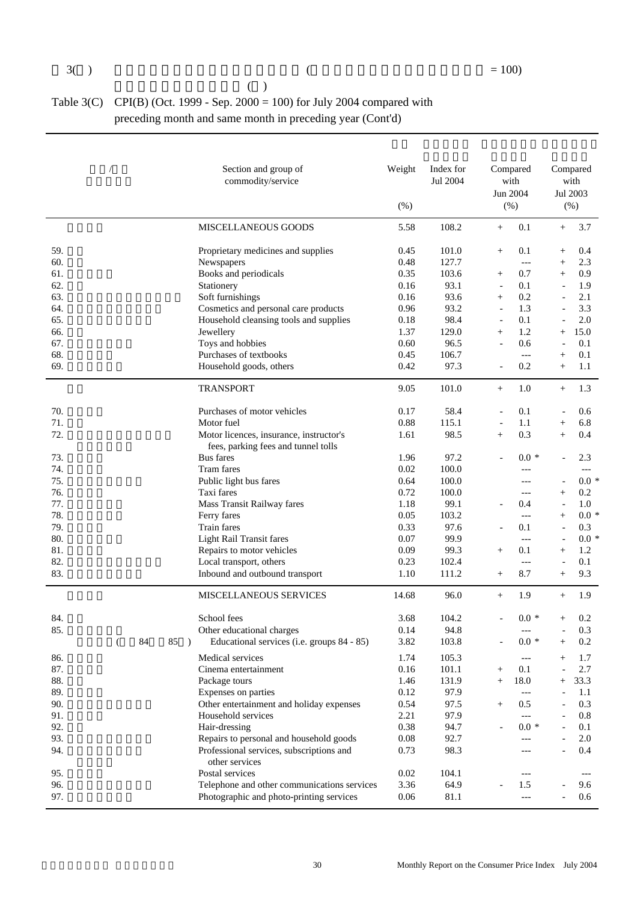|  |  | ( ) |  |
|--|--|-----|--|
|  |  |     |  |
|  |  |     |  |

#### Table 3(C) CPI(B) (Oct. 1999 - Sep. 2000 = 100) for July 2004 compared with preceding month and same month in preceding year (Cont'd)

|                                | Section and group of<br>commodity/service   | Weight<br>(%) | Index for<br>Jul 2004 |                          | Compared<br>with<br>Jun 2004<br>$(\% )$ |                          | Compared<br>with<br>Jul 2003<br>$(\% )$ |
|--------------------------------|---------------------------------------------|---------------|-----------------------|--------------------------|-----------------------------------------|--------------------------|-----------------------------------------|
|                                | MISCELLANEOUS GOODS                         | 5.58          | 108.2                 | $^{+}$                   | 0.1                                     | $+$                      | 3.7                                     |
| 59.                            | Proprietary medicines and supplies          | 0.45          | 101.0                 | $^{+}$                   | 0.1                                     | $\! + \!\!\!\!$          | 0.4                                     |
| 60.                            | Newspapers                                  | 0.48          | 127.7                 |                          | $---$                                   | $^{+}$                   | 2.3                                     |
| 61.                            | Books and periodicals                       | 0.35          | 103.6                 | $\! + \!\!\!\!$          | 0.7                                     | $^{+}$                   | 0.9                                     |
| 62.                            | Stationery                                  | 0.16          | 93.1                  | $\overline{\phantom{a}}$ | 0.1                                     | $\overline{\phantom{a}}$ | 1.9                                     |
| 63.                            | Soft furnishings                            | 0.16          | 93.6                  | $\! + \!\!\!\!$          | 0.2                                     |                          | 2.1                                     |
| 64.                            | Cosmetics and personal care products        | 0.96          | 93.2                  | $\overline{\phantom{a}}$ | 1.3                                     |                          | 3.3                                     |
| 65.                            | Household cleansing tools and supplies      | 0.18          | 98.4                  | $\overline{\phantom{a}}$ | 0.1                                     | $\overline{\phantom{a}}$ | 2.0                                     |
| 66.                            | Jewellery                                   | 1.37          | 129.0                 | $+$                      | 1.2                                     | $^{+}$                   | 15.0                                    |
| 67.                            | Toys and hobbies                            | 0.60          | 96.5                  |                          | 0.6                                     | Ĭ.                       | 0.1                                     |
| 68.                            | Purchases of textbooks                      | 0.45          | 106.7                 |                          | $---$                                   | $^{+}$                   | 0.1                                     |
| 69.                            | Household goods, others                     | 0.42          | 97.3                  | $\overline{a}$           | 0.2                                     | $+$                      | 1.1                                     |
|                                | <b>TRANSPORT</b>                            | 9.05          | 101.0                 | $^{+}$                   | 1.0                                     | $+$                      | 1.3                                     |
| 70.                            | Purchases of motor vehicles                 | 0.17          | 58.4                  |                          | 0.1                                     |                          | 0.6                                     |
| 71.                            | Motor fuel                                  | 0.88          | 115.1                 | $\overline{\phantom{a}}$ | 1.1                                     | $^{+}$                   | 6.8                                     |
| 72.                            | Motor licences, insurance, instructor's     | 1.61          | 98.5                  | $^{+}$                   | 0.3                                     | $^{+}$                   | 0.4                                     |
|                                | fees, parking fees and tunnel tolls         |               |                       |                          |                                         |                          |                                         |
| 73.                            | <b>Bus</b> fares                            | 1.96          | 97.2                  |                          | $0.0 *$                                 |                          | 2.3                                     |
| 74.                            | Tram fares                                  | 0.02          | 100.0                 |                          | ---                                     |                          | $---$                                   |
| 75.                            | Public light bus fares                      | 0.64          | 100.0                 |                          | ---                                     | $\overline{\phantom{a}}$ | $0.0 *$                                 |
| 76.                            | Taxi fares                                  | 0.72          | 100.0                 |                          | ---                                     | $^{+}$                   | 0.2                                     |
| 77.                            | Mass Transit Railway fares                  | 1.18          | 99.1                  |                          | 0.4                                     | $\overline{\phantom{a}}$ | 1.0                                     |
| 78.                            | Ferry fares                                 | 0.05          | 103.2                 |                          | $---$                                   | $^{+}$                   | $0.0 *$                                 |
| 79.                            | Train fares                                 | 0.33          | 97.6                  |                          | 0.1                                     | $\overline{\phantom{a}}$ | 0.3                                     |
| 80.                            | <b>Light Rail Transit fares</b>             | 0.07          | 99.9                  |                          | $---$                                   | $\overline{\phantom{a}}$ | $0.0 *$                                 |
| 81.                            | Repairs to motor vehicles                   | 0.09          | 99.3                  | $^{+}$                   | 0.1                                     | $^{+}$                   | 1.2                                     |
| 82.                            | Local transport, others                     | 0.23          | 102.4                 |                          | $---$                                   | $\overline{\phantom{a}}$ | 0.1                                     |
| 83.                            | Inbound and outbound transport              | 1.10          | 111.2                 | $\! + \!\!\!\!$          | 8.7                                     | $^{+}$                   | 9.3                                     |
|                                | <b>MISCELLANEOUS SERVICES</b>               | 14.68         | 96.0                  | $+$                      | 1.9                                     | $+$                      | 1.9                                     |
| 84.                            | School fees                                 | 3.68          | 104.2                 |                          | $0.0 *$                                 | $^{+}$                   | 0.2                                     |
| 85.                            | Other educational charges                   | 0.14          | 94.8                  |                          | $---$                                   | $\overline{\phantom{a}}$ | 0.3                                     |
| 84<br>85<br>$\rightarrow$<br>( | Educational services (i.e. groups 84 - 85)  | 3.82          | 103.8                 |                          | $0.0\,$ *                               | $^+$                     | 0.2                                     |
| 86.                            | Medical services                            | 1.74          | 105.3                 |                          | ---                                     |                          | 1.7                                     |
| 87.                            | Cinema entertainment                        | 0.16          | 101.1                 | $^{+}$                   | 0.1                                     |                          | 2.7                                     |
| 88.                            | Package tours                               | 1.46          | 131.9                 | $^{+}$                   | 18.0                                    | $^{+}$                   | 33.3                                    |
| 89.                            | Expenses on parties                         | 0.12          | 97.9                  |                          | $\overline{a}$                          |                          | 1.1                                     |
| 90.                            | Other entertainment and holiday expenses    | 0.54          | 97.5                  | $^{+}$                   | 0.5                                     |                          | 0.3                                     |
| 91.                            | Household services                          | 2.21          | 97.9                  |                          | $---$                                   |                          | $0.8\,$                                 |
| 92.                            | Hair-dressing                               | 0.38          | 94.7                  |                          | $0.0*$                                  |                          | 0.1                                     |
| 93.                            | Repairs to personal and household goods     | 0.08          | 92.7                  |                          | $---$                                   |                          | 2.0                                     |
| 94.                            | Professional services, subscriptions and    | 0.73          | 98.3                  |                          | ---                                     |                          | 0.4                                     |
|                                | other services                              |               |                       |                          |                                         |                          |                                         |
| 95.                            | Postal services                             | 0.02          | 104.1                 |                          | ---                                     |                          | ---                                     |
| 96.                            | Telephone and other communications services | 3.36          | 64.9                  |                          | 1.5                                     |                          | 9.6                                     |
| 97.                            | Photographic and photo-printing services    | 0.06          | 81.1                  |                          | $\overline{a}$                          |                          | 0.6                                     |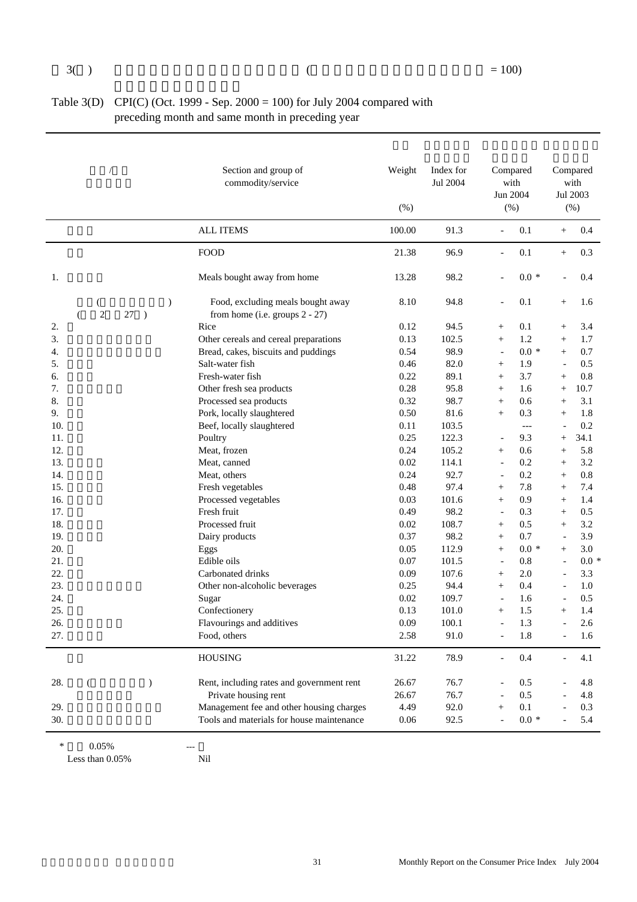| Table 3(D) CPI(C) (Oct. 1999 - Sep. $2000 = 100$ ) for July 2004 compared with |
|--------------------------------------------------------------------------------|
| preceding month and same month in preceding year                               |

|     |                   |                                  | Section and group of<br>commodity/service                           | Weight<br>(% ) | Index for<br>Jul 2004 |                          | Compared<br>with<br>Jun 2004<br>$(\% )$ |                          | Compared<br>with<br>Jul 2003<br>(% ) |
|-----|-------------------|----------------------------------|---------------------------------------------------------------------|----------------|-----------------------|--------------------------|-----------------------------------------|--------------------------|--------------------------------------|
|     |                   |                                  | <b>ALL ITEMS</b>                                                    | 100.00         | 91.3                  | $\blacksquare$           | 0.1                                     | $^{+}$                   | 0.4                                  |
|     |                   |                                  | <b>FOOD</b>                                                         | 21.38          | 96.9                  | $\overline{\phantom{a}}$ | 0.1                                     | $+$                      | 0.3                                  |
| 1.  |                   |                                  | Meals bought away from home                                         | 13.28          | 98.2                  |                          | $0.0 *$                                 |                          | 0.4                                  |
|     | $\mathbf{2}$<br>( | $\mathcal{E}$<br>27<br>$\lambda$ | Food, excluding meals bought away<br>from home (i.e. groups 2 - 27) | 8.10           | 94.8                  | $\overline{a}$           | 0.1                                     | $^{+}$                   | 1.6                                  |
| 2.  |                   |                                  | Rice                                                                | 0.12           | 94.5                  | $^{+}$                   | 0.1                                     | $^{+}$                   | 3.4                                  |
| 3.  |                   |                                  | Other cereals and cereal preparations                               | 0.13           | 102.5                 | $\qquad \qquad +$        | 1.2                                     | $^{+}$                   | 1.7                                  |
| 4.  |                   |                                  | Bread, cakes, biscuits and puddings                                 | 0.54           | 98.9                  | $\overline{\phantom{a}}$ | $0.0 *$                                 | $^{+}$                   | 0.7                                  |
| 5.  |                   |                                  | Salt-water fish                                                     | 0.46           | 82.0                  | $\qquad \qquad +$        | 1.9                                     | $\blacksquare$           | 0.5                                  |
| 6.  |                   |                                  | Fresh-water fish                                                    | 0.22           | 89.1                  | $\qquad \qquad +$        | 3.7                                     | $^{+}$                   | 0.8                                  |
| 7.  |                   |                                  | Other fresh sea products                                            | 0.28           | 95.8                  | $\qquad \qquad +$        | 1.6                                     | $^{+}$                   | 10.7                                 |
| 8.  |                   |                                  | Processed sea products                                              | 0.32           | 98.7                  | $\qquad \qquad +$        | 0.6                                     | $^{+}$                   | 3.1                                  |
| 9.  |                   |                                  | Pork, locally slaughtered                                           | 0.50           | 81.6                  | $\qquad \qquad +$        | 0.3                                     | $^{+}$                   | 1.8                                  |
| 10. |                   |                                  | Beef, locally slaughtered                                           | 0.11           | 103.5                 |                          | $---$                                   |                          | 0.2                                  |
| 11. |                   |                                  | Poultry                                                             | 0.25           | 122.3                 |                          | 9.3                                     | $^{+}$                   | 34.1                                 |
| 12. |                   |                                  | Meat, frozen                                                        | 0.24           | 105.2                 | $^{+}$                   | 0.6                                     | $^{+}$                   | 5.8                                  |
| 13. |                   |                                  | Meat, canned                                                        | 0.02           | 114.1                 | $\overline{\phantom{a}}$ | 0.2                                     | $^{+}$                   | 3.2                                  |
| 14. |                   |                                  | Meat, others                                                        | 0.24           | 92.7                  | $\overline{\phantom{a}}$ | 0.2                                     | $+$                      | 0.8                                  |
| 15. |                   |                                  | Fresh vegetables                                                    | 0.48           | 97.4                  | $^{+}$                   | 7.8                                     | $^{+}$                   | 7.4                                  |
| 16. |                   |                                  | Processed vegetables                                                | 0.03           | 101.6                 | $\qquad \qquad +$        | 0.9                                     | $^{+}$                   | 1.4                                  |
| 17. |                   |                                  | Fresh fruit                                                         | 0.49           | 98.2                  | $\overline{\phantom{a}}$ | 0.3                                     | $+$                      | 0.5                                  |
| 18. |                   |                                  | Processed fruit                                                     | 0.02           | 108.7                 | $\qquad \qquad +$        | 0.5                                     | $^{+}$                   | 3.2                                  |
| 19. |                   |                                  | Dairy products                                                      | 0.37           | 98.2                  | $^{+}$                   | 0.7                                     |                          | 3.9                                  |
| 20. |                   |                                  | Eggs                                                                | 0.05           | 112.9                 | $\qquad \qquad +$        | $0.0 *$                                 | $^{+}$                   | 3.0                                  |
| 21. |                   |                                  | Edible oils                                                         | 0.07           | 101.5                 | $\overline{\phantom{a}}$ | 0.8                                     | $\equiv$                 | $0.0 *$                              |
| 22. |                   |                                  | Carbonated drinks                                                   | 0.09           | 107.6                 | $\qquad \qquad +$        | 2.0                                     |                          | 3.3                                  |
| 23. |                   |                                  | Other non-alcoholic beverages                                       | 0.25           | 94.4                  | $+$                      | 0.4                                     | $\overline{\phantom{a}}$ | 1.0                                  |
| 24. |                   |                                  | Sugar                                                               | 0.02           | 109.7                 | $\overline{\phantom{a}}$ | 1.6                                     |                          | 0.5                                  |
| 25. |                   |                                  | Confectionery                                                       | 0.13           | 101.0                 | $+$                      | 1.5                                     | $^{+}$                   | 1.4                                  |
| 26. |                   |                                  | Flavourings and additives                                           | 0.09           | 100.1                 | $\bar{\phantom{a}}$      | 1.3                                     |                          | 2.6                                  |
| 27. |                   |                                  | Food, others                                                        | 2.58           | 91.0                  |                          | 1.8                                     |                          | 1.6                                  |
|     |                   |                                  | <b>HOUSING</b>                                                      | 31.22          | 78.9                  |                          | $0.4\,$                                 |                          | 4.1                                  |
| 28. | €                 | $\mathcal{L}$                    | Rent, including rates and government rent                           | 26.67          | 76.7                  |                          | 0.5                                     |                          | 4.8                                  |
|     |                   |                                  | Private housing rent                                                | 26.67          | 76.7                  |                          | 0.5                                     |                          | 4.8                                  |
| 29. |                   |                                  | Management fee and other housing charges                            | 4.49           | 92.0                  | $^{+}$                   | 0.1                                     |                          | 0.3                                  |
| 30. |                   |                                  | Tools and materials for house maintenance                           | $0.06\,$       | 92.5                  |                          | $0.0*$                                  |                          | 5.4                                  |

 $*$  0.05% ---<br>Less than 0.05% Nil Less than  $0.05\%$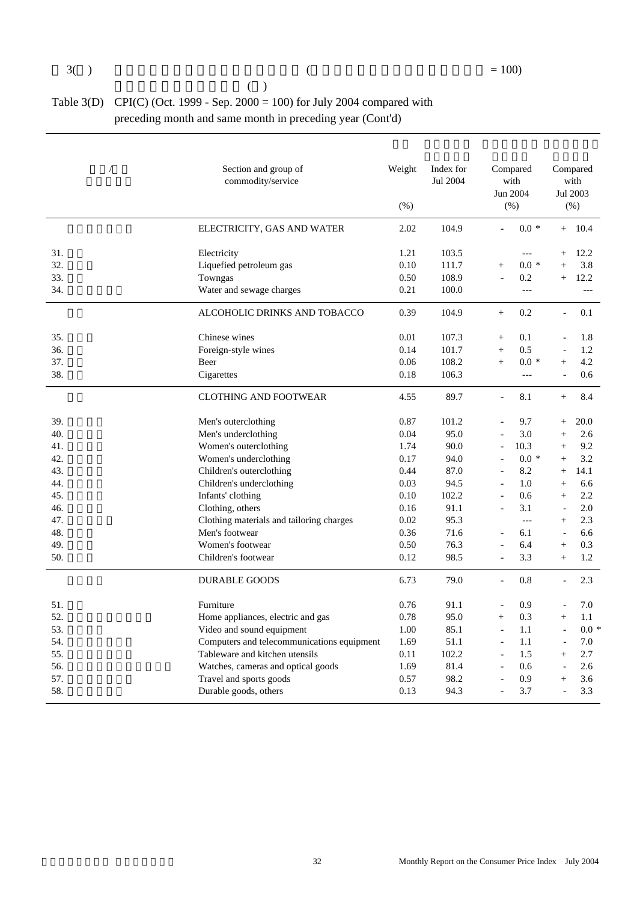| (                                                                           |
|-----------------------------------------------------------------------------|
| Table 3(D) CPI(C) (Oct. 1999 - Sep. 2000 = 100) for July 2004 compared with |
| preceding month and same month in preceding year (Cont'd)                   |

|     | Section and group of<br>commodity/service  | Weight<br>(% ) | Index for<br>Jul 2004 | Compared<br>with<br>Jun 2004<br>$(\% )$ |                |                          | Compared<br>with<br>Jul 2003<br>$(\% )$ |
|-----|--------------------------------------------|----------------|-----------------------|-----------------------------------------|----------------|--------------------------|-----------------------------------------|
|     | ELECTRICITY, GAS AND WATER                 | 2.02           | 104.9                 | $\overline{a}$                          | $0.0 *$        |                          | $+ 10.4$                                |
| 31. | Electricity                                | 1.21           | 103.5                 |                                         | $---$          | $^{+}$                   | 12.2                                    |
| 32. | Liquefied petroleum gas                    | 0.10           | 111.7                 | $^{+}$                                  | $0.0 *$        | $^{+}$                   | 3.8                                     |
| 33. | Towngas                                    | 0.50           | 108.9                 |                                         | 0.2            | $^{+}$                   | 12.2                                    |
| 34. | Water and sewage charges                   | 0.21           | 100.0                 |                                         | $\overline{a}$ |                          | $---$                                   |
|     | ALCOHOLIC DRINKS AND TOBACCO               | 0.39           | 104.9                 | $^{+}$                                  | 0.2            | $\blacksquare$           | 0.1                                     |
| 35. | Chinese wines                              | 0.01           | 107.3                 | $^{+}$                                  | 0.1            |                          | 1.8                                     |
| 36. | Foreign-style wines                        | 0.14           | 101.7                 | $^{+}$                                  | 0.5            | $\overline{a}$           | 1.2                                     |
| 37. | Beer                                       | 0.06           | 108.2                 | $+$                                     | $0.0 *$        | $^{+}$                   | 4.2                                     |
| 38. | Cigarettes                                 | 0.18           | 106.3                 |                                         | $\overline{a}$ | $\overline{a}$           | 0.6                                     |
|     | <b>CLOTHING AND FOOTWEAR</b>               | 4.55           | 89.7                  | $\overline{a}$                          | 8.1            | $+$                      | 8.4                                     |
| 39. | Men's outerclothing                        | 0.87           | 101.2                 |                                         | 9.7            | $^{+}$                   | 20.0                                    |
| 40. | Men's underclothing                        | 0.04           | 95.0                  |                                         | 3.0            | $^{+}$                   | $2.6\,$                                 |
| 41. | Women's outerclothing                      | 1.74           | 90.0                  | $\overline{a}$                          | 10.3           | $^{+}$                   | 9.2                                     |
| 42. | Women's underclothing                      | 0.17           | 94.0                  | $\overline{a}$                          | $0.0 *$        | $^{+}$                   | 3.2                                     |
| 43. | Children's outerclothing                   | 0.44           | 87.0                  | $\overline{a}$                          | 8.2            | $\! + \!\!\!\!$          | 14.1                                    |
| 44. | Children's underclothing                   | 0.03           | 94.5                  |                                         | 1.0            | $+$                      | 6.6                                     |
| 45. | Infants' clothing                          | 0.10           | 102.2                 | $\overline{a}$                          | 0.6            | $^{+}$                   | 2.2                                     |
| 46. | Clothing, others                           | 0.16           | 91.1                  | $\overline{\phantom{a}}$                | 3.1            | $\overline{\phantom{a}}$ | 2.0                                     |
| 47. | Clothing materials and tailoring charges   | 0.02           | 95.3                  |                                         | $\overline{a}$ | $^{+}$                   | 2.3                                     |
| 48. | Men's footwear                             | 0.36           | 71.6                  | $\overline{a}$                          | 6.1            | $\blacksquare$           | 6.6                                     |
| 49. | Women's footwear                           | 0.50           | 76.3                  | $\overline{\phantom{a}}$                | 6.4            | $^{+}$                   | 0.3                                     |
| 50. | Children's footwear                        | 0.12           | 98.5                  |                                         | 3.3            | $+$                      | 1.2                                     |
|     | <b>DURABLE GOODS</b>                       | 6.73           | 79.0                  | $\overline{a}$                          | 0.8            |                          | 2.3                                     |
| 51. | Furniture                                  | 0.76           | 91.1                  | $\overline{a}$                          | 0.9            |                          | 7.0                                     |
| 52. | Home appliances, electric and gas          | 0.78           | 95.0                  | $+$                                     | 0.3            | $^{+}$                   | 1.1                                     |
| 53. | Video and sound equipment                  | 1.00           | 85.1                  | $\overline{\phantom{a}}$                | 1.1            | $\overline{a}$           | $0.0 *$                                 |
| 54. | Computers and telecommunications equipment | 1.69           | 51.1                  | $\overline{a}$                          | 1.1            | $\overline{a}$           | 7.0                                     |
| 55. | Tableware and kitchen utensils             | 0.11           | 102.2                 | $\overline{a}$                          | 1.5            | $+$                      | 2.7                                     |
| 56. | Watches, cameras and optical goods         | 1.69           | 81.4                  | $\overline{a}$                          | 0.6            |                          | 2.6                                     |
| 57. | Travel and sports goods                    | 0.57           | 98.2                  |                                         | 0.9            | $^{+}$                   | 3.6                                     |
| 58. | Durable goods, others                      | 0.13           | 94.3                  | $\overline{a}$                          | 3.7            | $\overline{a}$           | 3.3                                     |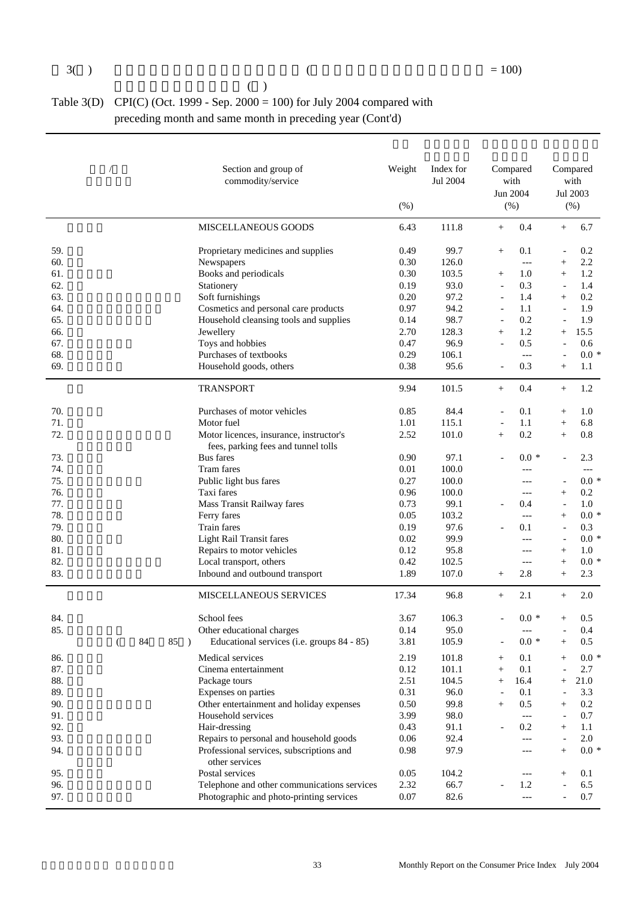|  |  | $(\ )$ |  |
|--|--|--------|--|
|  |  |        |  |
|  |  |        |  |

#### Table 3(D) CPI(C) (Oct. 1999 - Sep.  $2000 = 100$ ) for July 2004 compared with preceding month and same month in preceding year (Cont'd)

|     |   |    |                     | Section and group of<br>commodity/service   | Weight<br>$(\% )$ | Index for<br>Jul 2004 |                          | Compared<br>with<br>Jun 2004<br>(% ) |                          | Compared<br>with<br>Jul 2003<br>(% ) |
|-----|---|----|---------------------|---------------------------------------------|-------------------|-----------------------|--------------------------|--------------------------------------|--------------------------|--------------------------------------|
|     |   |    |                     | MISCELLANEOUS GOODS                         | 6.43              | 111.8                 | $^{+}$                   | 0.4                                  | $^{+}$                   | 6.7                                  |
| 59. |   |    |                     | Proprietary medicines and supplies          | 0.49              | 99.7                  | $^{+}$                   | 0.1                                  |                          | 0.2                                  |
| 60. |   |    |                     | Newspapers                                  | 0.30              | 126.0                 |                          | $---$                                | $^{+}$                   | 2.2                                  |
| 61. |   |    |                     | Books and periodicals                       | 0.30              | 103.5                 | $^{+}$                   | 1.0                                  | $+$                      | 1.2                                  |
| 62. |   |    |                     | Stationery                                  | 0.19              | 93.0                  | $\overline{\phantom{a}}$ | 0.3                                  | $\overline{\phantom{a}}$ | 1.4                                  |
| 63. |   |    |                     | Soft furnishings                            | 0.20              | 97.2                  | $\overline{\phantom{a}}$ | 1.4                                  | $^{+}$                   | 0.2                                  |
| 64. |   |    |                     | Cosmetics and personal care products        | 0.97              | 94.2                  | $\blacksquare$           | 1.1                                  |                          | 1.9                                  |
| 65. |   |    |                     | Household cleansing tools and supplies      | 0.14              | 98.7                  | $\bar{a}$                | 0.2                                  |                          | 1.9                                  |
| 66. |   |    |                     | Jewellery                                   | 2.70              | 128.3                 | $+$                      | 1.2                                  | $^{+}$                   | 15.5                                 |
| 67. |   |    |                     | Toys and hobbies                            | 0.47              | 96.9                  | $\blacksquare$           | 0.5                                  | $\overline{a}$           | 0.6                                  |
| 68. |   |    |                     | Purchases of textbooks                      | 0.29              | 106.1                 |                          | $---$                                |                          | $0.0 *$                              |
| 69. |   |    |                     | Household goods, others                     | 0.38              | 95.6                  | $\overline{\phantom{a}}$ | 0.3                                  | $+$                      | 1.1                                  |
|     |   |    |                     | <b>TRANSPORT</b>                            | 9.94              | 101.5                 | $+$                      | 0.4                                  | $+$                      | 1.2                                  |
| 70. |   |    |                     | Purchases of motor vehicles                 | 0.85              | 84.4                  | $\overline{\phantom{a}}$ | 0.1                                  | $^{+}$                   | 1.0                                  |
| 71. |   |    |                     | Motor fuel                                  | 1.01              | 115.1                 | $\blacksquare$           | 1.1                                  | $^{+}$                   | 6.8                                  |
| 72. |   |    |                     | Motor licences, insurance, instructor's     | 2.52              | 101.0                 | $^{+}$                   | 0.2                                  | $^{+}$                   | 0.8                                  |
|     |   |    |                     | fees, parking fees and tunnel tolls         |                   |                       |                          |                                      |                          |                                      |
| 73. |   |    |                     | Bus fares                                   | 0.90              | 97.1                  |                          | $0.0 *$                              |                          | 2.3                                  |
| 74. |   |    |                     | Tram fares                                  | 0.01              | 100.0                 |                          | $---$                                |                          | $---$                                |
| 75. |   |    |                     | Public light bus fares                      | 0.27              | 100.0                 |                          | $---$                                |                          | $0.0 *$                              |
| 76. |   |    |                     | Taxi fares                                  | 0.96              | 100.0                 |                          | $---$                                | $^{+}$                   | 0.2                                  |
| 77. |   |    |                     | Mass Transit Railway fares                  | 0.73              | 99.1                  |                          | 0.4                                  | $\overline{\phantom{a}}$ | 1.0                                  |
| 78. |   |    |                     | Ferry fares                                 | 0.05              | 103.2                 |                          | $---$                                | $^{+}$                   | $0.0 *$                              |
| 79. |   |    |                     | Train fares                                 | 0.19              | 97.6                  |                          | 0.1                                  | $\overline{a}$           | 0.3                                  |
| 80. |   |    |                     | <b>Light Rail Transit fares</b>             | 0.02              | 99.9                  |                          | $---$                                | $\overline{a}$           | $0.0 *$                              |
| 81. |   |    |                     | Repairs to motor vehicles                   | 0.12              | 95.8                  |                          | $---$                                | $^{+}$                   | 1.0                                  |
| 82. |   |    |                     | Local transport, others                     | 0.42              | 102.5                 |                          | $---$                                | $+$                      | $0.0 *$                              |
| 83. |   |    |                     | Inbound and outbound transport              | 1.89              | 107.0                 | $^{+}$                   | 2.8                                  | $^{+}$                   | 2.3                                  |
|     |   |    |                     | <b>MISCELLANEOUS SERVICES</b>               | 17.34             | 96.8                  | $+$                      | 2.1                                  | $+$                      | 2.0                                  |
| 84. |   |    |                     | School fees                                 | 3.67              | 106.3                 |                          | $0.0 *$                              | $^{+}$                   | 0.5                                  |
| 85. |   |    |                     | Other educational charges                   | 0.14              | 95.0                  |                          | $---$                                |                          | 0.4                                  |
|     | € | 84 | 85<br>$\rightarrow$ | Educational services (i.e. groups 84 - 85)  | 3.81              | 105.9                 |                          | $0.0 *$                              | $^{+}$                   | 0.5                                  |
| 86. |   |    |                     | Medical services                            | 2.19              | 101.8                 | $^{+}$                   | 0.1                                  |                          | $0.0 *$                              |
| 87. |   |    |                     | Cinema entertainment                        | 0.12              | 101.1                 | $^{+}$                   | 0.1                                  |                          | 2.7                                  |
| 88. |   |    |                     | Package tours                               | 2.51              | 104.5                 | $^{+}$                   | 16.4                                 | $^{+}$                   | 21.0                                 |
| 89. |   |    |                     | Expenses on parties                         | 0.31              | 96.0                  | $\overline{\phantom{a}}$ | 0.1                                  |                          | 3.3                                  |
| 90. |   |    |                     | Other entertainment and holiday expenses    | 0.50              | 99.8                  | $^{+}$                   | 0.5                                  | $^{+}$                   | 0.2                                  |
| 91. |   |    |                     | Household services                          | 3.99              | 98.0                  |                          | $---$                                |                          | 0.7                                  |
| 92. |   |    |                     | Hair-dressing                               | 0.43              | 91.1                  |                          | 0.2                                  | $^{+}$                   | 1.1                                  |
| 93. |   |    |                     | Repairs to personal and household goods     | 0.06              | 92.4                  |                          | ---                                  |                          | 2.0                                  |
| 94. |   |    |                     | Professional services, subscriptions and    | 0.98              | 97.9                  |                          | $---$                                | $^{+}$                   | $0.0 *$                              |
|     |   |    |                     | other services                              |                   |                       |                          |                                      |                          |                                      |
| 95. |   |    |                     | Postal services                             | 0.05              | 104.2                 |                          | $---$                                | $^{+}$                   | 0.1                                  |
| 96. |   |    |                     | Telephone and other communications services | 2.32              | 66.7                  |                          | 1.2                                  |                          | 6.5                                  |
| 97. |   |    |                     | Photographic and photo-printing services    | $0.07\,$          | 82.6                  |                          | $---$                                |                          | $0.7\,$                              |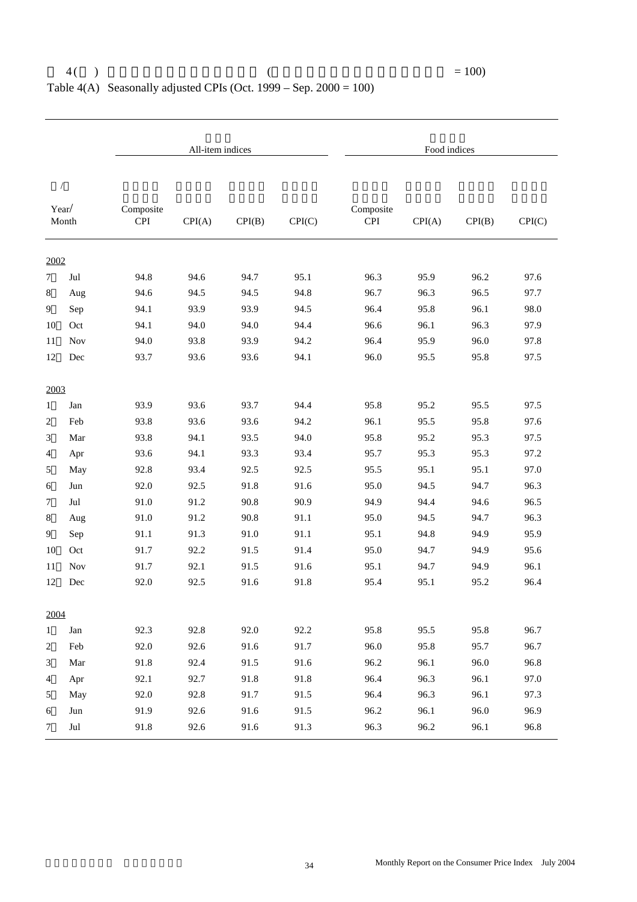|                |                |                  | All-item indices |        |        |                         | Food indices |        |        |
|----------------|----------------|------------------|------------------|--------|--------|-------------------------|--------------|--------|--------|
| $\sqrt{2}$     |                |                  |                  |        |        |                         |              |        |        |
| Year/          | Month          | Composite<br>CPI | CPI(A)           | CPI(B) | CPI(C) | Composite<br><b>CPI</b> | CPI(A)       | CPI(B) | CPI(C) |
| 2002           |                |                  |                  |        |        |                         |              |        |        |
| $\overline{7}$ | Jul            | 94.8             | 94.6             | 94.7   | 95.1   | 96.3                    | 95.9         | 96.2   | 97.6   |
| 8              | Aug            | 94.6             | 94.5             | 94.5   | 94.8   | 96.7                    | 96.3         | 96.5   | 97.7   |
| 9              | Sep            | 94.1             | 93.9             | 93.9   | 94.5   | 96.4                    | 95.8         | 96.1   | 98.0   |
| 10             | Oct            | 94.1             | 94.0             | 94.0   | 94.4   | 96.6                    | 96.1         | 96.3   | 97.9   |
| 11             | <b>Nov</b>     | 94.0             | 93.8             | 93.9   | 94.2   | 96.4                    | 95.9         | 96.0   | 97.8   |
| 12             | Dec            | 93.7             | 93.6             | 93.6   | 94.1   | 96.0                    | 95.5         | 95.8   | 97.5   |
| 2003           |                |                  |                  |        |        |                         |              |        |        |
| $\mathbf{1}$   | Jan            | 93.9             | 93.6             | 93.7   | 94.4   | 95.8                    | 95.2         | 95.5   | 97.5   |
| $\overline{c}$ | Feb            | 93.8             | 93.6             | 93.6   | 94.2   | 96.1                    | 95.5         | 95.8   | 97.6   |
| 3              | Mar            | 93.8             | 94.1             | 93.5   | 94.0   | 95.8                    | 95.2         | 95.3   | 97.5   |
| 4              | Apr            | 93.6             | 94.1             | 93.3   | 93.4   | 95.7                    | 95.3         | 95.3   | 97.2   |
| 5              | May            | 92.8             | 93.4             | 92.5   | 92.5   | 95.5                    | 95.1         | 95.1   | 97.0   |
| 6              | Jun            | 92.0             | 92.5             | 91.8   | 91.6   | 95.0                    | 94.5         | 94.7   | 96.3   |
| 7              | Jul            | 91.0             | 91.2             | 90.8   | 90.9   | 94.9                    | 94.4         | 94.6   | 96.5   |
| 8              | Aug            | 91.0             | 91.2             | 90.8   | 91.1   | 95.0                    | 94.5         | 94.7   | 96.3   |
| 9              | Sep            | 91.1             | 91.3             | 91.0   | 91.1   | 95.1                    | 94.8         | 94.9   | 95.9   |
| 10             | Oct            | 91.7             | 92.2             | 91.5   | 91.4   | 95.0                    | 94.7         | 94.9   | 95.6   |
| 11             | <b>Nov</b>     | 91.7             | 92.1             | 91.5   | 91.6   | 95.1                    | 94.7         | 94.9   | 96.1   |
| 12             | Dec            | 92.0             | 92.5             | 91.6   | 91.8   | 95.4                    | 95.1         | 95.2   | 96.4   |
| 2004           |                |                  |                  |        |        |                         |              |        |        |
| $\mathbf{1}$   | Jan            | 92.3             | 92.8             | 92.0   | 92.2   | 95.8                    | 95.5         | 95.8   | 96.7   |
| $\overline{c}$ | Feb            | 92.0             | 92.6             | 91.6   | 91.7   | 96.0                    | 95.8         | 95.7   | 96.7   |
| 3              | Mar            | 91.8             | 92.4             | 91.5   | 91.6   | 96.2                    | 96.1         | 96.0   | 96.8   |
| $\overline{4}$ | Apr            | 92.1             | 92.7             | 91.8   | 91.8   | 96.4                    | 96.3         | 96.1   | 97.0   |
| 5              | May            | 92.0             | 92.8             | 91.7   | 91.5   | 96.4                    | 96.3         | 96.1   | 97.3   |
| 6              | Jun            | 91.9             | 92.6             | 91.6   | 91.5   | 96.2                    | 96.1         | 96.0   | 96.9   |
| $\tau$         | $\mathrm{Jul}$ | 91.8             | 92.6             | 91.6   | 91.3   | 96.3                    | 96.2         | 96.1   | 96.8   |

#### $4( )$   $= 100)$ Table 4(A) Seasonally adjusted CPIs (Oct. 1999 – Sep.  $2000 = 100$ )

34 Monthly Report on the Consumer Price Index July 2004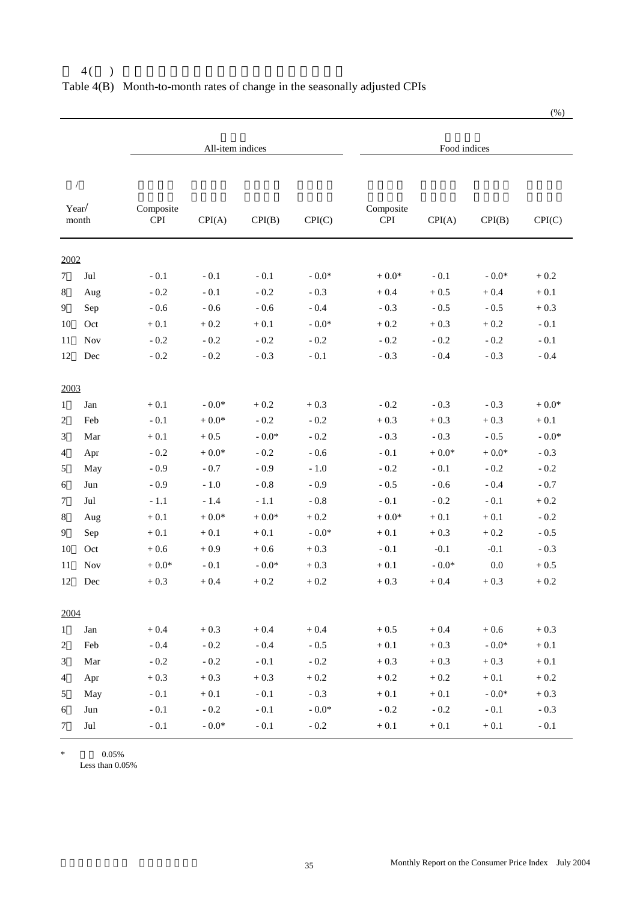|                |                |                  | All-item indices |              |              |                         | Food indices |              |          |
|----------------|----------------|------------------|------------------|--------------|--------------|-------------------------|--------------|--------------|----------|
|                | $\sqrt{2}$     |                  |                  |              |              |                         |              |              |          |
|                | Year/<br>month | Composite<br>CPI | CPI(A)           | CPI(B)       | CPI(C)       | Composite<br><b>CPI</b> | CPI(A)       | CPI(B)       | CPI(C)   |
| 2002           |                |                  |                  |              |              |                         |              |              |          |
| $\tau$         | Jul            | $-0.1$           | $-0.1$           | $-0.1$       | $-0.0*$      | $+0.0*$                 | $-0.1$       | - $0.0^\ast$ | $+0.2$   |
| 8              | Aug            | $-0.2$           | $-0.1$           | $-0.2$       | $-0.3$       | $+0.4$                  | $+0.5$       | $+0.4$       | $+0.1$   |
| 9              | Sep            | $-0.6$           | $-0.6$           | $-0.6$       | $-0.4$       | $-0.3$                  | $-0.5$       | $-0.5$       | $+0.3$   |
| 10             | Oct            | $+\,0.1$         | $+0.2$           | $+0.1$       | $-0.0*$      | $+0.2$                  | $+0.3$       | $+0.2$       | $-0.1$   |
| 11             | <b>Nov</b>     | $-0.2$           | $-0.2$           | $-0.2$       | $-0.2$       | $-0.2$                  | $-0.2$       | $-0.2$       | $-0.1$   |
| 12             | Dec            | $-0.2$           | $-0.2$           | $-0.3$       | $-0.1$       | $-0.3$                  | $-0.4$       | $-0.3$       | $-0.4$   |
| 2003           |                |                  |                  |              |              |                         |              |              |          |
| $\mathbf{1}$   | Jan            | $+0.1$           | - $0.0^\ast$     | $+0.2$       | $+0.3$       | $-0.2$                  | $-0.3$       | $-0.3$       | $+$ 0.0* |
| $\overline{c}$ | Feb            | $-0.1$           | $+$ 0.0*         | $-0.2$       | $-0.2$       | $+0.3$                  | $+0.3$       | $+0.3$       | $+0.1$   |
| 3              | Mar            | $+0.1$           | $+0.5$           | $-0.0*$      | $-0.2$       | $-0.3$                  | $-0.3$       | $-0.5$       | $-0.0*$  |
| 4              | Apr            | $-0.2$           | $+$ 0.0*         | $-0.2$       | $-0.6$       | $-0.1$                  | $+0.0*$      | $+$ 0.0*     | $-0.3$   |
| 5              | May            | $-0.9$           | $-0.7$           | $-0.9$       | $-1.0$       | $-0.2$                  | $-0.1$       | $-0.2$       | $-0.2$   |
| 6              | Jun            | $-0.9$           | $-1.0$           | $-0.8$       | $-0.9$       | $-0.5$                  | $-0.6$       | $-0.4$       | $-0.7$   |
| $\tau$         | Jul            | $-1.1$           | $-1.4$           | $-1.1$       | $-0.8$       | $-0.1$                  | $-0.2$       | $-0.1$       | $+0.2$   |
| 8              | Aug            | $+\,0.1$         | $+$ 0.0*         | $+$ 0.0*     | $+0.2$       | $+0.0*$                 | $+0.1$       | $+0.1$       | $-0.2$   |
| 9              | Sep            | $+0.1$           | $+0.1$           | $+0.1$       | $-0.0*$      | $+0.1$                  | $+0.3$       | $+0.2$       | $-0.5$   |
| 10             | Oct            | $+0.6$           | $+0.9$           | $+0.6$       | $+0.3$       | $-0.1$                  | $-0.1$       | $-0.1$       | $-0.3$   |
| 11             | <b>Nov</b>     | $+0.0*$          | $-0.1$           | - $0.0^\ast$ | $+0.3$       | $+0.1$                  | $-0.0*$      | 0.0          | $+0.5$   |
| 12             | Dec            | $+0.3$           | $+0.4$           | $+0.2$       | $+0.2$       | $+0.3$                  | $+0.4$       | $+0.3$       | $+0.2$   |
| 2004           |                |                  |                  |              |              |                         |              |              |          |
| $\mathbf{1}$   | Jan            | $+0.4$           | $+0.3$           | $+0.4$       | $+0.4$       | $+0.5$                  | $+0.4$       | $+0.6$       | $+0.3$   |
| $\overline{c}$ | Feb            | $-0.4$           | $-0.2$           | $\sim 0.4$   | $-0.5$       | $+\,0.1$                | $+0.3$       | - $0.0^\ast$ | $+\,0.1$ |
| 3              | Mar            | $-0.2$           | $-0.2$           | $-0.1$       | $\sim 0.2$   | $+0.3$                  | $+0.3$       | $+0.3$       | $+0.1$   |
| $\overline{4}$ | Apr            | $+0.3$           | $+0.3$           | $+0.3$       | $+0.2$       | $+0.2$                  | $+\,0.2$     | $+\,0.1$     | $+\,0.2$ |
| 5              | May            | $-0.1$           | $+0.1$           | $\sim 0.1$   | $-0.3$       | $+\,0.1$                | $+\,0.1$     | - $0.0^\ast$ | $+0.3$   |
| 6              | Jun            | $-0.1$           | $\sim 0.2$       | $-0.1$       | - $0.0^\ast$ | $-0.2$                  | $-0.2$       | $-0.1$       | $-0.3$   |
| $\tau$         | $_{\rm{Jul}}$  | $-0.1$           | - $0.0^\ast$     | $-0.1$       | $\sim 0.2$   | $+\,0.1$                | $+\,0.1$     | $+\,0.1$     | $-0.1$   |

#### $4()$ Table 4(B) Month-to-month rates of change in the seasonally adjusted CPIs

\*  $0.05\%$ 

Less than 0.05%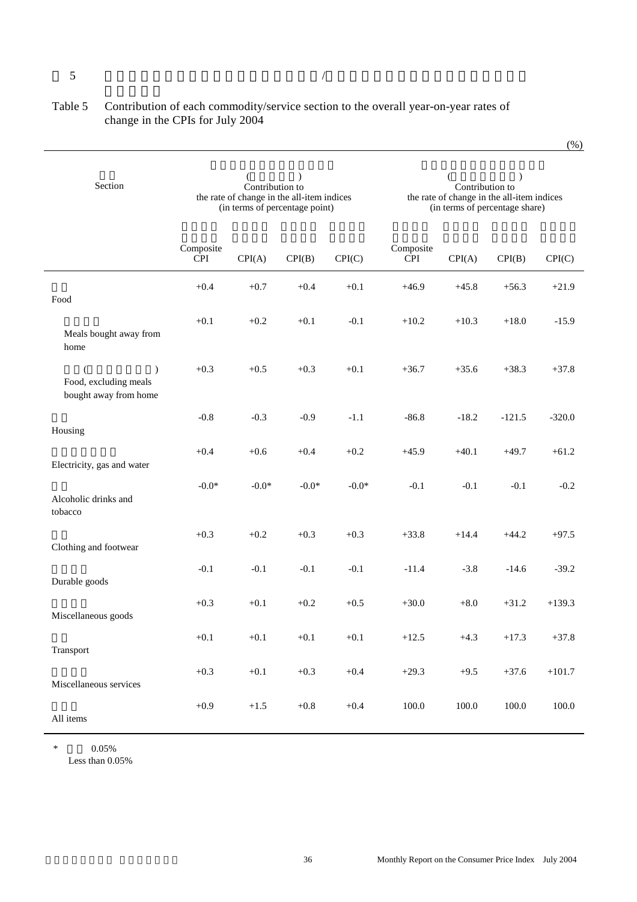#### $5$

Ξ

#### Table 5 Contribution of each commodity/service section to the overall year-on-year rates of change in the CPIs for July 2004

 $(\frac{\%}{\%})$ 

| Section                                                                       |                         | (<br>Contribution to<br>the rate of change in the all-item indices<br>(in terms of percentage point) | $\lambda$ |         |                         | $\overline{(}$<br>Contribution to | $\lambda$<br>the rate of change in the all-item indices<br>(in terms of percentage share) |           |
|-------------------------------------------------------------------------------|-------------------------|------------------------------------------------------------------------------------------------------|-----------|---------|-------------------------|-----------------------------------|-------------------------------------------------------------------------------------------|-----------|
|                                                                               | Composite<br><b>CPI</b> | CPI(A)                                                                                               | CPI(B)    | CPI(C)  | Composite<br><b>CPI</b> | CPI(A)                            | CPI(B)                                                                                    | CPI(C)    |
| Food                                                                          | $+0.4$                  | $+0.7$                                                                                               | $+0.4$    | $+0.1$  | $+46.9$                 | $+45.8$                           | $+56.3$                                                                                   | $+21.9$   |
| Meals bought away from<br>home                                                | $+0.1$                  | $+0.2$                                                                                               | $+0.1$    | $-0.1$  | $+10.2$                 | $+10.3$                           | $+18.0$                                                                                   | $-15.9$   |
| $\mathcal{C}^{\prime}$<br>€<br>Food, excluding meals<br>bought away from home | $+0.3$                  | $+0.5$                                                                                               | $+0.3$    | $+0.1$  | $+36.7$                 | $+35.6$                           | $+38.3$                                                                                   | $+37.8$   |
| Housing                                                                       | $-0.8$                  | $-0.3$                                                                                               | $-0.9$    | $-1.1$  | $-86.8$                 | $-18.2$                           | $-121.5$                                                                                  | $-320.0$  |
| Electricity, gas and water                                                    | $+0.4$                  | $+0.6$                                                                                               | $+0.4$    | $+0.2$  | $+45.9$                 | $+40.1$                           | $+49.7$                                                                                   | $+61.2$   |
| Alcoholic drinks and<br>tobacco                                               | $-0.0*$                 | $-0.0*$                                                                                              | $-0.0*$   | $-0.0*$ | $-0.1$                  | $-0.1$                            | $-0.1$                                                                                    | $-0.2$    |
| Clothing and footwear                                                         | $+0.3$                  | $+0.2$                                                                                               | $+0.3$    | $+0.3$  | $+33.8$                 | $+14.4$                           | $+44.2$                                                                                   | $+97.5$   |
| Durable goods                                                                 | $-0.1$                  | $-0.1$                                                                                               | $-0.1$    | $-0.1$  | $-11.4$                 | $-3.8$                            | $-14.6$                                                                                   | $-39.2$   |
| Miscellaneous goods                                                           | $+0.3$                  | $+0.1$                                                                                               | $+0.2$    | $+0.5$  | $+30.0$                 | $+8.0$                            | $+31.2$                                                                                   | $+139.3$  |
| Transport                                                                     | $+0.1$                  | $+0.1$                                                                                               | $+0.1$    | $+0.1$  | $+12.5$                 | $+4.3$                            | $+17.3$                                                                                   | $+37.8$   |
| Miscellaneous services                                                        | $+0.3$                  | $+0.1$                                                                                               | $+0.3$    | $+0.4$  | $+29.3$                 | $+9.5$                            | $+37.6$                                                                                   | $+101.7$  |
| All items                                                                     | $+0.9$                  | $+1.5$                                                                                               | $+0.8$    | $+0.4$  | $100.0\,$               | $100.0\,$                         | $100.0\,$                                                                                 | $100.0\,$ |

  $*$  0.05%

Less than 0.05%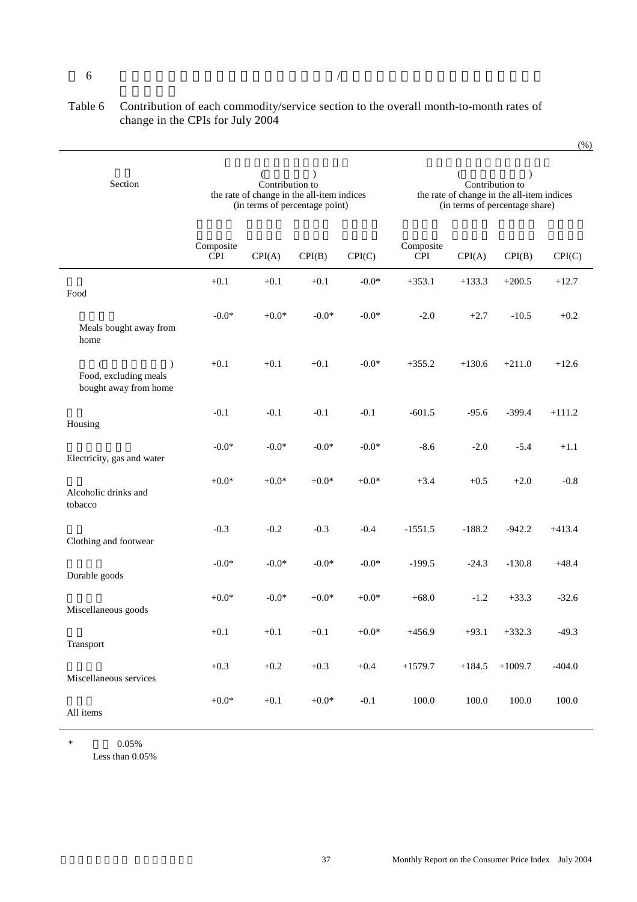#### Table 6 Contribution of each commodity/service section to the overall month-to-month rates of change in the CPIs for July 2004

| Section                                                     |                         | (<br>Contribution to | $\mathcal{L}$<br>the rate of change in the all-item indices<br>(in terms of percentage point) |         | (<br>$\mathcal{E}$<br>Contribution to<br>the rate of change in the all-item indices<br>(in terms of percentage share) |          |           |          |  |
|-------------------------------------------------------------|-------------------------|----------------------|-----------------------------------------------------------------------------------------------|---------|-----------------------------------------------------------------------------------------------------------------------|----------|-----------|----------|--|
|                                                             | Composite<br><b>CPI</b> | CPI(A)               | CPI(B)                                                                                        | CPI(C)  | Composite<br><b>CPI</b>                                                                                               | CPI(A)   | CPI(B)    | CPI(C)   |  |
| Food                                                        | $+0.1$                  | $+0.1$               | $+0.1$                                                                                        | $-0.0*$ | $+353.1$                                                                                                              | $+133.3$ | $+200.5$  | $+12.7$  |  |
| Meals bought away from<br>home                              | $-0.0*$                 | $+0.0*$              | $-0.0*$                                                                                       | $-0.0*$ | $-2.0$                                                                                                                | $+2.7$   | $-10.5$   | $+0.2$   |  |
| $\lambda$<br>Food, excluding meals<br>bought away from home | $+0.1$                  | $+0.1$               | $+0.1$                                                                                        | $-0.0*$ | $+355.2$                                                                                                              | $+130.6$ | $+211.0$  | $+12.6$  |  |
| Housing                                                     | $-0.1$                  | $-0.1$               | $-0.1$                                                                                        | $-0.1$  | $-601.5$                                                                                                              | $-95.6$  | $-399.4$  | $+111.2$ |  |
| Electricity, gas and water                                  | $-0.0*$                 | $-0.0*$              | $-0.0*$                                                                                       | $-0.0*$ | $-8.6$                                                                                                                | $-2.0$   | $-5.4$    | $+1.1$   |  |
| Alcoholic drinks and<br>tobacco                             | $+0.0*$                 | $+0.0*$              | $+0.0*$                                                                                       | $+0.0*$ | $+3.4$                                                                                                                | $+0.5$   | $+2.0$    | $-0.8$   |  |
| Clothing and footwear                                       | $-0.3$                  | $-0.2$               | $-0.3$                                                                                        | $-0.4$  | $-1551.5$                                                                                                             | $-188.2$ | $-942.2$  | $+413.4$ |  |
| Durable goods                                               | $-0.0*$                 | $-0.0*$              | $-0.0*$                                                                                       | $-0.0*$ | $-199.5$                                                                                                              | $-24.3$  | $-130.8$  | $+48.4$  |  |
| Miscellaneous goods                                         | $+0.0*$                 | $-0.0*$              | $+0.0*$                                                                                       | $+0.0*$ | $+68.0$                                                                                                               | $-1.2$   | $+33.3$   | $-32.6$  |  |
| Transport                                                   | $+0.1$                  | $+0.1$               | $+0.1$                                                                                        | $+0.0*$ | $+456.9$                                                                                                              | $+93.1$  | $+332.3$  | $-49.3$  |  |
| Miscellaneous services                                      | $+0.3$                  | $+0.2$               | $+0.3$                                                                                        | $+0.4$  | $+1579.7$                                                                                                             | $+184.5$ | $+1009.7$ | $-404.0$ |  |
| All items                                                   | $+0.0*$                 | $+0.1$               | $+0.0*$                                                                                       | $-0.1$  | 100.0                                                                                                                 | 100.0    | 100.0     | 100.0    |  |

\*  $0.05\%$ Less than 0.05%

I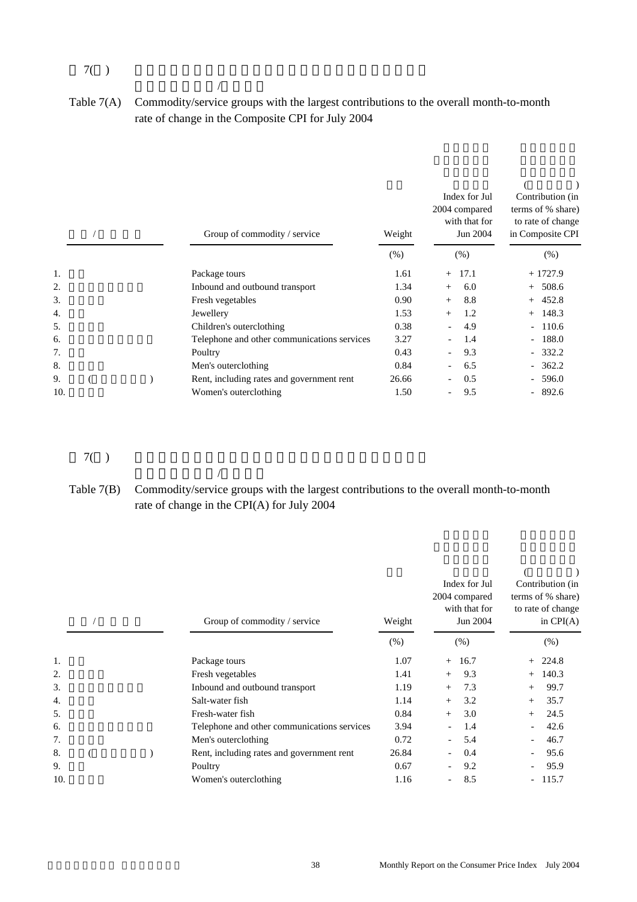#### $7($

 $\mathcal{A}$ 

 $\mathcal{A}$ 

Table 7(A) Commodity/service groups with the largest contributions to the overall month-to-month rate of change in the Composite CPI for July 2004

|     |  | Group of commodity / service                | Weight  | Index for Jul<br>2004 compared<br>with that for<br>Jun 2004 | Contribution (in<br>terms of % share)<br>to rate of change<br>in Composite CPI |
|-----|--|---------------------------------------------|---------|-------------------------------------------------------------|--------------------------------------------------------------------------------|
|     |  |                                             | $(\% )$ | (% )                                                        | (% )                                                                           |
| 1.  |  | Package tours                               | 1.61    | 17.1<br>$+$                                                 | $+1727.9$                                                                      |
| 2.  |  | Inbound and outbound transport              | 1.34    | 6.0<br>$+$                                                  | $+ 508.6$                                                                      |
| 3.  |  | Fresh vegetables                            | 0.90    | 8.8<br>$+$                                                  | $+ 452.8$                                                                      |
| 4.  |  | Jewellery                                   | 1.53    | 1.2<br>$+$                                                  | $+$ 148.3                                                                      |
| 5.  |  | Children's outerclothing                    | 0.38    | 4.9                                                         | $-110.6$                                                                       |
| 6.  |  | Telephone and other communications services | 3.27    | 1.4                                                         | $-188.0$                                                                       |
| 7.  |  | Poultry                                     | 0.43    | 9.3                                                         | $-332.2$                                                                       |
| 8.  |  | Men's outerclothing                         | 0.84    | 6.5                                                         | $-362.2$                                                                       |
| 9.  |  | Rent, including rates and government rent   | 26.66   | 0.5                                                         | $-596.0$                                                                       |
| 10. |  | Women's outerclothing                       | 1.50    | 9.5                                                         | $-892.6$                                                                       |

#### $7($

#### Table 7(B) Commodity/service groups with the largest contributions to the overall month-to-month rate of change in the CPI(A) for July 2004

|     |  | Group of commodity / service                |        | Index for Jul<br>2004 compared<br>with that for<br>Jun 2004 | Contribution (in<br>terms of % share)<br>to rate of change<br>in $CPI(A)$ |  |
|-----|--|---------------------------------------------|--------|-------------------------------------------------------------|---------------------------------------------------------------------------|--|
|     |  |                                             | $(\%)$ | (% )                                                        | $(\% )$                                                                   |  |
| 1.  |  | Package tours                               | 1.07   | 16.7<br>$+$                                                 | $+ 224.8$                                                                 |  |
| 2.  |  | Fresh vegetables                            | 1.41   | 9.3<br>$+$                                                  | 140.3<br>$+$                                                              |  |
| 3.  |  | Inbound and outbound transport              | 1.19   | 7.3<br>$+$                                                  | 99.7<br>$+$                                                               |  |
| 4.  |  | Salt-water fish                             | 1.14   | 3.2<br>$+$                                                  | 35.7<br>$+$                                                               |  |
| 5.  |  | Fresh-water fish                            | 0.84   | 3.0<br>$+$                                                  | 24.5<br>$+$                                                               |  |
| 6.  |  | Telephone and other communications services | 3.94   | 1.4                                                         | 42.6                                                                      |  |
| 7.  |  | Men's outerclothing                         | 0.72   | 5.4                                                         | 46.7                                                                      |  |
| 8.  |  | Rent, including rates and government rent   | 26.84  | 0.4                                                         | 95.6                                                                      |  |
| 9.  |  | Poultry                                     | 0.67   | 9.2                                                         | 95.9                                                                      |  |
| 10. |  | Women's outerclothing                       | 1.16   | 8.5<br>-                                                    | $-115.7$                                                                  |  |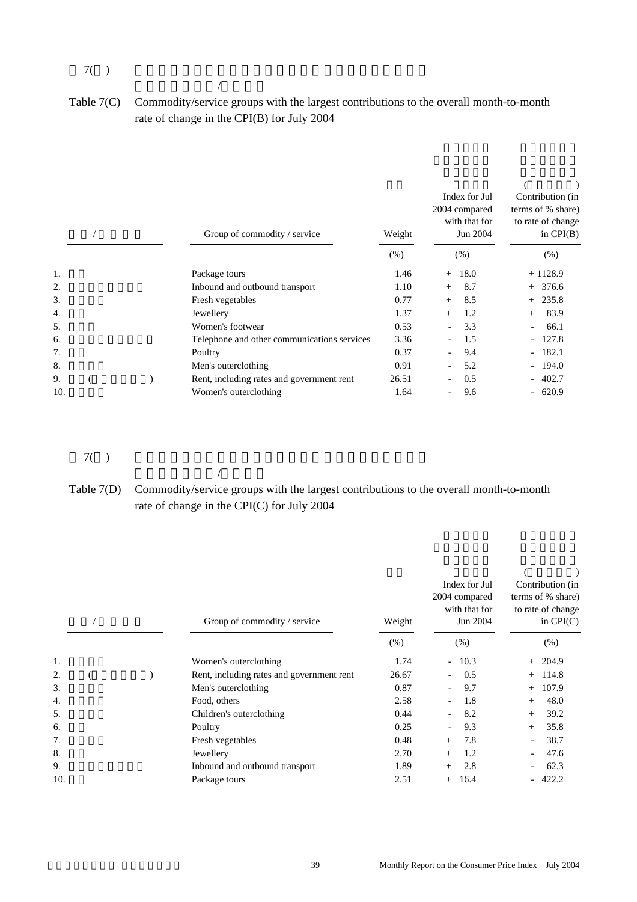#### $7($

 $\mathcal{A}$ 

 $\mathcal{A}$ 

Table 7(C) Commodity/service groups with the largest contributions to the overall month-to-month rate of change in the CPI(B) for July 2004

|     |  | Group of commodity / service                | Weight  | Index for Jul<br>2004 compared<br>with that for<br>Jun 2004 | Contribution (in<br>terms of % share)<br>to rate of change<br>in $CPI(B)$ |
|-----|--|---------------------------------------------|---------|-------------------------------------------------------------|---------------------------------------------------------------------------|
|     |  |                                             | $(\% )$ | (% )                                                        | (% )                                                                      |
| 1.  |  | Package tours                               | 1.46    | 18.0<br>$+$                                                 | $+1128.9$                                                                 |
| 2.  |  | Inbound and outbound transport              | 1.10    | 8.7<br>$+$                                                  | $+376.6$                                                                  |
| 3.  |  | Fresh vegetables                            | 0.77    | 8.5<br>$+$                                                  | $+ 235.8$                                                                 |
| 4.  |  | Jewellery                                   | 1.37    | 1.2<br>$+$                                                  | 83.9<br>$+$                                                               |
| 5.  |  | Women's footwear                            | 0.53    | 3.3                                                         | 66.1                                                                      |
| 6.  |  | Telephone and other communications services | 3.36    | 1.5                                                         | $-127.8$                                                                  |
| 7.  |  | Poultry                                     | 0.37    | 9.4                                                         | $-182.1$                                                                  |
| 8.  |  | Men's outerclothing                         | 0.91    | 5.2                                                         | $-194.0$                                                                  |
| 9.  |  | Rent, including rates and government rent   | 26.51   | 0.5                                                         | $-402.7$                                                                  |
| 10. |  | Women's outerclothing                       | 1.64    | 9.6                                                         | $-620.9$                                                                  |

 $7($ 

Table 7(D) Commodity/service groups with the largest contributions to the overall month-to-month rate of change in the CPI(C) for July 2004

|     |  | Group of commodity / service |                                           | Weight | Index for Jul<br>2004 compared<br>with that for<br>Jun 2004 | Contribution (in<br>terms of % share)<br>to rate of change<br>in $CPI(C)$ |  |  |
|-----|--|------------------------------|-------------------------------------------|--------|-------------------------------------------------------------|---------------------------------------------------------------------------|--|--|
|     |  |                              |                                           | (% )   | (% )                                                        | (% )                                                                      |  |  |
| 1.  |  |                              | Women's outerclothing                     | 1.74   | $-10.3$                                                     | $+204.9$                                                                  |  |  |
| 2.  |  |                              | Rent, including rates and government rent | 26.67  | 0.5                                                         | 114.8<br>$+$                                                              |  |  |
| 3.  |  |                              | Men's outerclothing                       | 0.87   | 9.7                                                         | 107.9<br>$^{+}$                                                           |  |  |
| 4.  |  |                              | Food, others                              | 2.58   | 1.8                                                         | 48.0<br>$^{+}$                                                            |  |  |
| 5.  |  |                              | Children's outerclothing                  | 0.44   | 8.2                                                         | 39.2<br>$^{+}$                                                            |  |  |
| 6.  |  |                              | Poultry                                   | 0.25   | 9.3                                                         | 35.8<br>$^{+}$                                                            |  |  |
| 7.  |  |                              | Fresh vegetables                          | 0.48   | 7.8<br>$+$                                                  | 38.7                                                                      |  |  |
| 8.  |  |                              | Jewellery                                 | 2.70   | 1.2<br>$^{+}$                                               | 47.6                                                                      |  |  |
| 9.  |  |                              | Inbound and outbound transport            | 1.89   | 2.8<br>$^{+}$                                               | 62.3                                                                      |  |  |
| 10. |  |                              | Package tours                             | 2.51   | 16.4                                                        | 422.2                                                                     |  |  |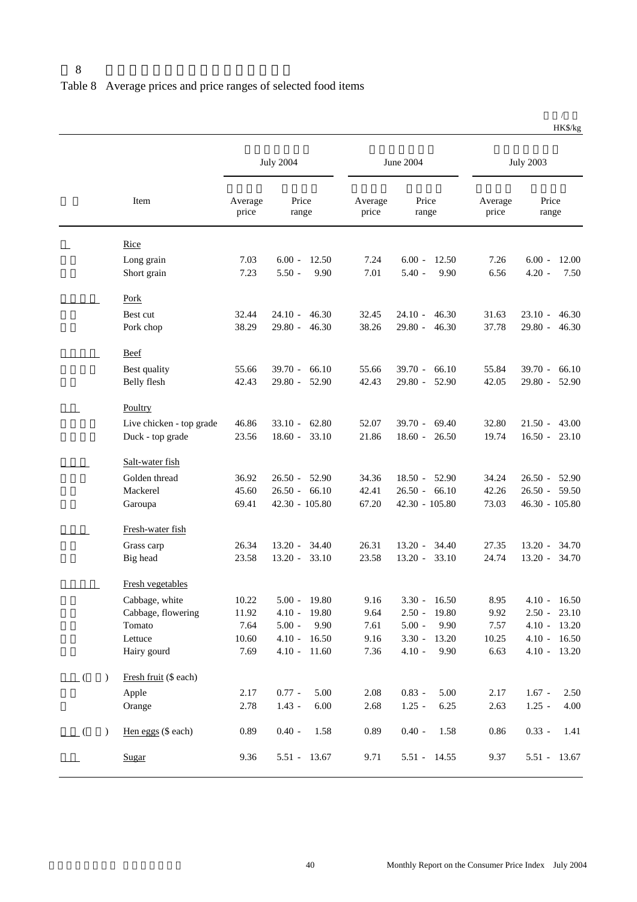|                                                 |                  | <b>July 2004</b>                         |                  | June 2004                                |                  | <b>July 2003</b>                       |
|-------------------------------------------------|------------------|------------------------------------------|------------------|------------------------------------------|------------------|----------------------------------------|
| Item                                            | Average<br>price | Price<br>range                           | Average<br>price | Price<br>range                           | Average<br>price | Price<br>range                         |
| <b>Rice</b>                                     |                  |                                          |                  |                                          |                  |                                        |
| Long grain<br>Short grain                       | 7.03<br>7.23     | $6.00 -$<br>12.50<br>$5.50 -$<br>9.90    | 7.24<br>7.01     | $6.00 -$<br>12.50<br>$5.40 -$<br>9.90    | 7.26<br>6.56     | $6.00 -$<br>12.00<br>$4.20 -$<br>7.50  |
| <b>Pork</b>                                     |                  |                                          |                  |                                          |                  |                                        |
| Best cut<br>Pork chop                           | 32.44<br>38.29   | $24.10 -$<br>46.30<br>$29.80 - 46.30$    | 32.45<br>38.26   | $24.10 - 46.30$<br>$29.80 - 46.30$       | 31.63<br>37.78   | $23.10 - 46.30$<br>$29.80 - 46.30$     |
| <b>Beef</b>                                     |                  |                                          |                  |                                          |                  |                                        |
| Best quality<br>Belly flesh                     | 55.66<br>42.43   | $39.70 -$<br>66.10<br>$29.80 -$<br>52.90 | 55.66<br>42.43   | $39.70 -$<br>66.10<br>$29.80 -$<br>52.90 | 55.84<br>42.05   | $39.70 - 66.10$<br>$29.80 - 52.90$     |
| Poultry                                         |                  |                                          |                  |                                          |                  |                                        |
| Live chicken - top grade<br>Duck - top grade    | 46.86<br>23.56   | $33.10 - 62.80$<br>$18.60 -$<br>33.10    | 52.07<br>21.86   | $39.70 - 69.40$<br>$18.60 -$<br>26.50    | 32.80<br>19.74   | $21.50 - 43.00$<br>$16.50 - 23.10$     |
| Salt-water fish                                 |                  |                                          |                  |                                          |                  |                                        |
| Golden thread                                   | 36.92            | $26.50 -$<br>52.90                       | 34.36            | $18.50 - 52.90$                          | 34.24            | $26.50 - 52.90$                        |
| Mackerel<br>Garoupa                             | 45.60<br>69.41   | $26.50 - 66.10$<br>42.30 - 105.80        | 42.41<br>67.20   | $26.50 - 66.10$<br>42.30 - 105.80        | 42.26<br>73.03   | $26.50 - 59.50$<br>46.30 - 105.80      |
| Fresh-water fish                                |                  |                                          |                  |                                          |                  |                                        |
| Grass carp<br>Big head                          | 26.34<br>23.58   | $13.20 -$<br>34.40<br>$13.20 -$<br>33.10 | 26.31<br>23.58   | $13.20 -$<br>34.40<br>$13.20 - 33.10$    | 27.35<br>24.74   | 13.20 - 34.70<br>$13.20 - 34.70$       |
| Fresh vegetables                                |                  |                                          |                  |                                          |                  |                                        |
| Cabbage, white<br>Cabbage, flowering            | 10.22<br>11.92   | 19.80<br>$5.00 -$<br>$4.10 -$<br>19.80   | 9.16<br>9.64     | 16.50<br>$3.30 -$<br>$2.50 - 19.80$      | 8.95<br>9.92     | 16.50<br>$4.10 -$<br>$2.50 - 23.10$    |
| Tomato                                          | 7.64             | $5.00 -$<br>9.90                         | 7.61             | $5.00 -$<br>9.90                         | 7.57             | $4.10 - 13.20$                         |
| Lettuce<br>Hairy gourd                          | 10.60<br>7.69    | $4.10 -$<br>16.50<br>$4.10 -$<br>11.60   | 9.16<br>7.36     | $3.30 -$<br>13.20<br>$4.10 -$<br>9.90    | 10.25<br>6.63    | $4.10 -$<br>16.50<br>$4.10 -$<br>13.20 |
|                                                 |                  |                                          |                  |                                          |                  |                                        |
| Fresh fruit (\$ each)<br>$\mathcal{L}$<br>Apple | 2.17             | $0.77 -$<br>5.00                         | 2.08             | $0.83 -$<br>5.00                         | 2.17             | $1.67 -$<br>2.50                       |
| Orange                                          | 2.78             | $1.43 -$<br>6.00                         | 2.68             | $1.25 -$<br>6.25                         | 2.63             | $1.25 -$<br>4.00                       |
| Hen eggs (\$ each)<br>$\mathcal{L}$             | 0.89             | $0.40 -$<br>1.58                         | 0.89             | $0.40 -$<br>1.58                         | 0.86             | $0.33 -$<br>1.41                       |
| Sugar                                           | 9.36             | 5.51 - 13.67                             | 9.71             | 5.51 - 14.55                             | 9.37             | 5.51 - 13.67                           |

 $\overline{1}$ HK\$/kg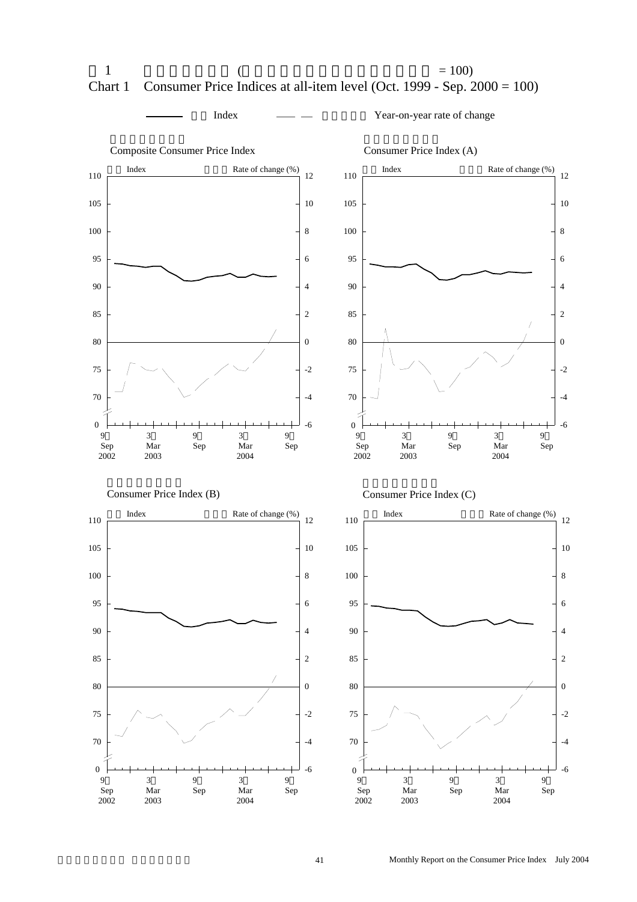



指數 Index 按年變動率 Year-on-year rate of change

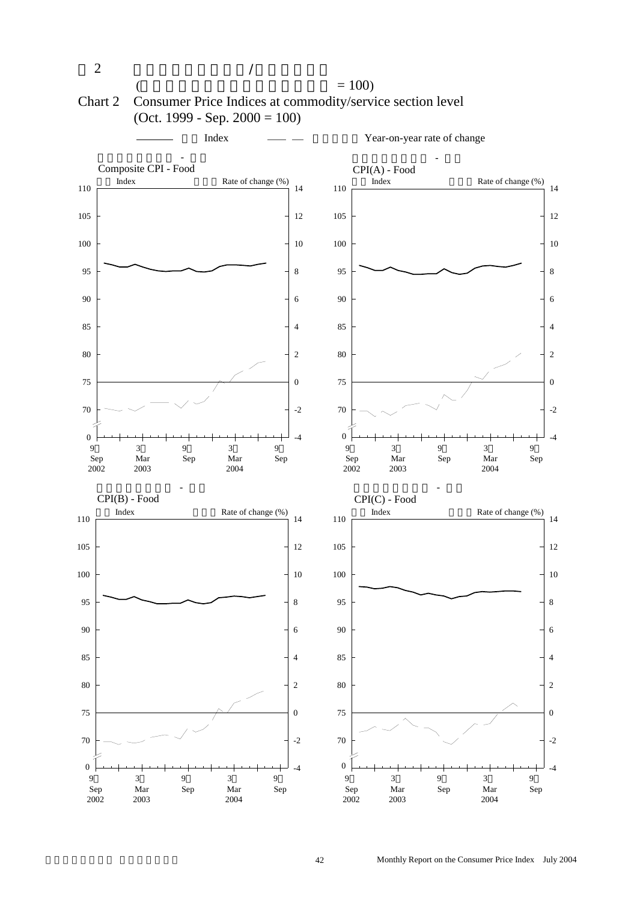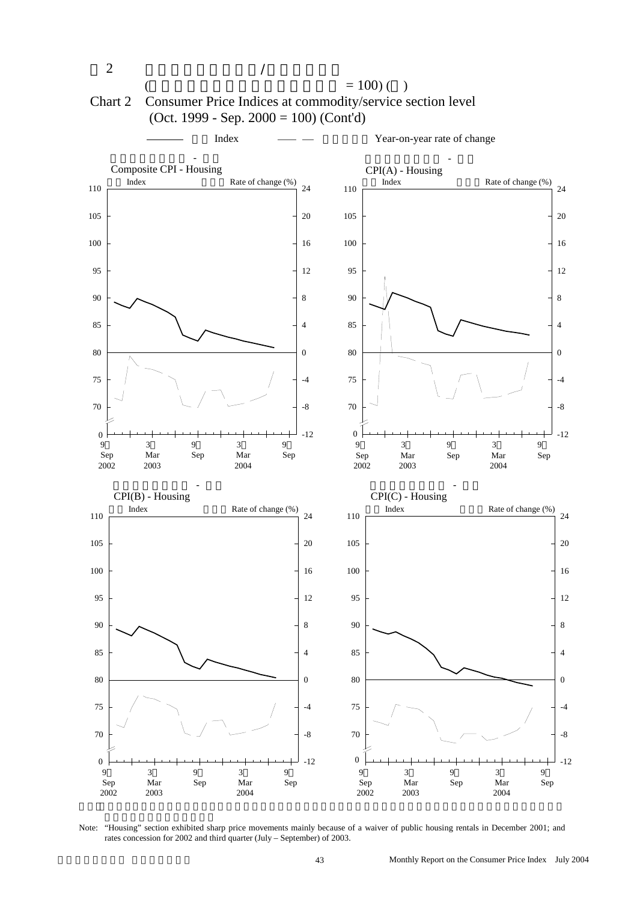

Note: "Housing" section exhibited sharp price movements mainly because of a waiver of public housing rentals in December 2001; and rates concession for 2002 and third quarter (July – September) of 2003.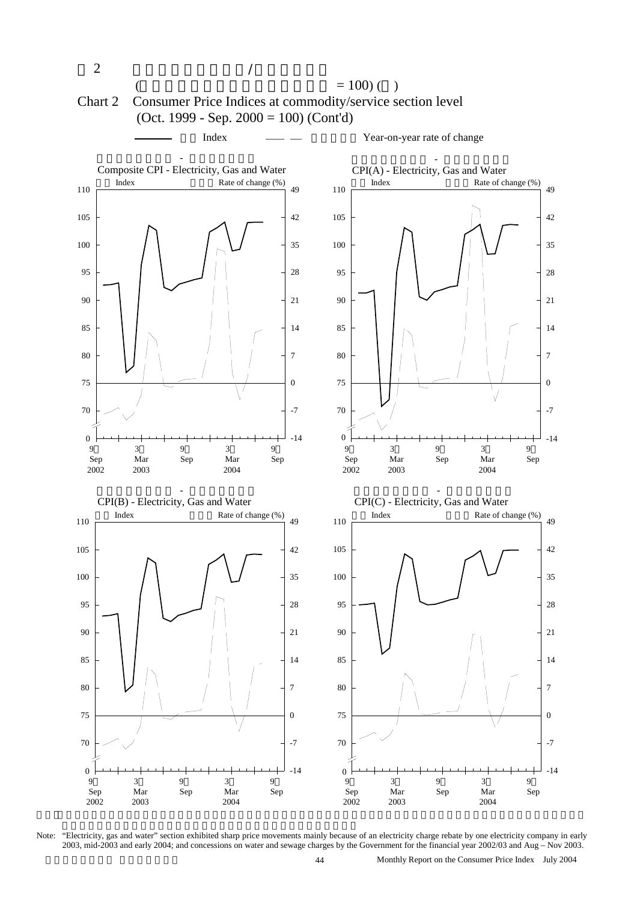

Note: "Electricity, gas and water" section exhibited sharp price movements mainly because of an electricity charge rebate by one electricity company in early 2003, mid-2003 and early 2004; and concessions on water and sewage charges by the Government for the financial year 2002/03 and Aug – Nov 2003.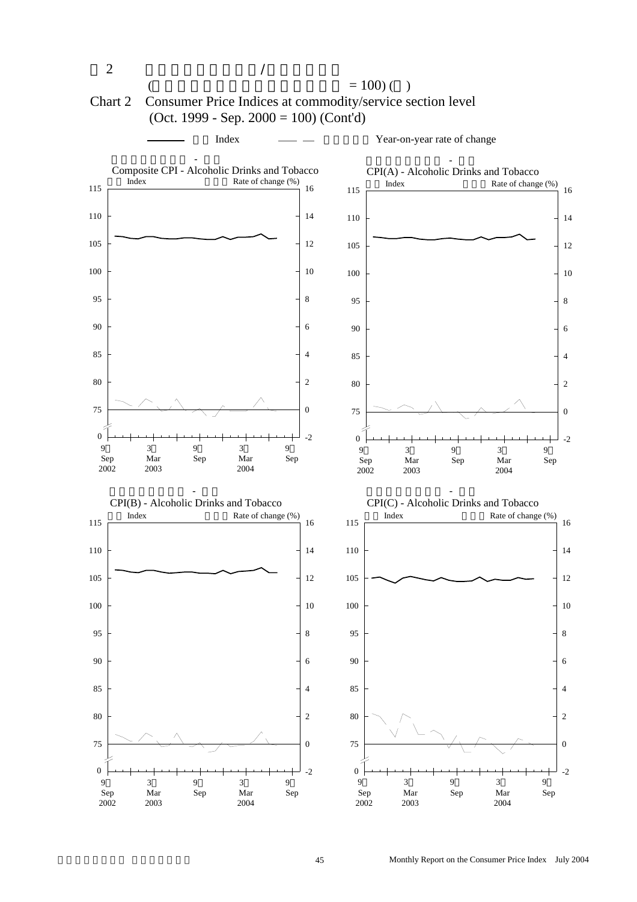

## Chart 2 Consumer Price Indices at commodity/service section level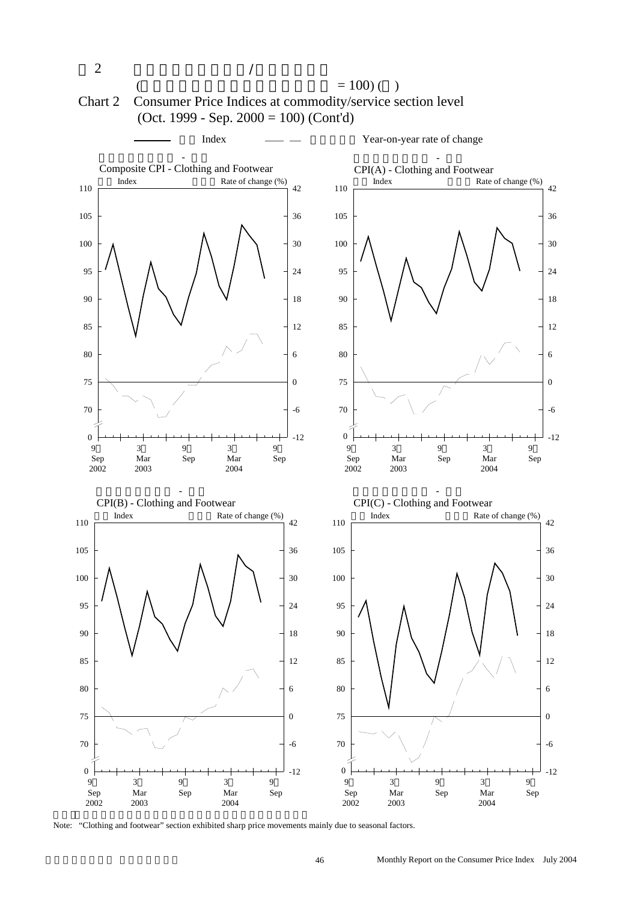

Note: "Clothing and footwear" section exhibited sharp price movements mainly due to seasonal factors.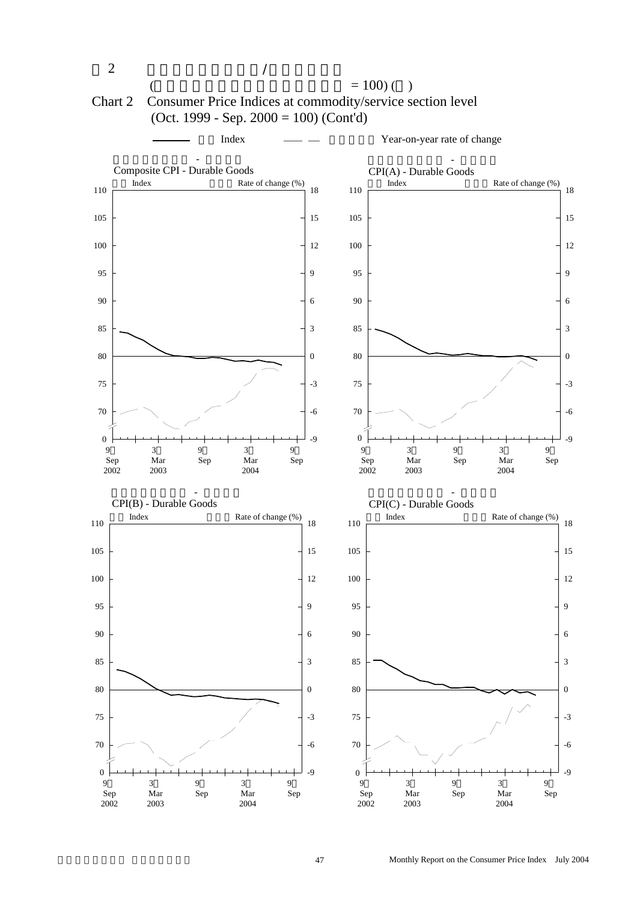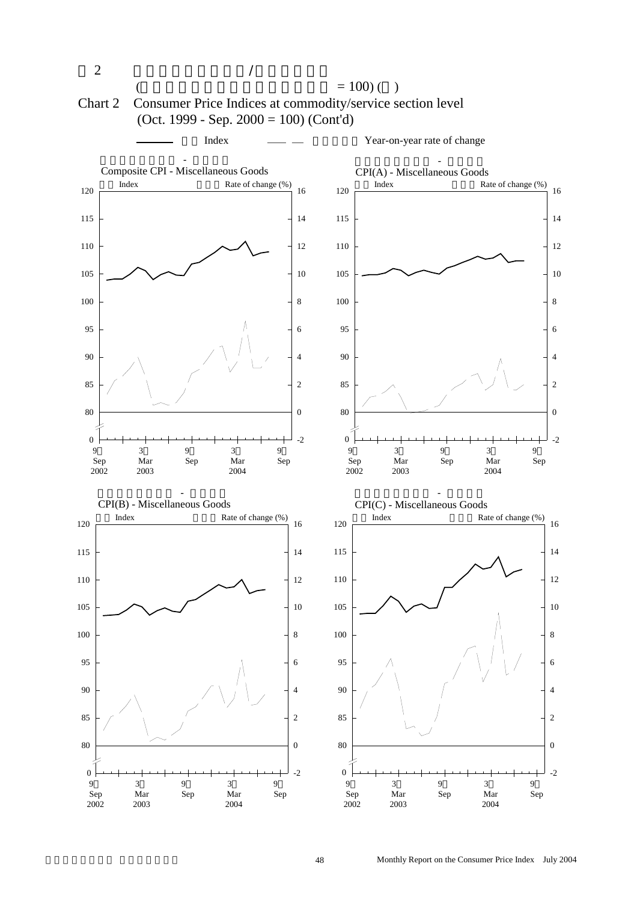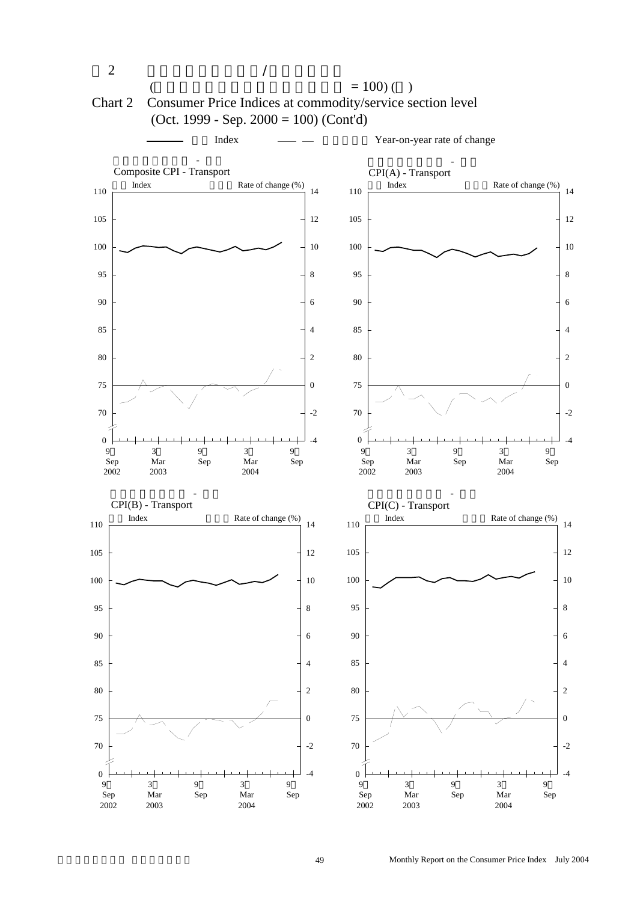

49 Monthly Report on the Consumer Price Index July 2004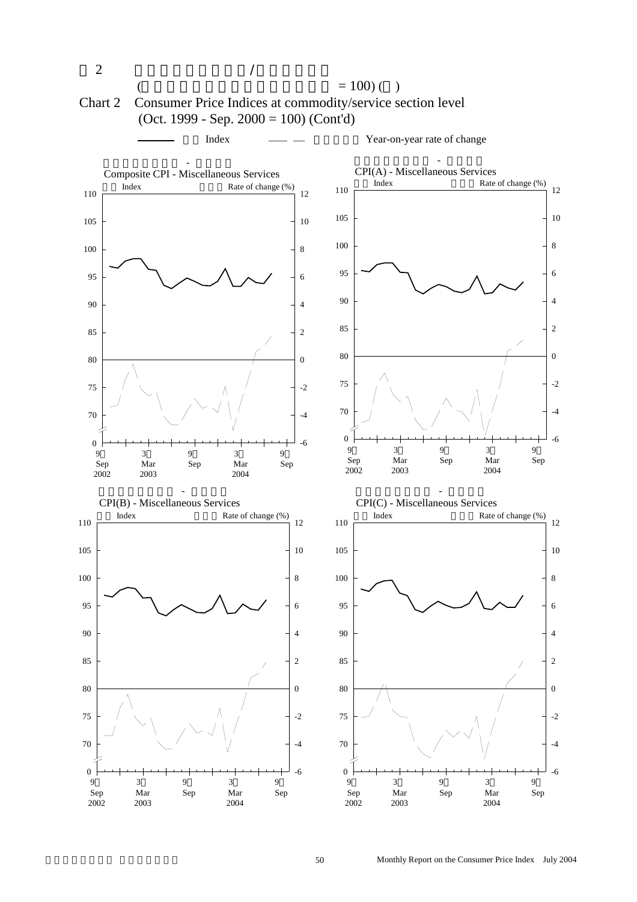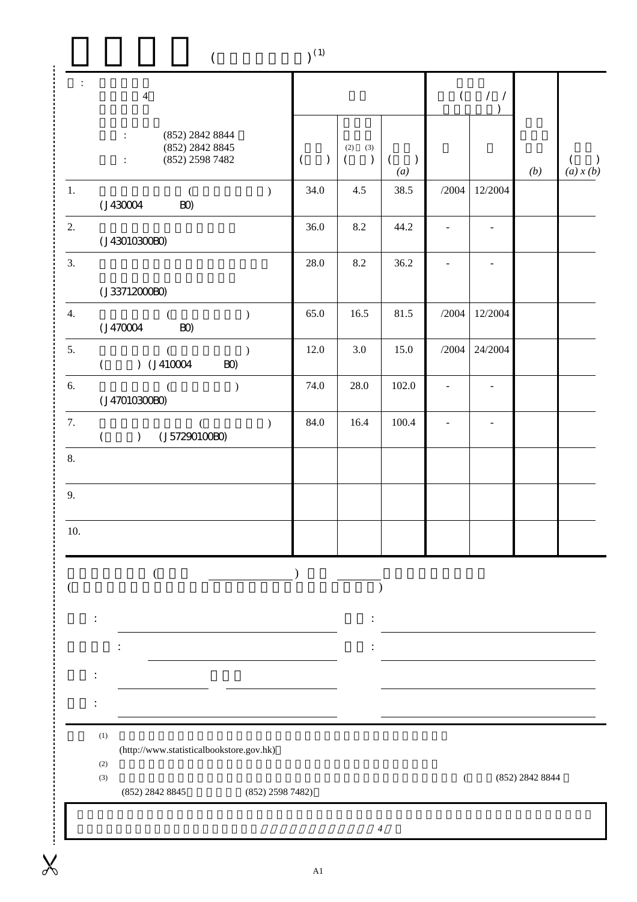| $\ddot{\cdot}$<br>$\overline{4}$                                                                |                           |                                         |                                               |                          | $($ / /<br>$\lambda$     |                 |                |
|-------------------------------------------------------------------------------------------------|---------------------------|-----------------------------------------|-----------------------------------------------|--------------------------|--------------------------|-----------------|----------------|
| (852) 2842 8844<br>$\ddot{\cdot}$<br>(852) 2842 8845<br>(852) 2598 7482<br>$\ddot{\phantom{a}}$ | $\mathcal{L}$<br>$\left($ | (2)<br>(3)<br>$\mathcal{L}$<br>$\left($ | $\left($<br>$\mathcal{L}$<br>$\left(a\right)$ |                          |                          | (b)             | €<br>(a) x (b) |
| $1.$<br>$\mathcal{E}$<br>(J430004)<br>BO)                                                       | 34.0                      | 4.5                                     | 38.5                                          | /2004                    | 12/2004                  |                 |                |
| 2.<br>(J43010300B)                                                                              | 36.0                      | 8.2                                     | 44.2                                          |                          |                          |                 |                |
| 3.<br>(J337120000)                                                                              | 28.0                      | 8.2                                     | 36.2                                          |                          |                          |                 |                |
| $\overline{4}$ .<br>$\mathcal{C}$<br>(J470004)<br>$B\!O\!$                                      | 65.0                      | 16.5                                    | 81.5                                          | $/2004\,$                | 12/2004                  |                 |                |
| 5.<br>$\mathcal{L}$<br>€<br>$)$ (J410004<br>BO)<br>€                                            | 12.0                      | $3.0\,$                                 | 15.0                                          | /2004                    | 24/2004                  |                 |                |
| 6.<br>$\mathcal{L}$<br>(J47010300B)                                                             | 74.0                      | $28.0\,$                                | 102.0                                         | $\overline{\phantom{a}}$ | $\overline{\phantom{a}}$ |                 |                |
| 7.<br>$\mathcal{L}$<br>(<br>(J57290100B0)<br>$\left($<br>$\mathcal{L}$                          | 84.0                      | 16.4                                    | 100.4                                         |                          | $\blacksquare$           |                 |                |
| 8.                                                                                              |                           |                                         |                                               |                          |                          |                 |                |
| 9.                                                                                              |                           |                                         |                                               |                          |                          |                 |                |
| 10.                                                                                             |                           |                                         |                                               |                          |                          |                 |                |
|                                                                                                 |                           |                                         |                                               |                          |                          |                 |                |
|                                                                                                 |                           |                                         |                                               |                          |                          |                 |                |
|                                                                                                 |                           |                                         |                                               |                          |                          |                 |                |
|                                                                                                 |                           |                                         |                                               |                          |                          |                 |                |
| $\left(1\right)$<br>(http://www.statisticalbookstore.gov.hk)<br>$\left( 2\right)$               |                           |                                         |                                               |                          |                          |                 |                |
| (3)<br>(852) 2842 8845                                                                          | $(852)$ 2598 7482)        |                                         |                                               | €                        |                          | (852) 2842 8844 |                |
|                                                                                                 |                           |                                         | $\overline{4}$                                |                          |                          |                 |                |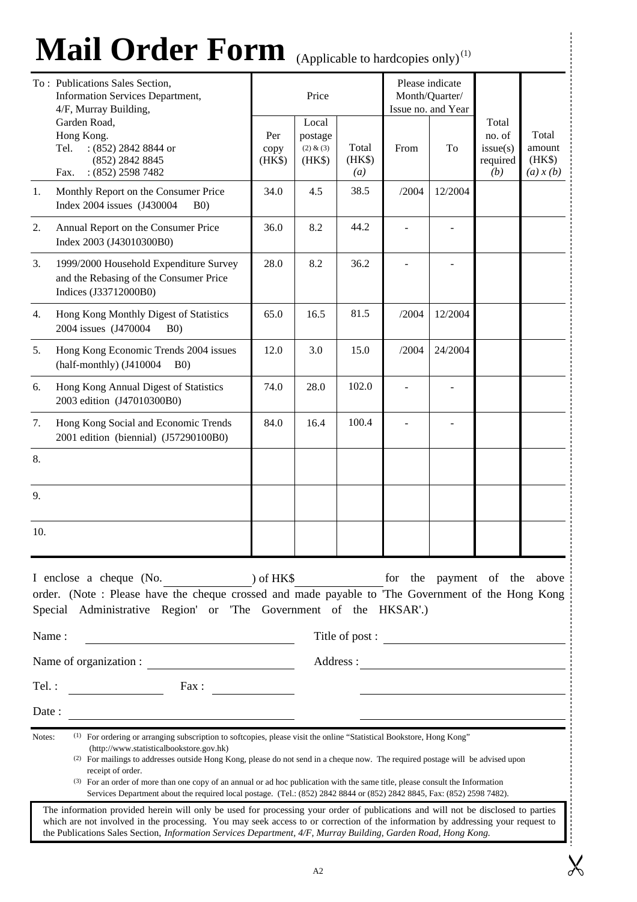## **Mail Order Form** (Applicable to hardcopies only) (1)

|        | Mail Order Form (Applicable to hardcopies only) <sup>(1)</sup>                                                                                                                                                                                                                                                                                                                                                                                                                                                                                                                                 |                       |                                         |                                     |                                                 |                                                         |                                                |                                        |  |
|--------|------------------------------------------------------------------------------------------------------------------------------------------------------------------------------------------------------------------------------------------------------------------------------------------------------------------------------------------------------------------------------------------------------------------------------------------------------------------------------------------------------------------------------------------------------------------------------------------------|-----------------------|-----------------------------------------|-------------------------------------|-------------------------------------------------|---------------------------------------------------------|------------------------------------------------|----------------------------------------|--|
|        | To: Publications Sales Section,<br>Information Services Department,<br>4/F, Murray Building,                                                                                                                                                                                                                                                                                                                                                                                                                                                                                                   |                       | Price                                   |                                     |                                                 | Please indicate<br>Month/Quarter/<br>Issue no. and Year |                                                |                                        |  |
|        | Garden Road,<br>Hong Kong.<br>$(852)$ 2842 8844 or<br>Tel.<br>(852) 2842 8845<br>$: (852)$ 2598 7482<br>Fax.                                                                                                                                                                                                                                                                                                                                                                                                                                                                                   | Per<br>copy<br>(HK\$) | Local<br>postage<br>(2) & (3)<br>(HK\$) | Total<br>(HK\$)<br>$\left(a\right)$ | From                                            | To                                                      | Total<br>no. of<br>issue(s)<br>required<br>(b) | Total<br>amount<br>(HK\$)<br>(a) x (b) |  |
| 1.     | Monthly Report on the Consumer Price<br>Index 2004 issues (J430004<br>B(0)                                                                                                                                                                                                                                                                                                                                                                                                                                                                                                                     | 34.0                  | 4.5                                     | 38.5                                | /2004                                           | 12/2004                                                 |                                                |                                        |  |
| 2.     | Annual Report on the Consumer Price<br>Index 2003 (J43010300B0)                                                                                                                                                                                                                                                                                                                                                                                                                                                                                                                                | 36.0                  | 8.2                                     | 44.2                                |                                                 |                                                         |                                                |                                        |  |
| 3.     | 1999/2000 Household Expenditure Survey<br>and the Rebasing of the Consumer Price<br>Indices (J33712000B0)                                                                                                                                                                                                                                                                                                                                                                                                                                                                                      | 28.0                  | 8.2                                     | 36.2                                |                                                 |                                                         |                                                |                                        |  |
| 4.     | Hong Kong Monthly Digest of Statistics<br>2004 issues (J470004<br>B(0)                                                                                                                                                                                                                                                                                                                                                                                                                                                                                                                         | 65.0                  | 16.5                                    | 81.5                                | /2004                                           | 12/2004                                                 |                                                |                                        |  |
| 5.     | Hong Kong Economic Trends 2004 issues<br>(half-monthly) (J410004<br>B(0)                                                                                                                                                                                                                                                                                                                                                                                                                                                                                                                       | 12.0                  | 3.0                                     | 15.0                                | /2004                                           | 24/2004                                                 |                                                |                                        |  |
| 6.     | Hong Kong Annual Digest of Statistics<br>2003 edition (J47010300B0)                                                                                                                                                                                                                                                                                                                                                                                                                                                                                                                            | 74.0                  | 28.0                                    | 102.0                               |                                                 |                                                         |                                                |                                        |  |
| 7.     | Hong Kong Social and Economic Trends<br>2001 edition (biennial) (J57290100B0)                                                                                                                                                                                                                                                                                                                                                                                                                                                                                                                  | 84.0                  | 16.4                                    | 100.4                               |                                                 |                                                         |                                                |                                        |  |
| 8.     |                                                                                                                                                                                                                                                                                                                                                                                                                                                                                                                                                                                                |                       |                                         |                                     |                                                 |                                                         |                                                |                                        |  |
| 9.     |                                                                                                                                                                                                                                                                                                                                                                                                                                                                                                                                                                                                |                       |                                         |                                     |                                                 |                                                         |                                                |                                        |  |
| 10.    |                                                                                                                                                                                                                                                                                                                                                                                                                                                                                                                                                                                                |                       |                                         |                                     |                                                 |                                                         |                                                |                                        |  |
| Name:  | I enclose a cheque (No. ) of HK\$<br>order. (Note : Please have the cheque crossed and made payable to 'The Government of the Hong Kong<br>Special Administrative Region' or 'The Government of the HKSAR'.)                                                                                                                                                                                                                                                                                                                                                                                   |                       |                                         |                                     | for the payment of the above<br>Title of post : |                                                         |                                                |                                        |  |
|        | Name of organization :                                                                                                                                                                                                                                                                                                                                                                                                                                                                                                                                                                         |                       |                                         |                                     |                                                 |                                                         |                                                |                                        |  |
| Tel.:  | Fax:<br>$\frac{1}{\sqrt{1-\frac{1}{2}}\left(1-\frac{1}{2}\right)}$                                                                                                                                                                                                                                                                                                                                                                                                                                                                                                                             |                       |                                         |                                     |                                                 |                                                         |                                                |                                        |  |
| Date:  |                                                                                                                                                                                                                                                                                                                                                                                                                                                                                                                                                                                                |                       |                                         |                                     |                                                 |                                                         |                                                |                                        |  |
| Notes: | <sup>(1)</sup> For ordering or arranging subscription to softcopies, please visit the online "Statistical Bookstore, Hong Kong"<br>(http://www.statisticalbookstore.gov.hk)<br>(2) For mailings to addresses outside Hong Kong, please do not send in a cheque now. The required postage will be advised upon<br>receipt of order.<br>(3) For an order of more than one copy of an annual or ad hoc publication with the same title, please consult the Information<br>Services Department about the required local postage. (Tel.: (852) 2842 8844 or (852) 2842 8845, Fax: (852) 2598 7482). |                       |                                         |                                     |                                                 |                                                         |                                                |                                        |  |
|        | The information provided herein will only be used for processing your order of publications and will not be disclosed to parties<br>which are not involved in the processing. You may seek access to or correction of the information by addressing your request to<br>the Publications Sales Section, Information Services Department, 4/F, Murray Building, Garden Road, Hong Kong.                                                                                                                                                                                                          |                       |                                         |                                     |                                                 |                                                         |                                                | :                                      |  |

 $\chi$